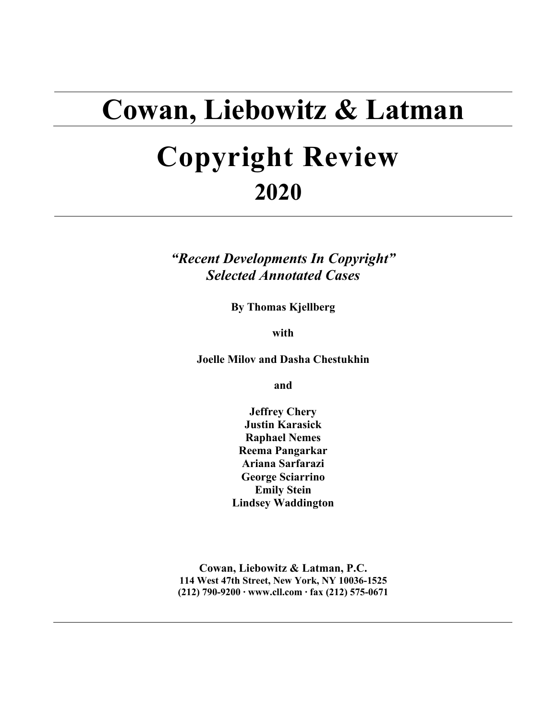# **Cowan, Liebowitz & Latman**

# **Copyright Review 2020**

*"Recent Developments In Copyright" Selected Annotated Cases*

**By Thomas Kjellberg**

**with**

**Joelle Milov and Dasha Chestukhin**

**and**

**Jeffrey Chery Justin Karasick Raphael Nemes Reema Pangarkar Ariana Sarfarazi George Sciarrino Emily Stein Lindsey Waddington**

**Cowan, Liebowitz & Latman, P.C. 114 West 47th Street, New York, NY 10036-1525 (212) 790-9200 ∙ www.cll.com ∙ fax (212) 575-0671**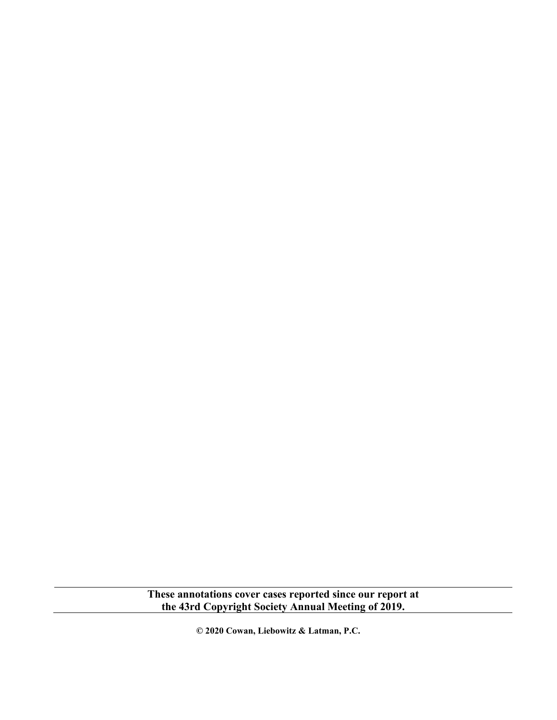**These annotations cover cases reported since our report at the 43rd Copyright Society Annual Meeting of 2019.**

**© 2020 Cowan, Liebowitz & Latman, P.C.**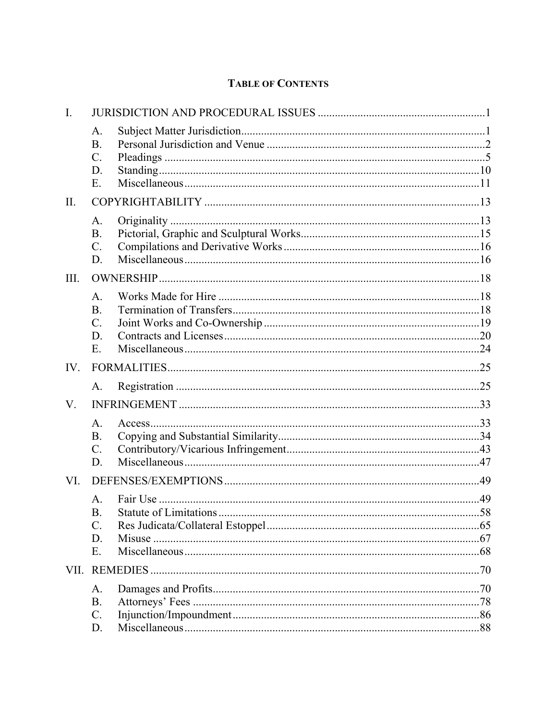## **TABLE OF CONTENTS**

| $\mathbf{I}$ . |                                                            |  |
|----------------|------------------------------------------------------------|--|
|                | A.<br><b>B.</b><br>$C$ .<br>D.<br>E.                       |  |
| II.            |                                                            |  |
|                | A.<br><b>B.</b><br>$\mathcal{C}$ .<br>D.                   |  |
| III.           |                                                            |  |
|                | A.<br><b>B.</b><br>$C$ .<br>D.<br>E.                       |  |
| IV.            |                                                            |  |
|                | A.                                                         |  |
| V.             |                                                            |  |
|                | A.<br><b>B.</b><br>$C$ .<br>D.                             |  |
| VI.            |                                                            |  |
|                | A <sub>1</sub><br><b>B.</b><br>$\mathcal{C}$ .<br>D.<br>Ε. |  |
| VII.           |                                                            |  |
|                | А.<br><b>B.</b><br>$C$ .<br>D.                             |  |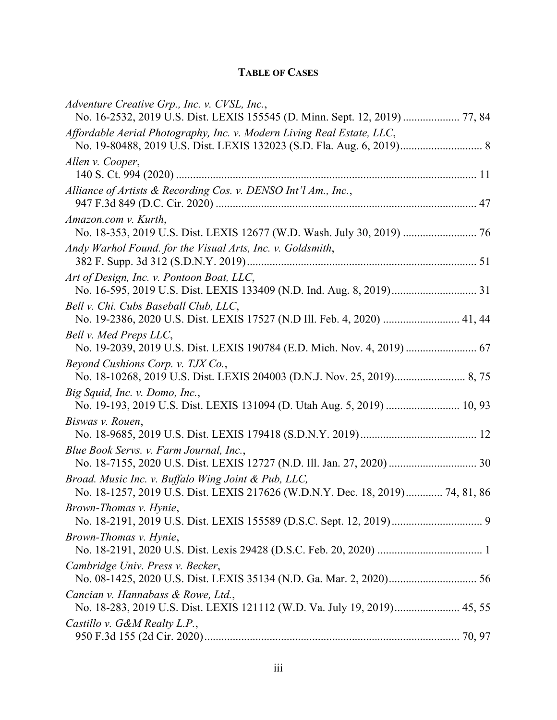## **TABLE OF CASES**

| Adventure Creative Grp., Inc. v. CVSL, Inc.,<br>No. 16-2532, 2019 U.S. Dist. LEXIS 155545 (D. Minn. Sept. 12, 2019)  77, 84          |
|--------------------------------------------------------------------------------------------------------------------------------------|
| Affordable Aerial Photography, Inc. v. Modern Living Real Estate, LLC,                                                               |
| Allen v. Cooper,                                                                                                                     |
| Alliance of Artists & Recording Cos. v. DENSO Int'l Am., Inc.,                                                                       |
| Amazon.com v. Kurth,<br>No. 18-353, 2019 U.S. Dist. LEXIS 12677 (W.D. Wash. July 30, 2019)  76                                       |
| Andy Warhol Found. for the Visual Arts, Inc. v. Goldsmith,                                                                           |
| Art of Design, Inc. v. Pontoon Boat, LLC,                                                                                            |
| Bell v. Chi. Cubs Baseball Club, LLC,<br>No. 19-2386, 2020 U.S. Dist. LEXIS 17527 (N.D Ill. Feb. 4, 2020)  41, 44                    |
| Bell v. Med Preps LLC,<br>No. 19-2039, 2019 U.S. Dist. LEXIS 190784 (E.D. Mich. Nov. 4, 2019)  67                                    |
| Beyond Cushions Corp. v. TJX Co.,                                                                                                    |
| Big Squid, Inc. v. Domo, Inc.,<br>No. 19-193, 2019 U.S. Dist. LEXIS 131094 (D. Utah Aug. 5, 2019)  10, 93                            |
| Biswas v. Rouen,                                                                                                                     |
| Blue Book Servs. v. Farm Journal, Inc.,                                                                                              |
| Broad. Music Inc. v. Buffalo Wing Joint & Pub, LLC,<br>No. 18-1257, 2019 U.S. Dist. LEXIS 217626 (W.D.N.Y. Dec. 18, 2019) 74, 81, 86 |
| Brown-Thomas v. Hynie,                                                                                                               |
| Brown-Thomas v. Hynie,                                                                                                               |
| Cambridge Univ. Press v. Becker,                                                                                                     |
| Cancian v. Hannabass & Rowe, Ltd.,<br>No. 18-283, 2019 U.S. Dist. LEXIS 121112 (W.D. Va. July 19, 2019) 45, 55                       |
| Castillo v. G&M Realty L.P.,                                                                                                         |
|                                                                                                                                      |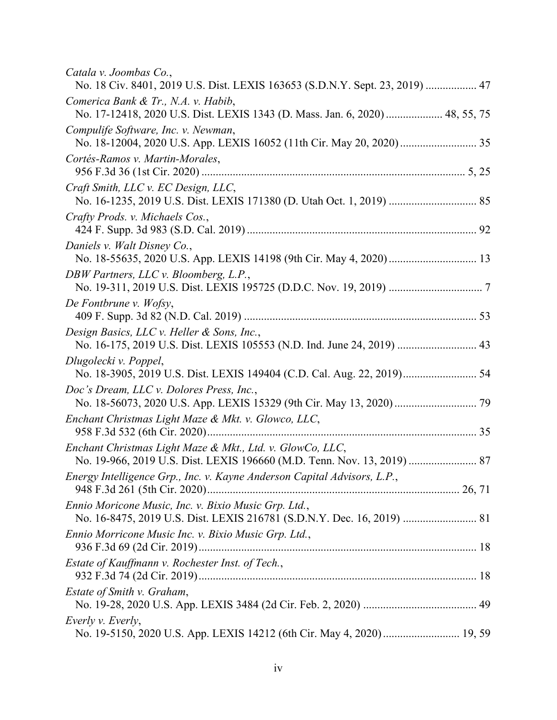| Catala v. Joombas Co.,<br>No. 18 Civ. 8401, 2019 U.S. Dist. LEXIS 163653 (S.D.N.Y. Sept. 23, 2019)  47                         |
|--------------------------------------------------------------------------------------------------------------------------------|
| Comerica Bank & Tr., N.A. v. Habib,<br>No. 17-12418, 2020 U.S. Dist. LEXIS 1343 (D. Mass. Jan. 6, 2020)  48, 55, 75            |
| Compulife Software, Inc. v. Newman,                                                                                            |
| Cortés-Ramos v. Martin-Morales,                                                                                                |
| Craft Smith, LLC v. EC Design, LLC,                                                                                            |
| Crafty Prods. v. Michaels Cos.,                                                                                                |
| Daniels v. Walt Disney Co.,                                                                                                    |
| DBW Partners, LLC v. Bloomberg, L.P.,                                                                                          |
| De Fontbrune v. Wofsy,                                                                                                         |
| Design Basics, LLC v. Heller & Sons, Inc.,<br>No. 16-175, 2019 U.S. Dist. LEXIS 105553 (N.D. Ind. June 24, 2019)  43           |
| Długolecki v. Poppel,<br>No. 18-3905, 2019 U.S. Dist. LEXIS 149404 (C.D. Cal. Aug. 22, 2019) 54                                |
| Doc's Dream, LLC v. Dolores Press, Inc.,                                                                                       |
| Enchant Christmas Light Maze & Mkt. v. Glowco, LLC,                                                                            |
| Enchant Christmas Light Maze & Mkt., Ltd. v. GlowCo, LLC,                                                                      |
| Energy Intelligence Grp., Inc. v. Kayne Anderson Capital Advisors, L.P.,                                                       |
| Ennio Moricone Music, Inc. v. Bixio Music Grp. Ltd.,<br>No. 16-8475, 2019 U.S. Dist. LEXIS 216781 (S.D.N.Y. Dec. 16, 2019)  81 |
| Ennio Morricone Music Inc. v. Bixio Music Grp. Ltd.,                                                                           |
| Estate of Kauffmann v. Rochester Inst. of Tech.,                                                                               |
| Estate of Smith v. Graham,                                                                                                     |
| Everly v. Everly,                                                                                                              |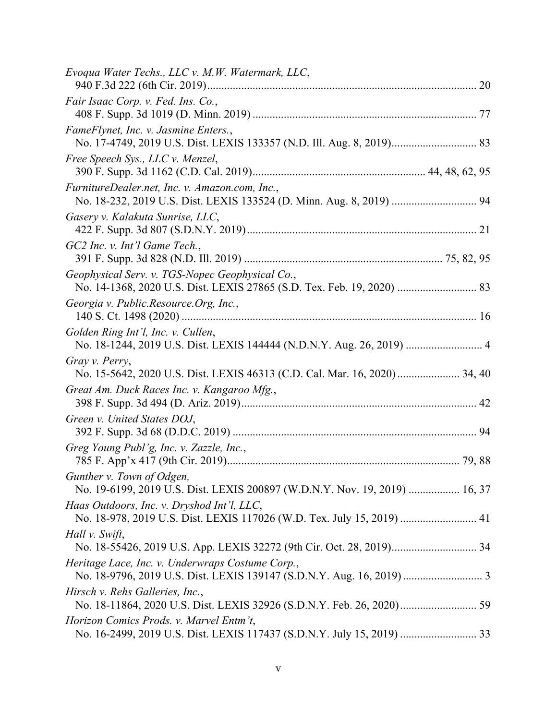| Evoqua Water Techs., LLC v. M.W. Watermark, LLC,                                                                       |
|------------------------------------------------------------------------------------------------------------------------|
| Fair Isaac Corp. v. Fed. Ins. Co.,                                                                                     |
| FameFlynet, Inc. v. Jasmine Enters.,                                                                                   |
| Free Speech Sys., LLC v. Menzel,                                                                                       |
| FurnitureDealer.net, Inc. v. Amazon.com, Inc.,<br>No. 18-232, 2019 U.S. Dist. LEXIS 133524 (D. Minn. Aug. 8, 2019)  94 |
| Gasery v. Kalakuta Sunrise, LLC,                                                                                       |
| GC2 Inc. v. Int'l Game Tech.,                                                                                          |
| Geophysical Serv. v. TGS-Nopec Geophysical Co.,                                                                        |
| Georgia v. Public.Resource.Org, Inc.,                                                                                  |
| Golden Ring Int'l, Inc. v. Cullen,<br>No. 18-1244, 2019 U.S. Dist. LEXIS 144444 (N.D.N.Y. Aug. 26, 2019)  4            |
| Gray v. Perry,<br>No. 15-5642, 2020 U.S. Dist. LEXIS 46313 (C.D. Cal. Mar. 16, 2020)  34, 40                           |
| Great Am. Duck Races Inc. v. Kangaroo Mfg.,                                                                            |
| Green v. United States DOJ,                                                                                            |
| Greg Young Publ'g, Inc. v. Zazzle, Inc.,                                                                               |
| Gunther v. Town of Odgen,<br>No. 19-6199, 2019 U.S. Dist. LEXIS 200897 (W.D.N.Y. Nov. 19, 2019)  16, 37                |
| Haas Outdoors, Inc. v. Dryshod Int'l, LLC,<br>No. 18-978, 2019 U.S. Dist. LEXIS 117026 (W.D. Tex. July 15, 2019)  41   |
| Hall v. Swift,                                                                                                         |
| Heritage Lace, Inc. v. Underwraps Costume Corp.,                                                                       |
| Hirsch v. Rehs Galleries, Inc.,                                                                                        |
| Horizon Comics Prods. v. Marvel Entm't,                                                                                |
|                                                                                                                        |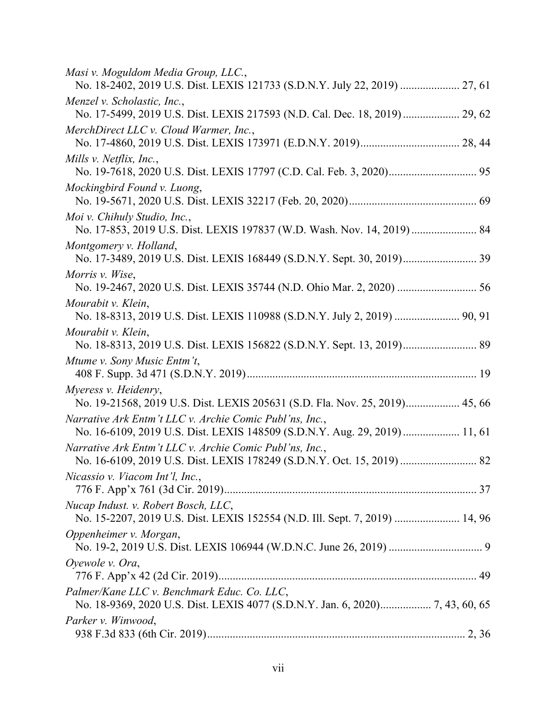| Masi v. Moguldom Media Group, LLC.,<br>No. 18-2402, 2019 U.S. Dist. LEXIS 121733 (S.D.N.Y. July 22, 2019)  27, 61                     |
|---------------------------------------------------------------------------------------------------------------------------------------|
| Menzel v. Scholastic, Inc.,<br>No. 17-5499, 2019 U.S. Dist. LEXIS 217593 (N.D. Cal. Dec. 18, 2019)  29, 62                            |
| MerchDirect LLC v. Cloud Warmer, Inc.,                                                                                                |
| Mills v. Netflix, Inc.,                                                                                                               |
| Mockingbird Found v. Luong,                                                                                                           |
| Moi v. Chihuly Studio, Inc.,<br>No. 17-853, 2019 U.S. Dist. LEXIS 197837 (W.D. Wash. Nov. 14, 2019)  84                               |
| Montgomery v. Holland,                                                                                                                |
| Morris v. Wise,                                                                                                                       |
| Mourabit v. Klein,<br>No. 18-8313, 2019 U.S. Dist. LEXIS 110988 (S.D.N.Y. July 2, 2019)  90, 91                                       |
| Mourabit v. Klein,                                                                                                                    |
| Mtume v. Sony Music Entm't,                                                                                                           |
| Myeress v. Heidenry,<br>No. 19-21568, 2019 U.S. Dist. LEXIS 205631 (S.D. Fla. Nov. 25, 2019) 45, 66                                   |
| Narrative Ark Entm't LLC v. Archie Comic Publ'ns, Inc.,<br>No. 16-6109, 2019 U.S. Dist. LEXIS 148509 (S.D.N.Y. Aug. 29, 2019)  11, 61 |
| Narrative Ark Entm't LLC v. Archie Comic Publ'ns, Inc.,                                                                               |
| Nicassio v. Viacom Int'l, Inc.,                                                                                                       |
| Nucap Indust. v. Robert Bosch, LLC,<br>No. 15-2207, 2019 U.S. Dist. LEXIS 152554 (N.D. Ill. Sept. 7, 2019)  14, 96                    |
| Oppenheimer v. Morgan,                                                                                                                |
| Oyewole v. Ora,                                                                                                                       |
| Palmer/Kane LLC v. Benchmark Educ. Co. LLC,                                                                                           |
| Parker v. Winwood,                                                                                                                    |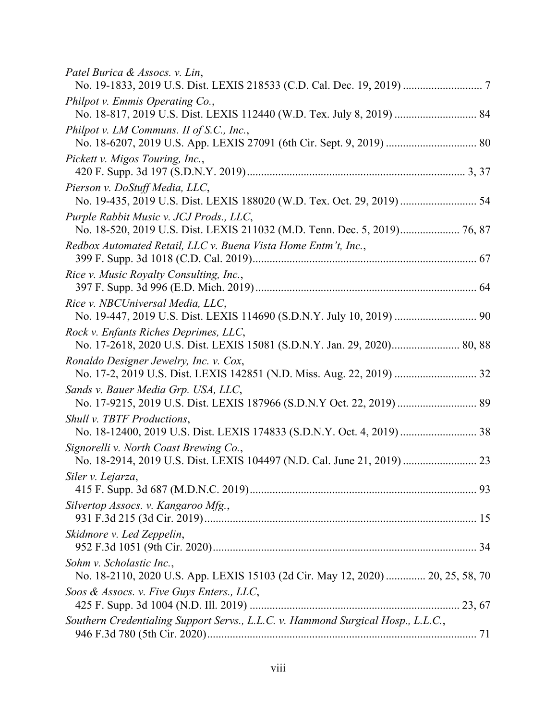| No. 18-817, 2019 U.S. Dist. LEXIS 112440 (W.D. Tex. July 8, 2019)  84          |
|--------------------------------------------------------------------------------|
|                                                                                |
|                                                                                |
| No. 19-435, 2019 U.S. Dist. LEXIS 188020 (W.D. Tex. Oct. 29, 2019)  54         |
|                                                                                |
|                                                                                |
|                                                                                |
| No. 19-447, 2019 U.S. Dist. LEXIS 114690 (S.D.N.Y. July 10, 2019)  90          |
| No. 17-2618, 2020 U.S. Dist. LEXIS 15081 (S.D.N.Y. Jan. 29, 2020) 80, 88       |
|                                                                                |
|                                                                                |
| No. 18-12400, 2019 U.S. Dist. LEXIS 174833 (S.D.N.Y. Oct. 4, 2019)  38         |
|                                                                                |
|                                                                                |
|                                                                                |
|                                                                                |
| No. 18-2110, 2020 U.S. App. LEXIS 15103 (2d Cir. May 12, 2020)  20, 25, 58, 70 |
|                                                                                |
|                                                                                |
|                                                                                |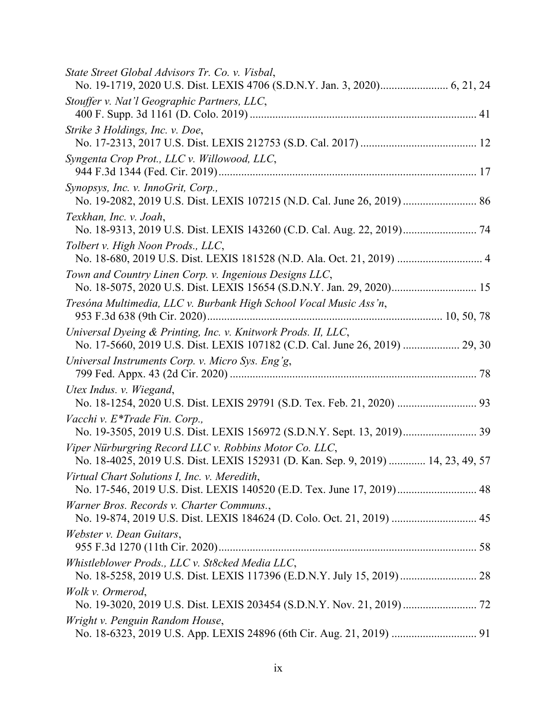| State Street Global Advisors Tr. Co. v. Visbal,                                                                                              |
|----------------------------------------------------------------------------------------------------------------------------------------------|
| Stouffer v. Nat'l Geographic Partners, LLC,                                                                                                  |
| Strike 3 Holdings, Inc. v. Doe,                                                                                                              |
| Syngenta Crop Prot., LLC v. Willowood, LLC,                                                                                                  |
| Synopsys, Inc. v. InnoGrit, Corp.,<br>No. 19-2082, 2019 U.S. Dist. LEXIS 107215 (N.D. Cal. June 26, 2019)  86                                |
| Texkhan, Inc. v. Joah,<br>No. 18-9313, 2019 U.S. Dist. LEXIS 143260 (C.D. Cal. Aug. 22, 2019) 74                                             |
| Tolbert v. High Noon Prods., LLC,<br>No. 18-680, 2019 U.S. Dist. LEXIS 181528 (N.D. Ala. Oct. 21, 2019)  4                                   |
| Town and Country Linen Corp. v. Ingenious Designs LLC,<br>No. 18-5075, 2020 U.S. Dist. LEXIS 15654 (S.D.N.Y. Jan. 29, 2020) 15               |
| Tresóna Multimedia, LLC v. Burbank High School Vocal Music Ass'n,                                                                            |
| Universal Dyeing & Printing, Inc. v. Knitwork Prods. II, LLC,<br>No. 17-5660, 2019 U.S. Dist. LEXIS 107182 (C.D. Cal. June 26, 2019)  29, 30 |
| Universal Instruments Corp. v. Micro Sys. Eng'g,                                                                                             |
| Utex Indus. v. Wiegand,                                                                                                                      |
| Vacchi v. E*Trade Fin. Corp.,                                                                                                                |
| Viper Nürburgring Record LLC v. Robbins Motor Co. LLC,<br>No. 18-4025, 2019 U.S. Dist. LEXIS 152931 (D. Kan. Sep. 9, 2019)  14, 23, 49, 57   |
| Virtual Chart Solutions I, Inc. v. Meredith,                                                                                                 |
| Warner Bros. Records v. Charter Communs.,                                                                                                    |
| Webster v. Dean Guitars,                                                                                                                     |
| Whistleblower Prods., LLC v. St8cked Media LLC,<br>No. 18-5258, 2019 U.S. Dist. LEXIS 117396 (E.D.N.Y. July 15, 2019)  28                    |
| Wolk v. Ormerod,                                                                                                                             |
| Wright v. Penguin Random House,                                                                                                              |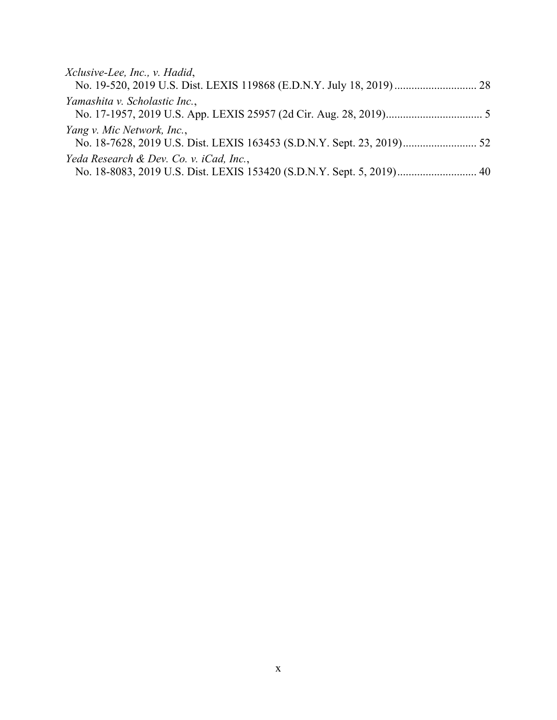| Xclusive-Lee, Inc., v. Hadid,                                         |  |
|-----------------------------------------------------------------------|--|
|                                                                       |  |
| Yamashita v. Scholastic Inc.,                                         |  |
|                                                                       |  |
| Yang v. Mic Network, Inc.,                                            |  |
|                                                                       |  |
| Yeda Research & Dev. Co. v. iCad, Inc.,                               |  |
| No. 18-8083, 2019 U.S. Dist. LEXIS 153420 (S.D.N.Y. Sept. 5, 2019) 40 |  |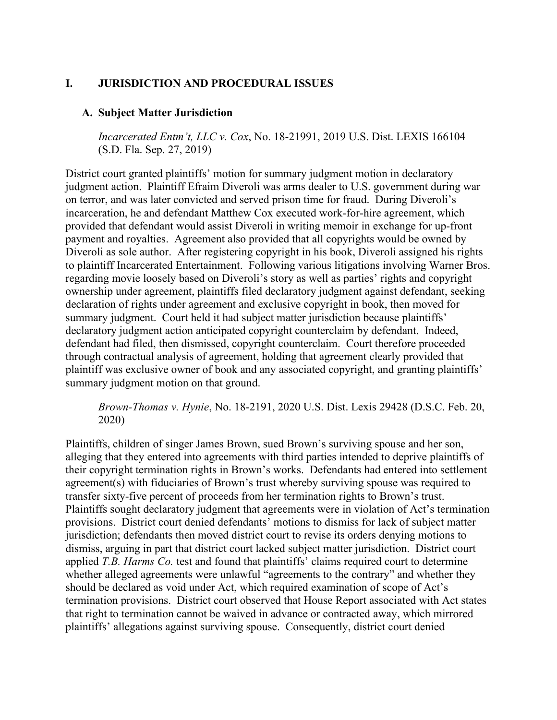## <span id="page-12-0"></span>**I. JURISDICTION AND PROCEDURAL ISSUES**

## <span id="page-12-1"></span>**A. Subject Matter Jurisdiction**

*Incarcerated Entm't, LLC v. Cox*, No. 18-21991, 2019 U.S. Dist. LEXIS 166104 (S.D. Fla. Sep. 27, 2019)

District court granted plaintiffs' motion for summary judgment motion in declaratory judgment action. Plaintiff Efraim Diveroli was arms dealer to U.S. government during war on terror, and was later convicted and served prison time for fraud. During Diveroli's incarceration, he and defendant Matthew Cox executed work-for-hire agreement, which provided that defendant would assist Diveroli in writing memoir in exchange for up-front payment and royalties. Agreement also provided that all copyrights would be owned by Diveroli as sole author. After registering copyright in his book, Diveroli assigned his rights to plaintiff Incarcerated Entertainment. Following various litigations involving Warner Bros. regarding movie loosely based on Diveroli's story as well as parties' rights and copyright ownership under agreement, plaintiffs filed declaratory judgment against defendant, seeking declaration of rights under agreement and exclusive copyright in book, then moved for summary judgment. Court held it had subject matter jurisdiction because plaintiffs' declaratory judgment action anticipated copyright counterclaim by defendant. Indeed, defendant had filed, then dismissed, copyright counterclaim. Court therefore proceeded through contractual analysis of agreement, holding that agreement clearly provided that plaintiff was exclusive owner of book and any associated copyright, and granting plaintiffs' summary judgment motion on that ground.

*Brown-Thomas v. Hynie*, No. 18-2191, 2020 U.S. Dist. Lexis 29428 (D.S.C. Feb. 20, 2020)

Plaintiffs, children of singer James Brown, sued Brown's surviving spouse and her son, alleging that they entered into agreements with third parties intended to deprive plaintiffs of their copyright termination rights in Brown's works. Defendants had entered into settlement agreement(s) with fiduciaries of Brown's trust whereby surviving spouse was required to transfer sixty-five percent of proceeds from her termination rights to Brown's trust. Plaintiffs sought declaratory judgment that agreements were in violation of Act's termination provisions. District court denied defendants' motions to dismiss for lack of subject matter jurisdiction; defendants then moved district court to revise its orders denying motions to dismiss, arguing in part that district court lacked subject matter jurisdiction. District court applied *T.B. Harms Co.* test and found that plaintiffs' claims required court to determine whether alleged agreements were unlawful "agreements to the contrary" and whether they should be declared as void under Act, which required examination of scope of Act's termination provisions. District court observed that House Report associated with Act states that right to termination cannot be waived in advance or contracted away, which mirrored plaintiffs' allegations against surviving spouse. Consequently, district court denied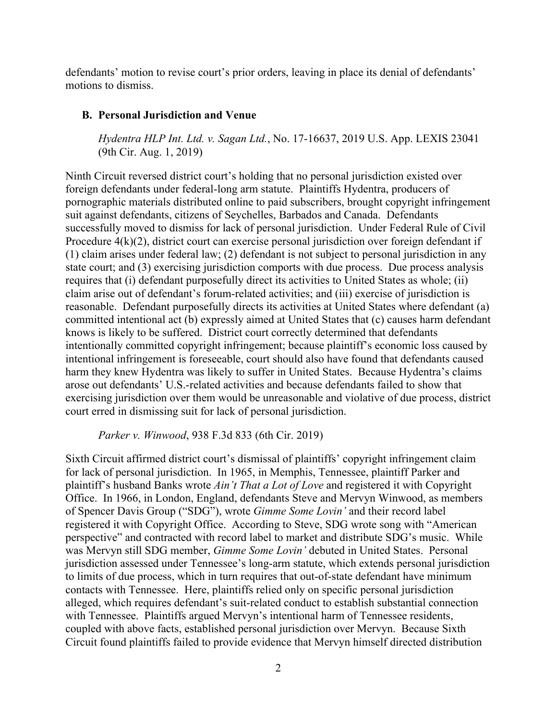defendants' motion to revise court's prior orders, leaving in place its denial of defendants' motions to dismiss.

#### <span id="page-13-0"></span>**B. Personal Jurisdiction and Venue**

*Hydentra HLP Int. Ltd. v. Sagan Ltd.*, No. 17-16637, 2019 U.S. App. LEXIS 23041 (9th Cir. Aug. 1, 2019)

Ninth Circuit reversed district court's holding that no personal jurisdiction existed over foreign defendants under federal-long arm statute. Plaintiffs Hydentra, producers of pornographic materials distributed online to paid subscribers, brought copyright infringement suit against defendants, citizens of Seychelles, Barbados and Canada. Defendants successfully moved to dismiss for lack of personal jurisdiction. Under Federal Rule of Civil Procedure 4(k)(2), district court can exercise personal jurisdiction over foreign defendant if (1) claim arises under federal law; (2) defendant is not subject to personal jurisdiction in any state court; and (3) exercising jurisdiction comports with due process. Due process analysis requires that (i) defendant purposefully direct its activities to United States as whole; (ii) claim arise out of defendant's forum-related activities; and (iii) exercise of jurisdiction is reasonable. Defendant purposefully directs its activities at United States where defendant (a) committed intentional act (b) expressly aimed at United States that (c) causes harm defendant knows is likely to be suffered. District court correctly determined that defendants intentionally committed copyright infringement; because plaintiff's economic loss caused by intentional infringement is foreseeable, court should also have found that defendants caused harm they knew Hydentra was likely to suffer in United States. Because Hydentra's claims arose out defendants' U.S.-related activities and because defendants failed to show that exercising jurisdiction over them would be unreasonable and violative of due process, district court erred in dismissing suit for lack of personal jurisdiction.

*Parker v. Winwood*, 938 F.3d 833 (6th Cir. 2019)

Sixth Circuit affirmed district court's dismissal of plaintiffs' copyright infringement claim for lack of personal jurisdiction. In 1965, in Memphis, Tennessee, plaintiff Parker and plaintiff's husband Banks wrote *Ain't That a Lot of Love* and registered it with Copyright Office. In 1966, in London, England, defendants Steve and Mervyn Winwood, as members of Spencer Davis Group ("SDG"), wrote *Gimme Some Lovin'* and their record label registered it with Copyright Office. According to Steve, SDG wrote song with "American perspective" and contracted with record label to market and distribute SDG's music. While was Mervyn still SDG member, *Gimme Some Lovin'* debuted in United States. Personal jurisdiction assessed under Tennessee's long-arm statute, which extends personal jurisdiction to limits of due process, which in turn requires that out-of-state defendant have minimum contacts with Tennessee. Here, plaintiffs relied only on specific personal jurisdiction alleged, which requires defendant's suit-related conduct to establish substantial connection with Tennessee. Plaintiffs argued Mervyn's intentional harm of Tennessee residents, coupled with above facts, established personal jurisdiction over Mervyn. Because Sixth Circuit found plaintiffs failed to provide evidence that Mervyn himself directed distribution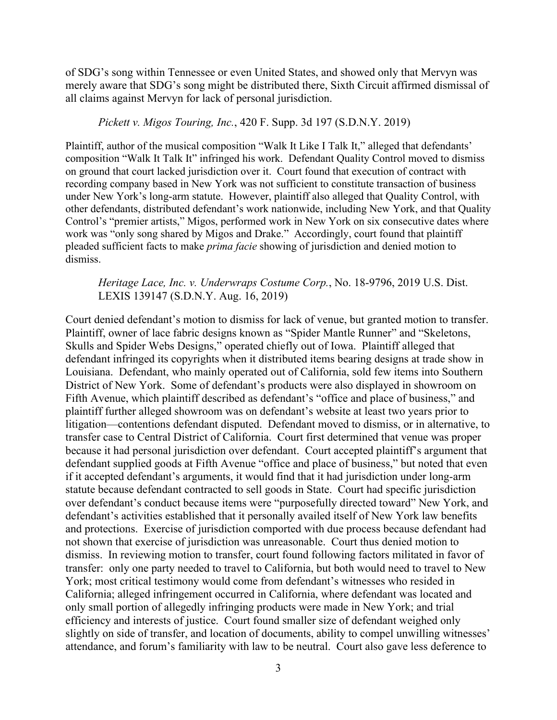of SDG's song within Tennessee or even United States, and showed only that Mervyn was merely aware that SDG's song might be distributed there, Sixth Circuit affirmed dismissal of all claims against Mervyn for lack of personal jurisdiction.

*Pickett v. Migos Touring, Inc.*, 420 F. Supp. 3d 197 (S.D.N.Y. 2019)

Plaintiff, author of the musical composition "Walk It Like I Talk It," alleged that defendants' composition "Walk It Talk It" infringed his work. Defendant Quality Control moved to dismiss on ground that court lacked jurisdiction over it. Court found that execution of contract with recording company based in New York was not sufficient to constitute transaction of business under New York's long-arm statute. However, plaintiff also alleged that Quality Control, with other defendants, distributed defendant's work nationwide, including New York, and that Quality Control's "premier artists," Migos, performed work in New York on six consecutive dates where work was "only song shared by Migos and Drake." Accordingly, court found that plaintiff pleaded sufficient facts to make *prima facie* showing of jurisdiction and denied motion to dismiss.

*Heritage Lace, Inc. v. Underwraps Costume Corp.*, No. 18-9796, 2019 U.S. Dist. LEXIS 139147 (S.D.N.Y. Aug. 16, 2019)

Court denied defendant's motion to dismiss for lack of venue, but granted motion to transfer. Plaintiff, owner of lace fabric designs known as "Spider Mantle Runner" and "Skeletons, Skulls and Spider Webs Designs," operated chiefly out of Iowa. Plaintiff alleged that defendant infringed its copyrights when it distributed items bearing designs at trade show in Louisiana. Defendant, who mainly operated out of California, sold few items into Southern District of New York. Some of defendant's products were also displayed in showroom on Fifth Avenue, which plaintiff described as defendant's "office and place of business," and plaintiff further alleged showroom was on defendant's website at least two years prior to litigation—contentions defendant disputed. Defendant moved to dismiss, or in alternative, to transfer case to Central District of California. Court first determined that venue was proper because it had personal jurisdiction over defendant. Court accepted plaintiff's argument that defendant supplied goods at Fifth Avenue "office and place of business," but noted that even if it accepted defendant's arguments, it would find that it had jurisdiction under long-arm statute because defendant contracted to sell goods in State. Court had specific jurisdiction over defendant's conduct because items were "purposefully directed toward" New York, and defendant's activities established that it personally availed itself of New York law benefits and protections. Exercise of jurisdiction comported with due process because defendant had not shown that exercise of jurisdiction was unreasonable. Court thus denied motion to dismiss. In reviewing motion to transfer, court found following factors militated in favor of transfer: only one party needed to travel to California, but both would need to travel to New York; most critical testimony would come from defendant's witnesses who resided in California; alleged infringement occurred in California, where defendant was located and only small portion of allegedly infringing products were made in New York; and trial efficiency and interests of justice. Court found smaller size of defendant weighed only slightly on side of transfer, and location of documents, ability to compel unwilling witnesses' attendance, and forum's familiarity with law to be neutral. Court also gave less deference to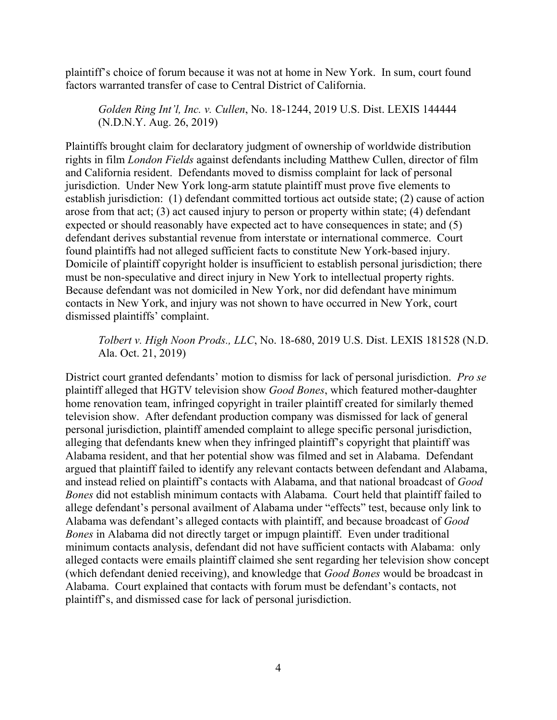plaintiff's choice of forum because it was not at home in New York. In sum, court found factors warranted transfer of case to Central District of California.

*Golden Ring Int'l, Inc. v. Cullen*, No. 18-1244, 2019 U.S. Dist. LEXIS 144444 (N.D.N.Y. Aug. 26, 2019)

Plaintiffs brought claim for declaratory judgment of ownership of worldwide distribution rights in film *London Fields* against defendants including Matthew Cullen, director of film and California resident. Defendants moved to dismiss complaint for lack of personal jurisdiction. Under New York long-arm statute plaintiff must prove five elements to establish jurisdiction: (1) defendant committed tortious act outside state; (2) cause of action arose from that act; (3) act caused injury to person or property within state; (4) defendant expected or should reasonably have expected act to have consequences in state; and (5) defendant derives substantial revenue from interstate or international commerce. Court found plaintiffs had not alleged sufficient facts to constitute New York-based injury. Domicile of plaintiff copyright holder is insufficient to establish personal jurisdiction; there must be non-speculative and direct injury in New York to intellectual property rights. Because defendant was not domiciled in New York, nor did defendant have minimum contacts in New York, and injury was not shown to have occurred in New York, court dismissed plaintiffs' complaint.

*Tolbert v. High Noon Prods., LLC*, No. 18-680, 2019 U.S. Dist. LEXIS 181528 (N.D. Ala. Oct. 21, 2019)

District court granted defendants' motion to dismiss for lack of personal jurisdiction. *Pro se* plaintiff alleged that HGTV television show *Good Bones*, which featured mother-daughter home renovation team, infringed copyright in trailer plaintiff created for similarly themed television show. After defendant production company was dismissed for lack of general personal jurisdiction, plaintiff amended complaint to allege specific personal jurisdiction, alleging that defendants knew when they infringed plaintiff's copyright that plaintiff was Alabama resident, and that her potential show was filmed and set in Alabama. Defendant argued that plaintiff failed to identify any relevant contacts between defendant and Alabama, and instead relied on plaintiff's contacts with Alabama, and that national broadcast of *Good Bones* did not establish minimum contacts with Alabama. Court held that plaintiff failed to allege defendant's personal availment of Alabama under "effects" test, because only link to Alabama was defendant's alleged contacts with plaintiff, and because broadcast of *Good Bones* in Alabama did not directly target or impugn plaintiff. Even under traditional minimum contacts analysis, defendant did not have sufficient contacts with Alabama: only alleged contacts were emails plaintiff claimed she sent regarding her television show concept (which defendant denied receiving), and knowledge that *Good Bones* would be broadcast in Alabama. Court explained that contacts with forum must be defendant's contacts, not plaintiff's, and dismissed case for lack of personal jurisdiction.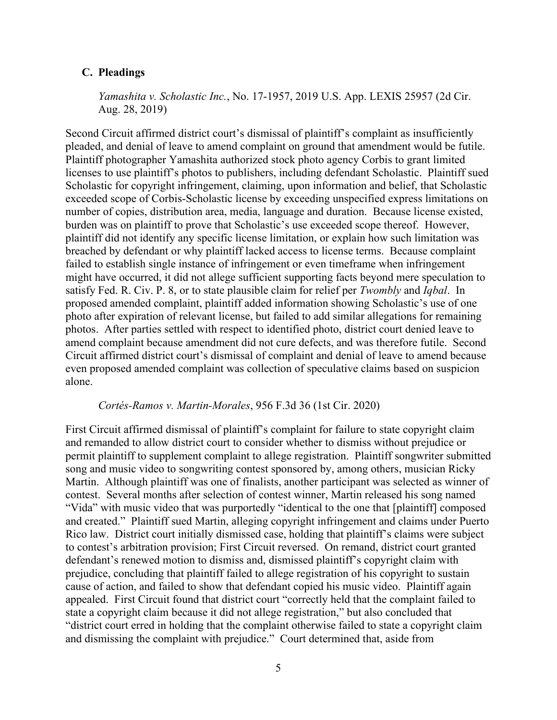#### <span id="page-16-0"></span>**C. Pleadings**

*Yamashita v. Scholastic Inc.*, No. 17-1957, 2019 U.S. App. LEXIS 25957 (2d Cir. Aug. 28, 2019)

Second Circuit affirmed district court's dismissal of plaintiff's complaint as insufficiently pleaded, and denial of leave to amend complaint on ground that amendment would be futile. Plaintiff photographer Yamashita authorized stock photo agency Corbis to grant limited licenses to use plaintiff's photos to publishers, including defendant Scholastic. Plaintiff sued Scholastic for copyright infringement, claiming, upon information and belief, that Scholastic exceeded scope of Corbis-Scholastic license by exceeding unspecified express limitations on number of copies, distribution area, media, language and duration. Because license existed, burden was on plaintiff to prove that Scholastic's use exceeded scope thereof. However, plaintiff did not identify any specific license limitation, or explain how such limitation was breached by defendant or why plaintiff lacked access to license terms. Because complaint failed to establish single instance of infringement or even timeframe when infringement might have occurred, it did not allege sufficient supporting facts beyond mere speculation to satisfy Fed. R. Civ. P. 8, or to state plausible claim for relief per *Twombly* and *Iqbal*. In proposed amended complaint, plaintiff added information showing Scholastic's use of one photo after expiration of relevant license, but failed to add similar allegations for remaining photos. After parties settled with respect to identified photo, district court denied leave to amend complaint because amendment did not cure defects, and was therefore futile. Second Circuit affirmed district court's dismissal of complaint and denial of leave to amend because even proposed amended complaint was collection of speculative claims based on suspicion alone.

#### *Cortés-Ramos v. Martin-Morales*, 956 F.3d 36 (1st Cir. 2020)

First Circuit affirmed dismissal of plaintiff's complaint for failure to state copyright claim and remanded to allow district court to consider whether to dismiss without prejudice or permit plaintiff to supplement complaint to allege registration. Plaintiff songwriter submitted song and music video to songwriting contest sponsored by, among others, musician Ricky Martin. Although plaintiff was one of finalists, another participant was selected as winner of contest. Several months after selection of contest winner, Martin released his song named "Vida" with music video that was purportedly "identical to the one that [plaintiff] composed and created." Plaintiff sued Martin, alleging copyright infringement and claims under Puerto Rico law. District court initially dismissed case, holding that plaintiff's claims were subject to contest's arbitration provision; First Circuit reversed. On remand, district court granted defendant's renewed motion to dismiss and, dismissed plaintiff's copyright claim with prejudice, concluding that plaintiff failed to allege registration of his copyright to sustain cause of action, and failed to show that defendant copied his music video. Plaintiff again appealed. First Circuit found that district court "correctly held that the complaint failed to state a copyright claim because it did not allege registration," but also concluded that "district court erred in holding that the complaint otherwise failed to state a copyright claim and dismissing the complaint with prejudice." Court determined that, aside from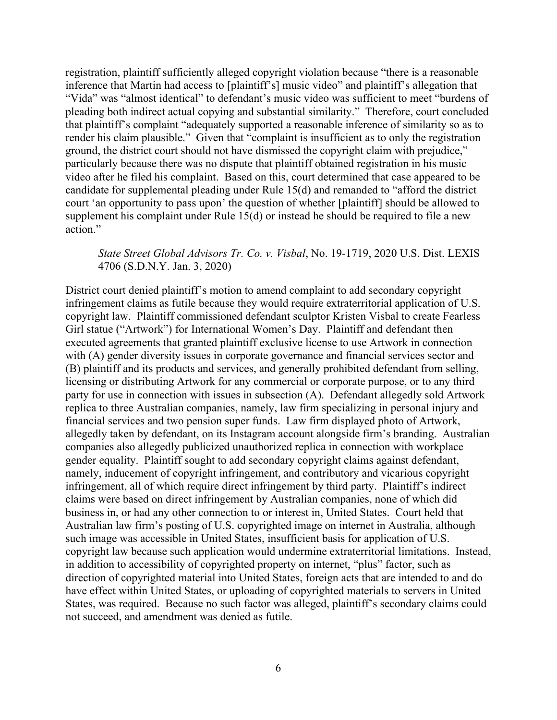registration, plaintiff sufficiently alleged copyright violation because "there is a reasonable inference that Martin had access to [plaintiff's] music video" and plaintiff's allegation that "Vida" was "almost identical" to defendant's music video was sufficient to meet "burdens of pleading both indirect actual copying and substantial similarity." Therefore, court concluded that plaintiff's complaint "adequately supported a reasonable inference of similarity so as to render his claim plausible." Given that "complaint is insufficient as to only the registration ground, the district court should not have dismissed the copyright claim with prejudice," particularly because there was no dispute that plaintiff obtained registration in his music video after he filed his complaint. Based on this, court determined that case appeared to be candidate for supplemental pleading under Rule 15(d) and remanded to "afford the district court 'an opportunity to pass upon' the question of whether [plaintiff] should be allowed to supplement his complaint under Rule 15(d) or instead he should be required to file a new action."

## *State Street Global Advisors Tr. Co. v. Visbal*, No. 19-1719, 2020 U.S. Dist. LEXIS 4706 (S.D.N.Y. Jan. 3, 2020)

District court denied plaintiff's motion to amend complaint to add secondary copyright infringement claims as futile because they would require extraterritorial application of U.S. copyright law. Plaintiff commissioned defendant sculptor Kristen Visbal to create Fearless Girl statue ("Artwork") for International Women's Day. Plaintiff and defendant then executed agreements that granted plaintiff exclusive license to use Artwork in connection with (A) gender diversity issues in corporate governance and financial services sector and (B) plaintiff and its products and services, and generally prohibited defendant from selling, licensing or distributing Artwork for any commercial or corporate purpose, or to any third party for use in connection with issues in subsection (A). Defendant allegedly sold Artwork replica to three Australian companies, namely, law firm specializing in personal injury and financial services and two pension super funds. Law firm displayed photo of Artwork, allegedly taken by defendant, on its Instagram account alongside firm's branding. Australian companies also allegedly publicized unauthorized replica in connection with workplace gender equality. Plaintiff sought to add secondary copyright claims against defendant, namely, inducement of copyright infringement, and contributory and vicarious copyright infringement, all of which require direct infringement by third party. Plaintiff's indirect claims were based on direct infringement by Australian companies, none of which did business in, or had any other connection to or interest in, United States. Court held that Australian law firm's posting of U.S. copyrighted image on internet in Australia, although such image was accessible in United States, insufficient basis for application of U.S. copyright law because such application would undermine extraterritorial limitations. Instead, in addition to accessibility of copyrighted property on internet, "plus" factor, such as direction of copyrighted material into United States, foreign acts that are intended to and do have effect within United States, or uploading of copyrighted materials to servers in United States, was required. Because no such factor was alleged, plaintiff's secondary claims could not succeed, and amendment was denied as futile.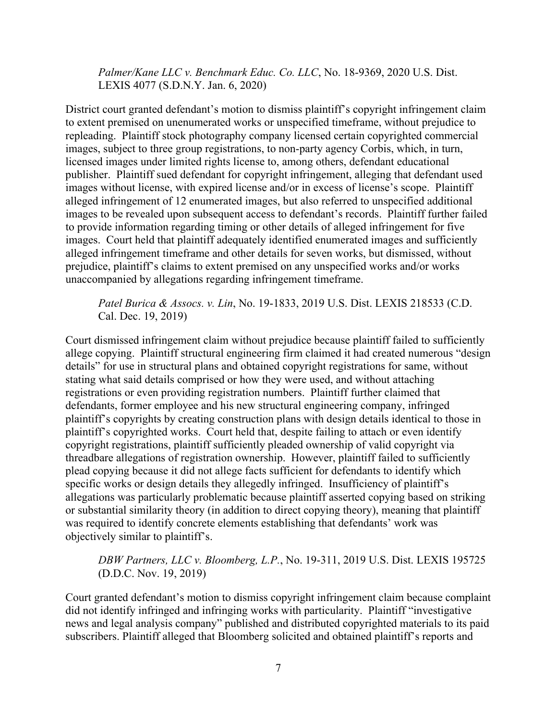*Palmer/Kane LLC v. Benchmark Educ. Co. LLC*, No. 18-9369, 2020 U.S. Dist. LEXIS 4077 (S.D.N.Y. Jan. 6, 2020)

District court granted defendant's motion to dismiss plaintiff's copyright infringement claim to extent premised on unenumerated works or unspecified timeframe, without prejudice to repleading. Plaintiff stock photography company licensed certain copyrighted commercial images, subject to three group registrations, to non-party agency Corbis, which, in turn, licensed images under limited rights license to, among others, defendant educational publisher. Plaintiff sued defendant for copyright infringement, alleging that defendant used images without license, with expired license and/or in excess of license's scope. Plaintiff alleged infringement of 12 enumerated images, but also referred to unspecified additional images to be revealed upon subsequent access to defendant's records. Plaintiff further failed to provide information regarding timing or other details of alleged infringement for five images. Court held that plaintiff adequately identified enumerated images and sufficiently alleged infringement timeframe and other details for seven works, but dismissed, without prejudice, plaintiff's claims to extent premised on any unspecified works and/or works unaccompanied by allegations regarding infringement timeframe.

## *Patel Burica & Assocs. v. Lin*, No. 19-1833, 2019 U.S. Dist. LEXIS 218533 (C.D. Cal. Dec. 19, 2019)

Court dismissed infringement claim without prejudice because plaintiff failed to sufficiently allege copying. Plaintiff structural engineering firm claimed it had created numerous "design details" for use in structural plans and obtained copyright registrations for same, without stating what said details comprised or how they were used, and without attaching registrations or even providing registration numbers. Plaintiff further claimed that defendants, former employee and his new structural engineering company, infringed plaintiff's copyrights by creating construction plans with design details identical to those in plaintiff's copyrighted works. Court held that, despite failing to attach or even identify copyright registrations, plaintiff sufficiently pleaded ownership of valid copyright via threadbare allegations of registration ownership. However, plaintiff failed to sufficiently plead copying because it did not allege facts sufficient for defendants to identify which specific works or design details they allegedly infringed. Insufficiency of plaintiff's allegations was particularly problematic because plaintiff asserted copying based on striking or substantial similarity theory (in addition to direct copying theory), meaning that plaintiff was required to identify concrete elements establishing that defendants' work was objectively similar to plaintiff's.

## *DBW Partners, LLC v. Bloomberg, L.P.*, No. 19-311, 2019 U.S. Dist. LEXIS 195725 (D.D.C. Nov. 19, 2019)

Court granted defendant's motion to dismiss copyright infringement claim because complaint did not identify infringed and infringing works with particularity. Plaintiff "investigative news and legal analysis company" published and distributed copyrighted materials to its paid subscribers. Plaintiff alleged that Bloomberg solicited and obtained plaintiff's reports and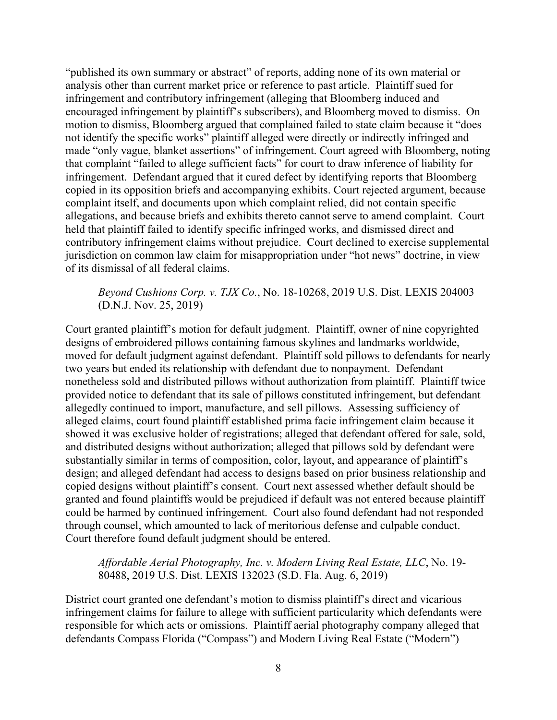"published its own summary or abstract" of reports, adding none of its own material or analysis other than current market price or reference to past article. Plaintiff sued for infringement and contributory infringement (alleging that Bloomberg induced and encouraged infringement by plaintiff's subscribers), and Bloomberg moved to dismiss. On motion to dismiss, Bloomberg argued that complained failed to state claim because it "does not identify the specific works" plaintiff alleged were directly or indirectly infringed and made "only vague, blanket assertions" of infringement. Court agreed with Bloomberg, noting that complaint "failed to allege sufficient facts" for court to draw inference of liability for infringement. Defendant argued that it cured defect by identifying reports that Bloomberg copied in its opposition briefs and accompanying exhibits. Court rejected argument, because complaint itself, and documents upon which complaint relied, did not contain specific allegations, and because briefs and exhibits thereto cannot serve to amend complaint. Court held that plaintiff failed to identify specific infringed works, and dismissed direct and contributory infringement claims without prejudice. Court declined to exercise supplemental jurisdiction on common law claim for misappropriation under "hot news" doctrine, in view of its dismissal of all federal claims.

## *Beyond Cushions Corp. v. TJX Co.*, No. 18-10268, 2019 U.S. Dist. LEXIS 204003 (D.N.J. Nov. 25, 2019)

Court granted plaintiff's motion for default judgment. Plaintiff, owner of nine copyrighted designs of embroidered pillows containing famous skylines and landmarks worldwide, moved for default judgment against defendant. Plaintiff sold pillows to defendants for nearly two years but ended its relationship with defendant due to nonpayment. Defendant nonetheless sold and distributed pillows without authorization from plaintiff. Plaintiff twice provided notice to defendant that its sale of pillows constituted infringement, but defendant allegedly continued to import, manufacture, and sell pillows. Assessing sufficiency of alleged claims, court found plaintiff established prima facie infringement claim because it showed it was exclusive holder of registrations; alleged that defendant offered for sale, sold, and distributed designs without authorization; alleged that pillows sold by defendant were substantially similar in terms of composition, color, layout, and appearance of plaintiff's design; and alleged defendant had access to designs based on prior business relationship and copied designs without plaintiff's consent. Court next assessed whether default should be granted and found plaintiffs would be prejudiced if default was not entered because plaintiff could be harmed by continued infringement. Court also found defendant had not responded through counsel, which amounted to lack of meritorious defense and culpable conduct. Court therefore found default judgment should be entered.

## *Affordable Aerial Photography, Inc. v. Modern Living Real Estate, LLC*, No. 19- 80488, 2019 U.S. Dist. LEXIS 132023 (S.D. Fla. Aug. 6, 2019)

District court granted one defendant's motion to dismiss plaintiff's direct and vicarious infringement claims for failure to allege with sufficient particularity which defendants were responsible for which acts or omissions. Plaintiff aerial photography company alleged that defendants Compass Florida ("Compass") and Modern Living Real Estate ("Modern")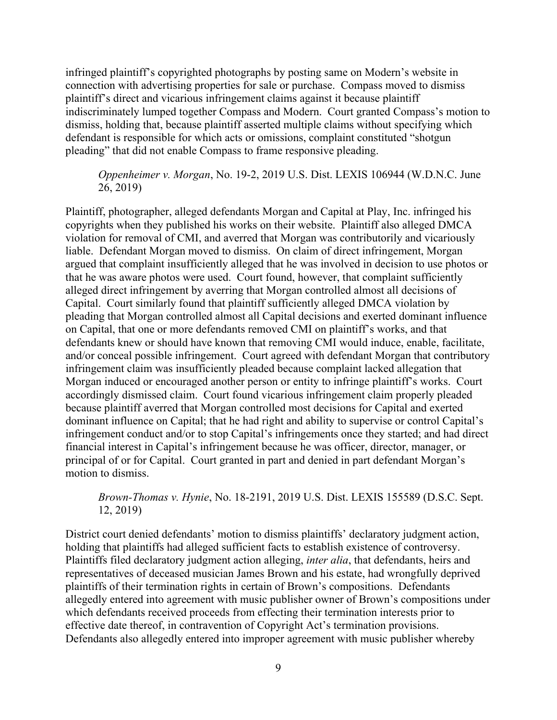infringed plaintiff's copyrighted photographs by posting same on Modern's website in connection with advertising properties for sale or purchase. Compass moved to dismiss plaintiff's direct and vicarious infringement claims against it because plaintiff indiscriminately lumped together Compass and Modern. Court granted Compass's motion to dismiss, holding that, because plaintiff asserted multiple claims without specifying which defendant is responsible for which acts or omissions, complaint constituted "shotgun pleading" that did not enable Compass to frame responsive pleading.

*Oppenheimer v. Morgan*, No. 19-2, 2019 U.S. Dist. LEXIS 106944 (W.D.N.C. June 26, 2019)

Plaintiff, photographer, alleged defendants Morgan and Capital at Play, Inc. infringed his copyrights when they published his works on their website. Plaintiff also alleged DMCA violation for removal of CMI, and averred that Morgan was contributorily and vicariously liable. Defendant Morgan moved to dismiss. On claim of direct infringement, Morgan argued that complaint insufficiently alleged that he was involved in decision to use photos or that he was aware photos were used. Court found, however, that complaint sufficiently alleged direct infringement by averring that Morgan controlled almost all decisions of Capital. Court similarly found that plaintiff sufficiently alleged DMCA violation by pleading that Morgan controlled almost all Capital decisions and exerted dominant influence on Capital, that one or more defendants removed CMI on plaintiff's works, and that defendants knew or should have known that removing CMI would induce, enable, facilitate, and/or conceal possible infringement. Court agreed with defendant Morgan that contributory infringement claim was insufficiently pleaded because complaint lacked allegation that Morgan induced or encouraged another person or entity to infringe plaintiff's works. Court accordingly dismissed claim. Court found vicarious infringement claim properly pleaded because plaintiff averred that Morgan controlled most decisions for Capital and exerted dominant influence on Capital; that he had right and ability to supervise or control Capital's infringement conduct and/or to stop Capital's infringements once they started; and had direct financial interest in Capital's infringement because he was officer, director, manager, or principal of or for Capital. Court granted in part and denied in part defendant Morgan's motion to dismiss.

*Brown-Thomas v. Hynie*, No. 18-2191, 2019 U.S. Dist. LEXIS 155589 (D.S.C. Sept. 12, 2019)

District court denied defendants' motion to dismiss plaintiffs' declaratory judgment action, holding that plaintiffs had alleged sufficient facts to establish existence of controversy. Plaintiffs filed declaratory judgment action alleging, *inter alia*, that defendants, heirs and representatives of deceased musician James Brown and his estate, had wrongfully deprived plaintiffs of their termination rights in certain of Brown's compositions. Defendants allegedly entered into agreement with music publisher owner of Brown's compositions under which defendants received proceeds from effecting their termination interests prior to effective date thereof, in contravention of Copyright Act's termination provisions. Defendants also allegedly entered into improper agreement with music publisher whereby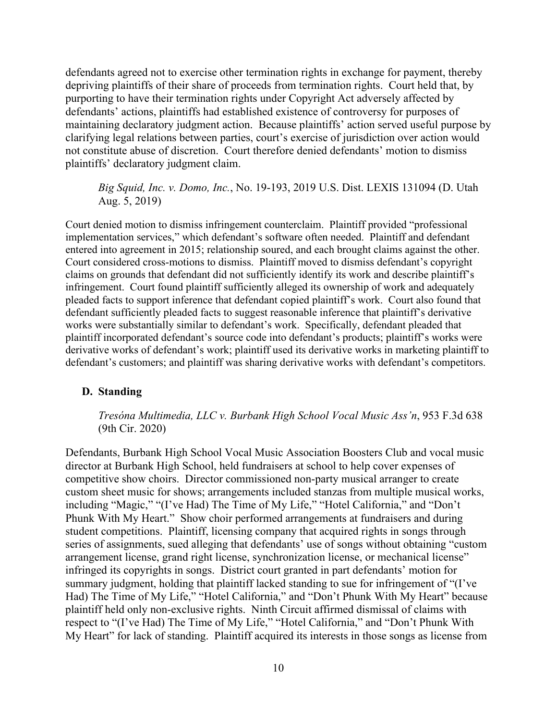defendants agreed not to exercise other termination rights in exchange for payment, thereby depriving plaintiffs of their share of proceeds from termination rights. Court held that, by purporting to have their termination rights under Copyright Act adversely affected by defendants' actions, plaintiffs had established existence of controversy for purposes of maintaining declaratory judgment action. Because plaintiffs' action served useful purpose by clarifying legal relations between parties, court's exercise of jurisdiction over action would not constitute abuse of discretion. Court therefore denied defendants' motion to dismiss plaintiffs' declaratory judgment claim.

*Big Squid, Inc. v. Domo, Inc.*, No. 19-193, 2019 U.S. Dist. LEXIS 131094 (D. Utah Aug. 5, 2019)

Court denied motion to dismiss infringement counterclaim. Plaintiff provided "professional implementation services," which defendant's software often needed. Plaintiff and defendant entered into agreement in 2015; relationship soured, and each brought claims against the other. Court considered cross-motions to dismiss. Plaintiff moved to dismiss defendant's copyright claims on grounds that defendant did not sufficiently identify its work and describe plaintiff's infringement. Court found plaintiff sufficiently alleged its ownership of work and adequately pleaded facts to support inference that defendant copied plaintiff's work. Court also found that defendant sufficiently pleaded facts to suggest reasonable inference that plaintiff's derivative works were substantially similar to defendant's work. Specifically, defendant pleaded that plaintiff incorporated defendant's source code into defendant's products; plaintiff's works were derivative works of defendant's work; plaintiff used its derivative works in marketing plaintiff to defendant's customers; and plaintiff was sharing derivative works with defendant's competitors.

## <span id="page-21-0"></span>**D. Standing**

*Tresóna Multimedia, LLC v. Burbank High School Vocal Music Ass'n*, 953 F.3d 638 (9th Cir. 2020)

Defendants, Burbank High School Vocal Music Association Boosters Club and vocal music director at Burbank High School, held fundraisers at school to help cover expenses of competitive show choirs. Director commissioned non-party musical arranger to create custom sheet music for shows; arrangements included stanzas from multiple musical works, including "Magic," "(I've Had) The Time of My Life," "Hotel California," and "Don't Phunk With My Heart." Show choir performed arrangements at fundraisers and during student competitions. Plaintiff, licensing company that acquired rights in songs through series of assignments, sued alleging that defendants' use of songs without obtaining "custom arrangement license, grand right license, synchronization license, or mechanical license" infringed its copyrights in songs. District court granted in part defendants' motion for summary judgment, holding that plaintiff lacked standing to sue for infringement of "(I've Had) The Time of My Life," "Hotel California," and "Don't Phunk With My Heart" because plaintiff held only non-exclusive rights. Ninth Circuit affirmed dismissal of claims with respect to "(I've Had) The Time of My Life," "Hotel California," and "Don't Phunk With My Heart" for lack of standing. Plaintiff acquired its interests in those songs as license from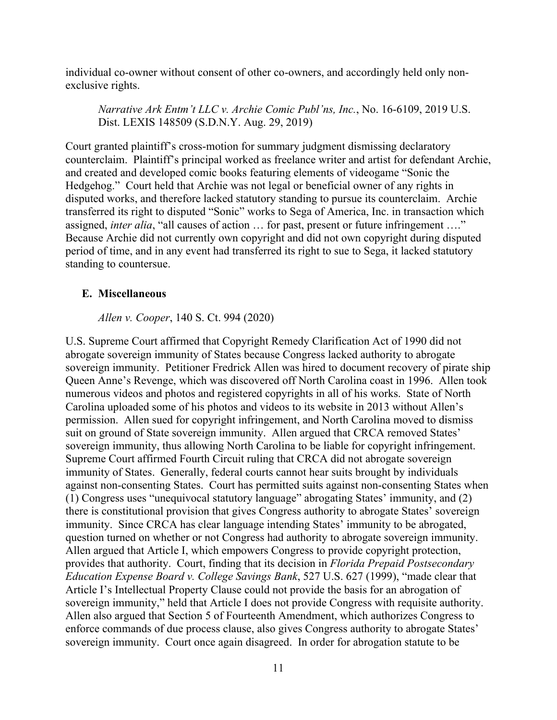individual co-owner without consent of other co-owners, and accordingly held only nonexclusive rights.

*Narrative Ark Entm't LLC v. Archie Comic Publ'ns, Inc.*, No. 16-6109, 2019 U.S. Dist. LEXIS 148509 (S.D.N.Y. Aug. 29, 2019)

Court granted plaintiff's cross-motion for summary judgment dismissing declaratory counterclaim. Plaintiff's principal worked as freelance writer and artist for defendant Archie, and created and developed comic books featuring elements of videogame "Sonic the Hedgehog." Court held that Archie was not legal or beneficial owner of any rights in disputed works, and therefore lacked statutory standing to pursue its counterclaim. Archie transferred its right to disputed "Sonic" works to Sega of America, Inc. in transaction which assigned, *inter alia*, "all causes of action … for past, present or future infringement …." Because Archie did not currently own copyright and did not own copyright during disputed period of time, and in any event had transferred its right to sue to Sega, it lacked statutory standing to countersue.

## <span id="page-22-0"></span>**E. Miscellaneous**

*Allen v. Cooper*, 140 S. Ct. 994 (2020)

U.S. Supreme Court affirmed that Copyright Remedy Clarification Act of 1990 did not abrogate sovereign immunity of States because Congress lacked authority to abrogate sovereign immunity. Petitioner Fredrick Allen was hired to document recovery of pirate ship Queen Anne's Revenge, which was discovered off North Carolina coast in 1996. Allen took numerous videos and photos and registered copyrights in all of his works. State of North Carolina uploaded some of his photos and videos to its website in 2013 without Allen's permission. Allen sued for copyright infringement, and North Carolina moved to dismiss suit on ground of State sovereign immunity. Allen argued that CRCA removed States' sovereign immunity, thus allowing North Carolina to be liable for copyright infringement. Supreme Court affirmed Fourth Circuit ruling that CRCA did not abrogate sovereign immunity of States. Generally, federal courts cannot hear suits brought by individuals against non-consenting States. Court has permitted suits against non-consenting States when (1) Congress uses "unequivocal statutory language" abrogating States' immunity, and (2) there is constitutional provision that gives Congress authority to abrogate States' sovereign immunity. Since CRCA has clear language intending States' immunity to be abrogated, question turned on whether or not Congress had authority to abrogate sovereign immunity. Allen argued that Article I, which empowers Congress to provide copyright protection, provides that authority. Court, finding that its decision in *Florida Prepaid Postsecondary Education Expense Board v. College Savings Bank*, 527 U.S. 627 (1999), "made clear that Article I's Intellectual Property Clause could not provide the basis for an abrogation of sovereign immunity," held that Article I does not provide Congress with requisite authority. Allen also argued that Section 5 of Fourteenth Amendment, which authorizes Congress to enforce commands of due process clause, also gives Congress authority to abrogate States' sovereign immunity. Court once again disagreed. In order for abrogation statute to be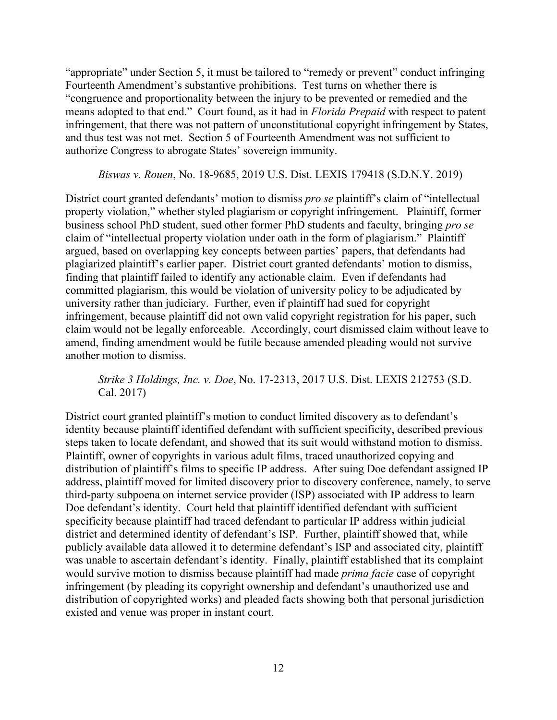"appropriate" under Section 5, it must be tailored to "remedy or prevent" conduct infringing Fourteenth Amendment's substantive prohibitions. Test turns on whether there is "congruence and proportionality between the injury to be prevented or remedied and the means adopted to that end." Court found, as it had in *Florida Prepaid* with respect to patent infringement, that there was not pattern of unconstitutional copyright infringement by States, and thus test was not met. Section 5 of Fourteenth Amendment was not sufficient to authorize Congress to abrogate States' sovereign immunity.

*Biswas v. Rouen*, No. 18-9685, 2019 U.S. Dist. LEXIS 179418 (S.D.N.Y. 2019)

District court granted defendants' motion to dismiss *pro se* plaintiff's claim of "intellectual property violation," whether styled plagiarism or copyright infringement. Plaintiff, former business school PhD student, sued other former PhD students and faculty, bringing *pro se* claim of "intellectual property violation under oath in the form of plagiarism." Plaintiff argued, based on overlapping key concepts between parties' papers, that defendants had plagiarized plaintiff's earlier paper. District court granted defendants' motion to dismiss, finding that plaintiff failed to identify any actionable claim. Even if defendants had committed plagiarism, this would be violation of university policy to be adjudicated by university rather than judiciary. Further, even if plaintiff had sued for copyright infringement, because plaintiff did not own valid copyright registration for his paper, such claim would not be legally enforceable. Accordingly, court dismissed claim without leave to amend, finding amendment would be futile because amended pleading would not survive another motion to dismiss.

*Strike 3 Holdings, Inc. v. Doe*, No. 17-2313, 2017 U.S. Dist. LEXIS 212753 (S.D. Cal. 2017)

District court granted plaintiff's motion to conduct limited discovery as to defendant's identity because plaintiff identified defendant with sufficient specificity, described previous steps taken to locate defendant, and showed that its suit would withstand motion to dismiss. Plaintiff, owner of copyrights in various adult films, traced unauthorized copying and distribution of plaintiff's films to specific IP address. After suing Doe defendant assigned IP address, plaintiff moved for limited discovery prior to discovery conference, namely, to serve third-party subpoena on internet service provider (ISP) associated with IP address to learn Doe defendant's identity. Court held that plaintiff identified defendant with sufficient specificity because plaintiff had traced defendant to particular IP address within judicial district and determined identity of defendant's ISP. Further, plaintiff showed that, while publicly available data allowed it to determine defendant's ISP and associated city, plaintiff was unable to ascertain defendant's identity. Finally, plaintiff established that its complaint would survive motion to dismiss because plaintiff had made *prima facie* case of copyright infringement (by pleading its copyright ownership and defendant's unauthorized use and distribution of copyrighted works) and pleaded facts showing both that personal jurisdiction existed and venue was proper in instant court.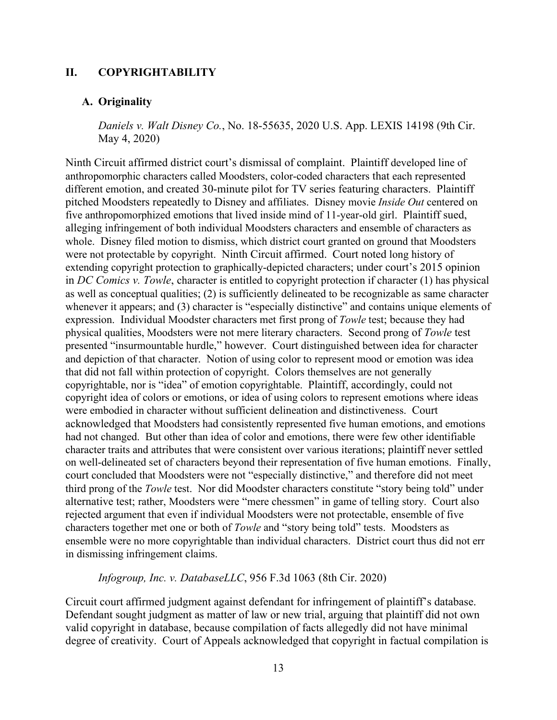## <span id="page-24-0"></span>**II. COPYRIGHTABILITY**

#### <span id="page-24-1"></span>**A. Originality**

*Daniels v. Walt Disney Co.*, No. 18-55635, 2020 U.S. App. LEXIS 14198 (9th Cir. May 4, 2020)

Ninth Circuit affirmed district court's dismissal of complaint. Plaintiff developed line of anthropomorphic characters called Moodsters, color-coded characters that each represented different emotion, and created 30-minute pilot for TV series featuring characters. Plaintiff pitched Moodsters repeatedly to Disney and affiliates. Disney movie *Inside Out* centered on five anthropomorphized emotions that lived inside mind of 11-year-old girl. Plaintiff sued, alleging infringement of both individual Moodsters characters and ensemble of characters as whole. Disney filed motion to dismiss, which district court granted on ground that Moodsters were not protectable by copyright. Ninth Circuit affirmed. Court noted long history of extending copyright protection to graphically-depicted characters; under court's 2015 opinion in *DC Comics v. Towle*, character is entitled to copyright protection if character (1) has physical as well as conceptual qualities; (2) is sufficiently delineated to be recognizable as same character whenever it appears; and (3) character is "especially distinctive" and contains unique elements of expression. Individual Moodster characters met first prong of *Towle* test; because they had physical qualities, Moodsters were not mere literary characters. Second prong of *Towle* test presented "insurmountable hurdle," however. Court distinguished between idea for character and depiction of that character. Notion of using color to represent mood or emotion was idea that did not fall within protection of copyright. Colors themselves are not generally copyrightable, nor is "idea" of emotion copyrightable. Plaintiff, accordingly, could not copyright idea of colors or emotions, or idea of using colors to represent emotions where ideas were embodied in character without sufficient delineation and distinctiveness. Court acknowledged that Moodsters had consistently represented five human emotions, and emotions had not changed. But other than idea of color and emotions, there were few other identifiable character traits and attributes that were consistent over various iterations; plaintiff never settled on well-delineated set of characters beyond their representation of five human emotions. Finally, court concluded that Moodsters were not "especially distinctive," and therefore did not meet third prong of the *Towle* test. Nor did Moodster characters constitute "story being told" under alternative test; rather, Moodsters were "mere chessmen" in game of telling story. Court also rejected argument that even if individual Moodsters were not protectable, ensemble of five characters together met one or both of *Towle* and "story being told" tests. Moodsters as ensemble were no more copyrightable than individual characters. District court thus did not err in dismissing infringement claims.

*Infogroup, Inc. v. DatabaseLLC*, 956 F.3d 1063 (8th Cir. 2020)

Circuit court affirmed judgment against defendant for infringement of plaintiff's database. Defendant sought judgment as matter of law or new trial, arguing that plaintiff did not own valid copyright in database, because compilation of facts allegedly did not have minimal degree of creativity. Court of Appeals acknowledged that copyright in factual compilation is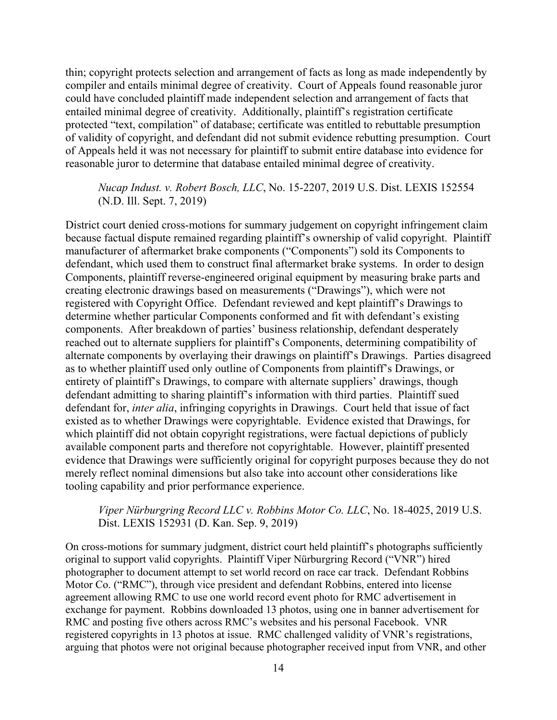thin; copyright protects selection and arrangement of facts as long as made independently by compiler and entails minimal degree of creativity. Court of Appeals found reasonable juror could have concluded plaintiff made independent selection and arrangement of facts that entailed minimal degree of creativity. Additionally, plaintiff's registration certificate protected "text, compilation" of database; certificate was entitled to rebuttable presumption of validity of copyright, and defendant did not submit evidence rebutting presumption. Court of Appeals held it was not necessary for plaintiff to submit entire database into evidence for reasonable juror to determine that database entailed minimal degree of creativity.

## *Nucap Indust. v. Robert Bosch, LLC*, No. 15-2207, 2019 U.S. Dist. LEXIS 152554 (N.D. Ill. Sept. 7, 2019)

District court denied cross-motions for summary judgement on copyright infringement claim because factual dispute remained regarding plaintiff's ownership of valid copyright. Plaintiff manufacturer of aftermarket brake components ("Components") sold its Components to defendant, which used them to construct final aftermarket brake systems. In order to design Components, plaintiff reverse-engineered original equipment by measuring brake parts and creating electronic drawings based on measurements ("Drawings"), which were not registered with Copyright Office. Defendant reviewed and kept plaintiff's Drawings to determine whether particular Components conformed and fit with defendant's existing components. After breakdown of parties' business relationship, defendant desperately reached out to alternate suppliers for plaintiff's Components, determining compatibility of alternate components by overlaying their drawings on plaintiff's Drawings. Parties disagreed as to whether plaintiff used only outline of Components from plaintiff's Drawings, or entirety of plaintiff's Drawings, to compare with alternate suppliers' drawings, though defendant admitting to sharing plaintiff's information with third parties. Plaintiff sued defendant for, *inter alia*, infringing copyrights in Drawings. Court held that issue of fact existed as to whether Drawings were copyrightable. Evidence existed that Drawings, for which plaintiff did not obtain copyright registrations, were factual depictions of publicly available component parts and therefore not copyrightable. However, plaintiff presented evidence that Drawings were sufficiently original for copyright purposes because they do not merely reflect nominal dimensions but also take into account other considerations like tooling capability and prior performance experience.

## *Viper Nürburgring Record LLC v. Robbins Motor Co. LLC*, No. 18-4025, 2019 U.S. Dist. LEXIS 152931 (D. Kan. Sep. 9, 2019)

On cross-motions for summary judgment, district court held plaintiff's photographs sufficiently original to support valid copyrights. Plaintiff Viper Nürburgring Record ("VNR") hired photographer to document attempt to set world record on race car track. Defendant Robbins Motor Co. ("RMC"), through vice president and defendant Robbins, entered into license agreement allowing RMC to use one world record event photo for RMC advertisement in exchange for payment. Robbins downloaded 13 photos, using one in banner advertisement for RMC and posting five others across RMC's websites and his personal Facebook. VNR registered copyrights in 13 photos at issue. RMC challenged validity of VNR's registrations, arguing that photos were not original because photographer received input from VNR, and other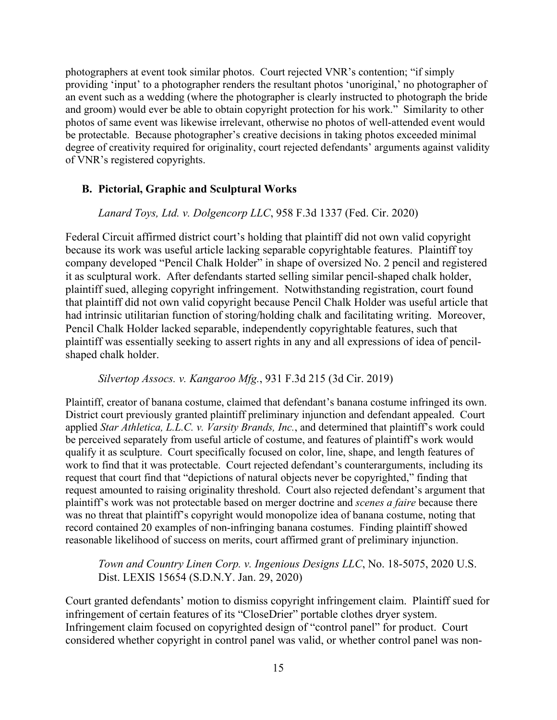photographers at event took similar photos. Court rejected VNR's contention; "if simply providing 'input' to a photographer renders the resultant photos 'unoriginal,' no photographer of an event such as a wedding (where the photographer is clearly instructed to photograph the bride and groom) would ever be able to obtain copyright protection for his work." Similarity to other photos of same event was likewise irrelevant, otherwise no photos of well-attended event would be protectable. Because photographer's creative decisions in taking photos exceeded minimal degree of creativity required for originality, court rejected defendants' arguments against validity of VNR's registered copyrights.

## <span id="page-26-0"></span>**B. Pictorial, Graphic and Sculptural Works**

*Lanard Toys, Ltd. v. Dolgencorp LLC*, 958 F.3d 1337 (Fed. Cir. 2020)

Federal Circuit affirmed district court's holding that plaintiff did not own valid copyright because its work was useful article lacking separable copyrightable features. Plaintiff toy company developed "Pencil Chalk Holder" in shape of oversized No. 2 pencil and registered it as sculptural work. After defendants started selling similar pencil-shaped chalk holder, plaintiff sued, alleging copyright infringement. Notwithstanding registration, court found that plaintiff did not own valid copyright because Pencil Chalk Holder was useful article that had intrinsic utilitarian function of storing/holding chalk and facilitating writing. Moreover, Pencil Chalk Holder lacked separable, independently copyrightable features, such that plaintiff was essentially seeking to assert rights in any and all expressions of idea of pencilshaped chalk holder.

#### *Silvertop Assocs. v. Kangaroo Mfg.*, 931 F.3d 215 (3d Cir. 2019)

Plaintiff, creator of banana costume, claimed that defendant's banana costume infringed its own. District court previously granted plaintiff preliminary injunction and defendant appealed. Court applied *Star Athletica, L.L.C. v. Varsity Brands, Inc.*, and determined that plaintiff's work could be perceived separately from useful article of costume, and features of plaintiff's work would qualify it as sculpture. Court specifically focused on color, line, shape, and length features of work to find that it was protectable. Court rejected defendant's counterarguments, including its request that court find that "depictions of natural objects never be copyrighted," finding that request amounted to raising originality threshold. Court also rejected defendant's argument that plaintiff's work was not protectable based on merger doctrine and *scenes a faire* because there was no threat that plaintiff's copyright would monopolize idea of banana costume, noting that record contained 20 examples of non-infringing banana costumes. Finding plaintiff showed reasonable likelihood of success on merits, court affirmed grant of preliminary injunction.

*Town and Country Linen Corp. v. Ingenious Designs LLC*, No. 18-5075, 2020 U.S. Dist. LEXIS 15654 (S.D.N.Y. Jan. 29, 2020)

Court granted defendants' motion to dismiss copyright infringement claim. Plaintiff sued for infringement of certain features of its "CloseDrier" portable clothes dryer system. Infringement claim focused on copyrighted design of "control panel" for product. Court considered whether copyright in control panel was valid, or whether control panel was non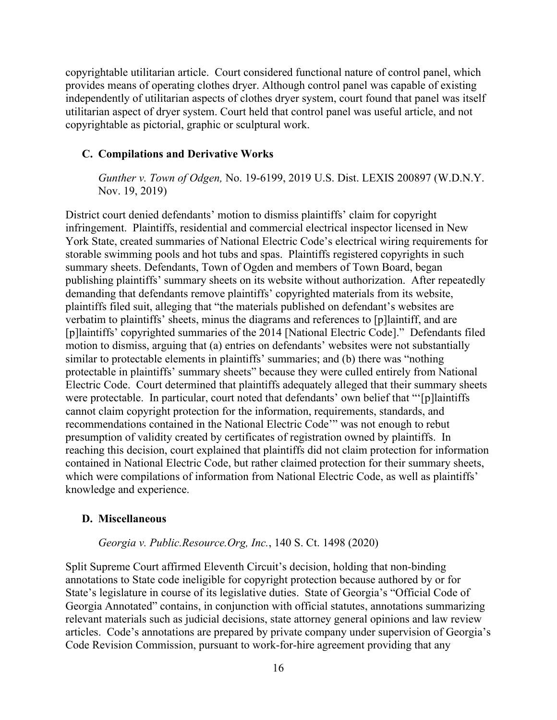copyrightable utilitarian article. Court considered functional nature of control panel, which provides means of operating clothes dryer. Although control panel was capable of existing independently of utilitarian aspects of clothes dryer system, court found that panel was itself utilitarian aspect of dryer system. Court held that control panel was useful article, and not copyrightable as pictorial, graphic or sculptural work.

#### <span id="page-27-0"></span>**C. Compilations and Derivative Works**

*Gunther v. Town of Odgen,* No. 19-6199, 2019 U.S. Dist. LEXIS 200897 (W.D.N.Y. Nov. 19, 2019)

District court denied defendants' motion to dismiss plaintiffs' claim for copyright infringement. Plaintiffs, residential and commercial electrical inspector licensed in New York State, created summaries of National Electric Code's electrical wiring requirements for storable swimming pools and hot tubs and spas. Plaintiffs registered copyrights in such summary sheets. Defendants, Town of Ogden and members of Town Board, began publishing plaintiffs' summary sheets on its website without authorization. After repeatedly demanding that defendants remove plaintiffs' copyrighted materials from its website, plaintiffs filed suit, alleging that "the materials published on defendant's websites are verbatim to plaintiffs' sheets, minus the diagrams and references to [p]laintiff, and are [p]laintiffs' copyrighted summaries of the 2014 [National Electric Code]." Defendants filed motion to dismiss, arguing that (a) entries on defendants' websites were not substantially similar to protectable elements in plaintiffs' summaries; and (b) there was "nothing protectable in plaintiffs' summary sheets" because they were culled entirely from National Electric Code. Court determined that plaintiffs adequately alleged that their summary sheets were protectable. In particular, court noted that defendants' own belief that "'[p]laintiffs cannot claim copyright protection for the information, requirements, standards, and recommendations contained in the National Electric Code'" was not enough to rebut presumption of validity created by certificates of registration owned by plaintiffs. In reaching this decision, court explained that plaintiffs did not claim protection for information contained in National Electric Code, but rather claimed protection for their summary sheets, which were compilations of information from National Electric Code, as well as plaintiffs' knowledge and experience.

#### <span id="page-27-1"></span>**D. Miscellaneous**

#### *Georgia v. Public.Resource.Org, Inc.*, 140 S. Ct. 1498 (2020)

Split Supreme Court affirmed Eleventh Circuit's decision, holding that non-binding annotations to State code ineligible for copyright protection because authored by or for State's legislature in course of its legislative duties. State of Georgia's "Official Code of Georgia Annotated" contains, in conjunction with official statutes, annotations summarizing relevant materials such as judicial decisions, state attorney general opinions and law review articles. Code's annotations are prepared by private company under supervision of Georgia's Code Revision Commission, pursuant to work-for-hire agreement providing that any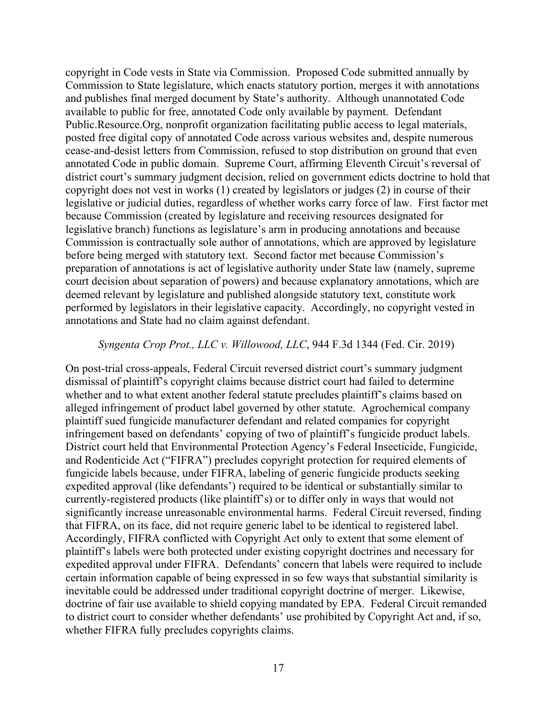copyright in Code vests in State via Commission. Proposed Code submitted annually by Commission to State legislature, which enacts statutory portion, merges it with annotations and publishes final merged document by State's authority. Although unannotated Code available to public for free, annotated Code only available by payment. Defendant Public.Resource.Org, nonprofit organization facilitating public access to legal materials, posted free digital copy of annotated Code across various websites and, despite numerous cease-and-desist letters from Commission, refused to stop distribution on ground that even annotated Code in public domain. Supreme Court, affirming Eleventh Circuit's reversal of district court's summary judgment decision, relied on government edicts doctrine to hold that copyright does not vest in works (1) created by legislators or judges (2) in course of their legislative or judicial duties, regardless of whether works carry force of law. First factor met because Commission (created by legislature and receiving resources designated for legislative branch) functions as legislature's arm in producing annotations and because Commission is contractually sole author of annotations, which are approved by legislature before being merged with statutory text. Second factor met because Commission's preparation of annotations is act of legislative authority under State law (namely, supreme court decision about separation of powers) and because explanatory annotations, which are deemed relevant by legislature and published alongside statutory text, constitute work performed by legislators in their legislative capacity. Accordingly, no copyright vested in annotations and State had no claim against defendant.

#### *Syngenta Crop Prot., LLC v. Willowood, LLC*, 944 F.3d 1344 (Fed. Cir. 2019)

On post-trial cross-appeals, Federal Circuit reversed district court's summary judgment dismissal of plaintiff's copyright claims because district court had failed to determine whether and to what extent another federal statute precludes plaintiff's claims based on alleged infringement of product label governed by other statute. Agrochemical company plaintiff sued fungicide manufacturer defendant and related companies for copyright infringement based on defendants' copying of two of plaintiff's fungicide product labels. District court held that Environmental Protection Agency's Federal Insecticide, Fungicide, and Rodenticide Act ("FIFRA") precludes copyright protection for required elements of fungicide labels because, under FIFRA, labeling of generic fungicide products seeking expedited approval (like defendants') required to be identical or substantially similar to currently-registered products (like plaintiff's) or to differ only in ways that would not significantly increase unreasonable environmental harms. Federal Circuit reversed, finding that FIFRA, on its face, did not require generic label to be identical to registered label. Accordingly, FIFRA conflicted with Copyright Act only to extent that some element of plaintiff's labels were both protected under existing copyright doctrines and necessary for expedited approval under FIFRA. Defendants' concern that labels were required to include certain information capable of being expressed in so few ways that substantial similarity is inevitable could be addressed under traditional copyright doctrine of merger. Likewise, doctrine of fair use available to shield copying mandated by EPA. Federal Circuit remanded to district court to consider whether defendants' use prohibited by Copyright Act and, if so, whether FIFRA fully precludes copyrights claims.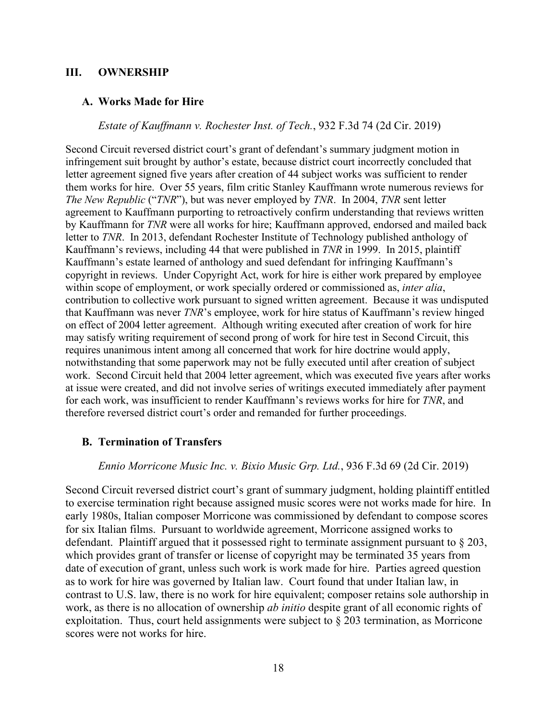#### <span id="page-29-0"></span>**III. OWNERSHIP**

#### <span id="page-29-1"></span>**A. Works Made for Hire**

*Estate of Kauffmann v. Rochester Inst. of Tech.*, 932 F.3d 74 (2d Cir. 2019)

Second Circuit reversed district court's grant of defendant's summary judgment motion in infringement suit brought by author's estate, because district court incorrectly concluded that letter agreement signed five years after creation of 44 subject works was sufficient to render them works for hire. Over 55 years, film critic Stanley Kauffmann wrote numerous reviews for *The New Republic* ("*TNR*"), but was never employed by *TNR*. In 2004, *TNR* sent letter agreement to Kauffmann purporting to retroactively confirm understanding that reviews written by Kauffmann for *TNR* were all works for hire; Kauffmann approved, endorsed and mailed back letter to *TNR*. In 2013, defendant Rochester Institute of Technology published anthology of Kauffmann's reviews, including 44 that were published in *TNR* in 1999. In 2015, plaintiff Kauffmann's estate learned of anthology and sued defendant for infringing Kauffmann's copyright in reviews. Under Copyright Act, work for hire is either work prepared by employee within scope of employment, or work specially ordered or commissioned as, *inter alia*, contribution to collective work pursuant to signed written agreement. Because it was undisputed that Kauffmann was never *TNR*'s employee, work for hire status of Kauffmann's review hinged on effect of 2004 letter agreement. Although writing executed after creation of work for hire may satisfy writing requirement of second prong of work for hire test in Second Circuit, this requires unanimous intent among all concerned that work for hire doctrine would apply, notwithstanding that some paperwork may not be fully executed until after creation of subject work. Second Circuit held that 2004 letter agreement, which was executed five years after works at issue were created, and did not involve series of writings executed immediately after payment for each work, was insufficient to render Kauffmann's reviews works for hire for *TNR*, and therefore reversed district court's order and remanded for further proceedings.

#### <span id="page-29-2"></span>**B. Termination of Transfers**

*Ennio Morricone Music Inc. v. Bixio Music Grp. Ltd.*, 936 F.3d 69 (2d Cir. 2019)

Second Circuit reversed district court's grant of summary judgment, holding plaintiff entitled to exercise termination right because assigned music scores were not works made for hire. In early 1980s, Italian composer Morricone was commissioned by defendant to compose scores for six Italian films. Pursuant to worldwide agreement, Morricone assigned works to defendant. Plaintiff argued that it possessed right to terminate assignment pursuant to § 203, which provides grant of transfer or license of copyright may be terminated 35 years from date of execution of grant, unless such work is work made for hire. Parties agreed question as to work for hire was governed by Italian law. Court found that under Italian law, in contrast to U.S. law, there is no work for hire equivalent; composer retains sole authorship in work, as there is no allocation of ownership *ab initio* despite grant of all economic rights of exploitation. Thus, court held assignments were subject to § 203 termination, as Morricone scores were not works for hire.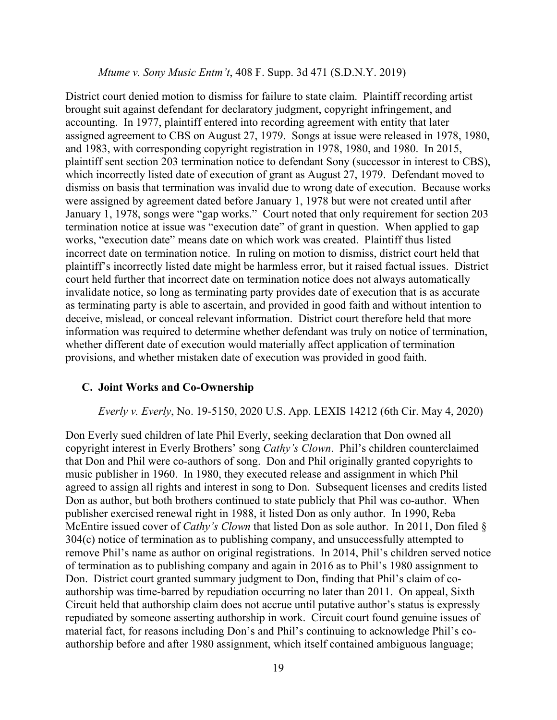#### *Mtume v. Sony Music Entm't*, 408 F. Supp. 3d 471 (S.D.N.Y. 2019)

District court denied motion to dismiss for failure to state claim. Plaintiff recording artist brought suit against defendant for declaratory judgment, copyright infringement, and accounting. In 1977, plaintiff entered into recording agreement with entity that later assigned agreement to CBS on August 27, 1979. Songs at issue were released in 1978, 1980, and 1983, with corresponding copyright registration in 1978, 1980, and 1980. In 2015, plaintiff sent section 203 termination notice to defendant Sony (successor in interest to CBS), which incorrectly listed date of execution of grant as August 27, 1979. Defendant moved to dismiss on basis that termination was invalid due to wrong date of execution. Because works were assigned by agreement dated before January 1, 1978 but were not created until after January 1, 1978, songs were "gap works." Court noted that only requirement for section 203 termination notice at issue was "execution date" of grant in question. When applied to gap works, "execution date" means date on which work was created. Plaintiff thus listed incorrect date on termination notice. In ruling on motion to dismiss, district court held that plaintiff's incorrectly listed date might be harmless error, but it raised factual issues. District court held further that incorrect date on termination notice does not always automatically invalidate notice, so long as terminating party provides date of execution that is as accurate as terminating party is able to ascertain, and provided in good faith and without intention to deceive, mislead, or conceal relevant information. District court therefore held that more information was required to determine whether defendant was truly on notice of termination, whether different date of execution would materially affect application of termination provisions, and whether mistaken date of execution was provided in good faith.

#### <span id="page-30-0"></span>**C. Joint Works and Co-Ownership**

#### *Everly v. Everly*, No. 19-5150, 2020 U.S. App. LEXIS 14212 (6th Cir. May 4, 2020)

Don Everly sued children of late Phil Everly, seeking declaration that Don owned all copyright interest in Everly Brothers' song *Cathy's Clown*. Phil's children counterclaimed that Don and Phil were co-authors of song. Don and Phil originally granted copyrights to music publisher in 1960. In 1980, they executed release and assignment in which Phil agreed to assign all rights and interest in song to Don. Subsequent licenses and credits listed Don as author, but both brothers continued to state publicly that Phil was co-author. When publisher exercised renewal right in 1988, it listed Don as only author. In 1990, Reba McEntire issued cover of *Cathy's Clown* that listed Don as sole author. In 2011, Don filed § 304(c) notice of termination as to publishing company, and unsuccessfully attempted to remove Phil's name as author on original registrations. In 2014, Phil's children served notice of termination as to publishing company and again in 2016 as to Phil's 1980 assignment to Don. District court granted summary judgment to Don, finding that Phil's claim of coauthorship was time-barred by repudiation occurring no later than 2011. On appeal, Sixth Circuit held that authorship claim does not accrue until putative author's status is expressly repudiated by someone asserting authorship in work. Circuit court found genuine issues of material fact, for reasons including Don's and Phil's continuing to acknowledge Phil's coauthorship before and after 1980 assignment, which itself contained ambiguous language;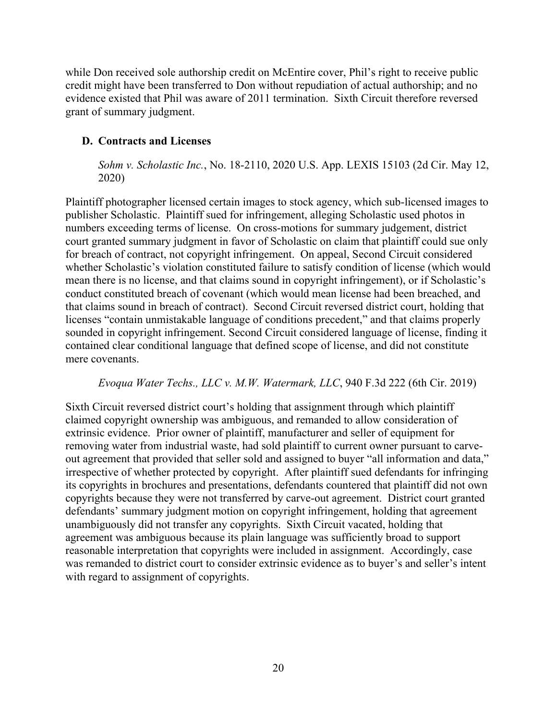while Don received sole authorship credit on McEntire cover, Phil's right to receive public credit might have been transferred to Don without repudiation of actual authorship; and no evidence existed that Phil was aware of 2011 termination. Sixth Circuit therefore reversed grant of summary judgment.

## <span id="page-31-0"></span>**D. Contracts and Licenses**

*Sohm v. Scholastic Inc.*, No. 18-2110, 2020 U.S. App. LEXIS 15103 (2d Cir. May 12, 2020)

Plaintiff photographer licensed certain images to stock agency, which sub-licensed images to publisher Scholastic. Plaintiff sued for infringement, alleging Scholastic used photos in numbers exceeding terms of license. On cross-motions for summary judgement, district court granted summary judgment in favor of Scholastic on claim that plaintiff could sue only for breach of contract, not copyright infringement. On appeal, Second Circuit considered whether Scholastic's violation constituted failure to satisfy condition of license (which would mean there is no license, and that claims sound in copyright infringement), or if Scholastic's conduct constituted breach of covenant (which would mean license had been breached, and that claims sound in breach of contract). Second Circuit reversed district court, holding that licenses "contain unmistakable language of conditions precedent," and that claims properly sounded in copyright infringement. Second Circuit considered language of license, finding it contained clear conditional language that defined scope of license, and did not constitute mere covenants.

## *Evoqua Water Techs., LLC v. M.W. Watermark, LLC*, 940 F.3d 222 (6th Cir. 2019)

Sixth Circuit reversed district court's holding that assignment through which plaintiff claimed copyright ownership was ambiguous, and remanded to allow consideration of extrinsic evidence. Prior owner of plaintiff, manufacturer and seller of equipment for removing water from industrial waste, had sold plaintiff to current owner pursuant to carveout agreement that provided that seller sold and assigned to buyer "all information and data," irrespective of whether protected by copyright. After plaintiff sued defendants for infringing its copyrights in brochures and presentations, defendants countered that plaintiff did not own copyrights because they were not transferred by carve-out agreement. District court granted defendants' summary judgment motion on copyright infringement, holding that agreement unambiguously did not transfer any copyrights. Sixth Circuit vacated, holding that agreement was ambiguous because its plain language was sufficiently broad to support reasonable interpretation that copyrights were included in assignment. Accordingly, case was remanded to district court to consider extrinsic evidence as to buyer's and seller's intent with regard to assignment of copyrights.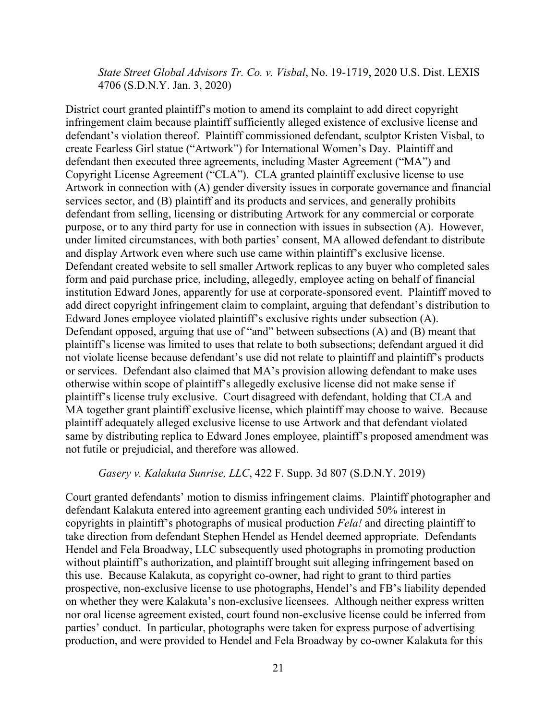*State Street Global Advisors Tr. Co. v. Visbal*, No. 19-1719, 2020 U.S. Dist. LEXIS 4706 (S.D.N.Y. Jan. 3, 2020)

District court granted plaintiff's motion to amend its complaint to add direct copyright infringement claim because plaintiff sufficiently alleged existence of exclusive license and defendant's violation thereof. Plaintiff commissioned defendant, sculptor Kristen Visbal, to create Fearless Girl statue ("Artwork") for International Women's Day. Plaintiff and defendant then executed three agreements, including Master Agreement ("MA") and Copyright License Agreement ("CLA"). CLA granted plaintiff exclusive license to use Artwork in connection with (A) gender diversity issues in corporate governance and financial services sector, and (B) plaintiff and its products and services, and generally prohibits defendant from selling, licensing or distributing Artwork for any commercial or corporate purpose, or to any third party for use in connection with issues in subsection (A). However, under limited circumstances, with both parties' consent, MA allowed defendant to distribute and display Artwork even where such use came within plaintiff's exclusive license. Defendant created website to sell smaller Artwork replicas to any buyer who completed sales form and paid purchase price, including, allegedly, employee acting on behalf of financial institution Edward Jones, apparently for use at corporate-sponsored event. Plaintiff moved to add direct copyright infringement claim to complaint, arguing that defendant's distribution to Edward Jones employee violated plaintiff's exclusive rights under subsection (A). Defendant opposed, arguing that use of "and" between subsections (A) and (B) meant that plaintiff's license was limited to uses that relate to both subsections; defendant argued it did not violate license because defendant's use did not relate to plaintiff and plaintiff's products or services. Defendant also claimed that MA's provision allowing defendant to make uses otherwise within scope of plaintiff's allegedly exclusive license did not make sense if plaintiff's license truly exclusive. Court disagreed with defendant, holding that CLA and MA together grant plaintiff exclusive license, which plaintiff may choose to waive. Because plaintiff adequately alleged exclusive license to use Artwork and that defendant violated same by distributing replica to Edward Jones employee, plaintiff's proposed amendment was not futile or prejudicial, and therefore was allowed.

#### *Gasery v. Kalakuta Sunrise, LLC*, 422 F. Supp. 3d 807 (S.D.N.Y. 2019)

Court granted defendants' motion to dismiss infringement claims. Plaintiff photographer and defendant Kalakuta entered into agreement granting each undivided 50% interest in copyrights in plaintiff's photographs of musical production *Fela!* and directing plaintiff to take direction from defendant Stephen Hendel as Hendel deemed appropriate. Defendants Hendel and Fela Broadway, LLC subsequently used photographs in promoting production without plaintiff's authorization, and plaintiff brought suit alleging infringement based on this use. Because Kalakuta, as copyright co-owner, had right to grant to third parties prospective, non-exclusive license to use photographs, Hendel's and FB's liability depended on whether they were Kalakuta's non-exclusive licensees. Although neither express written nor oral license agreement existed, court found non-exclusive license could be inferred from parties' conduct. In particular, photographs were taken for express purpose of advertising production, and were provided to Hendel and Fela Broadway by co-owner Kalakuta for this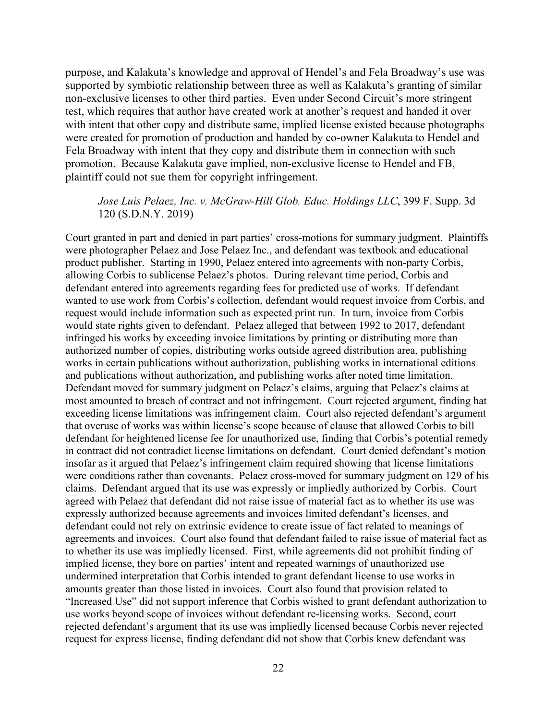purpose, and Kalakuta's knowledge and approval of Hendel's and Fela Broadway's use was supported by symbiotic relationship between three as well as Kalakuta's granting of similar non-exclusive licenses to other third parties. Even under Second Circuit's more stringent test, which requires that author have created work at another's request and handed it over with intent that other copy and distribute same, implied license existed because photographs were created for promotion of production and handed by co-owner Kalakuta to Hendel and Fela Broadway with intent that they copy and distribute them in connection with such promotion. Because Kalakuta gave implied, non-exclusive license to Hendel and FB, plaintiff could not sue them for copyright infringement.

## *Jose Luis Pelaez, Inc. v. McGraw-Hill Glob. Educ. Holdings LLC*, 399 F. Supp. 3d 120 (S.D.N.Y. 2019)

Court granted in part and denied in part parties' cross-motions for summary judgment. Plaintiffs were photographer Pelaez and Jose Pelaez Inc., and defendant was textbook and educational product publisher. Starting in 1990, Pelaez entered into agreements with non-party Corbis, allowing Corbis to sublicense Pelaez's photos. During relevant time period, Corbis and defendant entered into agreements regarding fees for predicted use of works. If defendant wanted to use work from Corbis's collection, defendant would request invoice from Corbis, and request would include information such as expected print run. In turn, invoice from Corbis would state rights given to defendant. Pelaez alleged that between 1992 to 2017, defendant infringed his works by exceeding invoice limitations by printing or distributing more than authorized number of copies, distributing works outside agreed distribution area, publishing works in certain publications without authorization, publishing works in international editions and publications without authorization, and publishing works after noted time limitation. Defendant moved for summary judgment on Pelaez's claims, arguing that Pelaez's claims at most amounted to breach of contract and not infringement. Court rejected argument, finding hat exceeding license limitations was infringement claim. Court also rejected defendant's argument that overuse of works was within license's scope because of clause that allowed Corbis to bill defendant for heightened license fee for unauthorized use, finding that Corbis's potential remedy in contract did not contradict license limitations on defendant. Court denied defendant's motion insofar as it argued that Pelaez's infringement claim required showing that license limitations were conditions rather than covenants. Pelaez cross-moved for summary judgment on 129 of his claims. Defendant argued that its use was expressly or impliedly authorized by Corbis. Court agreed with Pelaez that defendant did not raise issue of material fact as to whether its use was expressly authorized because agreements and invoices limited defendant's licenses, and defendant could not rely on extrinsic evidence to create issue of fact related to meanings of agreements and invoices. Court also found that defendant failed to raise issue of material fact as to whether its use was impliedly licensed. First, while agreements did not prohibit finding of implied license, they bore on parties' intent and repeated warnings of unauthorized use undermined interpretation that Corbis intended to grant defendant license to use works in amounts greater than those listed in invoices. Court also found that provision related to "Increased Use" did not support inference that Corbis wished to grant defendant authorization to use works beyond scope of invoices without defendant re-licensing works. Second, court rejected defendant's argument that its use was impliedly licensed because Corbis never rejected request for express license, finding defendant did not show that Corbis knew defendant was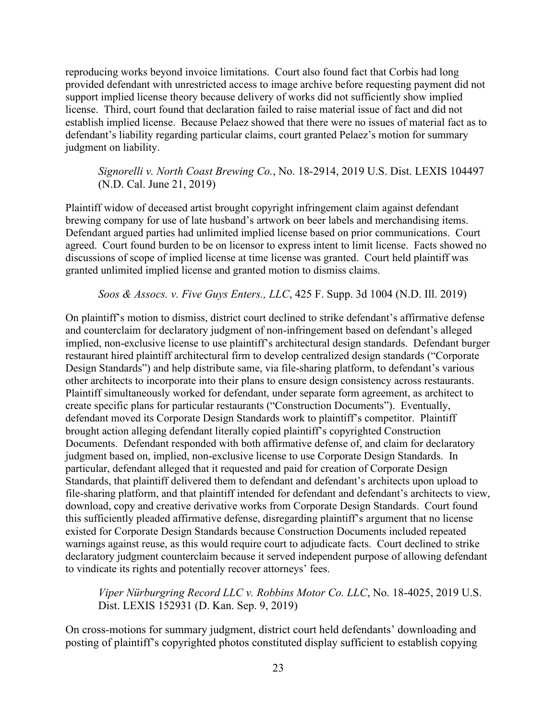reproducing works beyond invoice limitations. Court also found fact that Corbis had long provided defendant with unrestricted access to image archive before requesting payment did not support implied license theory because delivery of works did not sufficiently show implied license. Third, court found that declaration failed to raise material issue of fact and did not establish implied license. Because Pelaez showed that there were no issues of material fact as to defendant's liability regarding particular claims, court granted Pelaez's motion for summary judgment on liability.

*Signorelli v. North Coast Brewing Co.*, No. 18-2914, 2019 U.S. Dist. LEXIS 104497 (N.D. Cal. June 21, 2019)

Plaintiff widow of deceased artist brought copyright infringement claim against defendant brewing company for use of late husband's artwork on beer labels and merchandising items. Defendant argued parties had unlimited implied license based on prior communications. Court agreed. Court found burden to be on licensor to express intent to limit license. Facts showed no discussions of scope of implied license at time license was granted. Court held plaintiff was granted unlimited implied license and granted motion to dismiss claims.

*Soos & Assocs. v. Five Guys Enters., LLC*, 425 F. Supp. 3d 1004 (N.D. Ill. 2019)

On plaintiff's motion to dismiss, district court declined to strike defendant's affirmative defense and counterclaim for declaratory judgment of non-infringement based on defendant's alleged implied, non-exclusive license to use plaintiff's architectural design standards. Defendant burger restaurant hired plaintiff architectural firm to develop centralized design standards ("Corporate Design Standards") and help distribute same, via file-sharing platform, to defendant's various other architects to incorporate into their plans to ensure design consistency across restaurants. Plaintiff simultaneously worked for defendant, under separate form agreement, as architect to create specific plans for particular restaurants ("Construction Documents"). Eventually, defendant moved its Corporate Design Standards work to plaintiff's competitor. Plaintiff brought action alleging defendant literally copied plaintiff's copyrighted Construction Documents. Defendant responded with both affirmative defense of, and claim for declaratory judgment based on, implied, non-exclusive license to use Corporate Design Standards. In particular, defendant alleged that it requested and paid for creation of Corporate Design Standards, that plaintiff delivered them to defendant and defendant's architects upon upload to file-sharing platform, and that plaintiff intended for defendant and defendant's architects to view, download, copy and creative derivative works from Corporate Design Standards. Court found this sufficiently pleaded affirmative defense, disregarding plaintiff's argument that no license existed for Corporate Design Standards because Construction Documents included repeated warnings against reuse, as this would require court to adjudicate facts. Court declined to strike declaratory judgment counterclaim because it served independent purpose of allowing defendant to vindicate its rights and potentially recover attorneys' fees.

*Viper Nürburgring Record LLC v. Robbins Motor Co. LLC*, No. 18-4025, 2019 U.S. Dist. LEXIS 152931 (D. Kan. Sep. 9, 2019)

On cross-motions for summary judgment, district court held defendants' downloading and posting of plaintiff's copyrighted photos constituted display sufficient to establish copying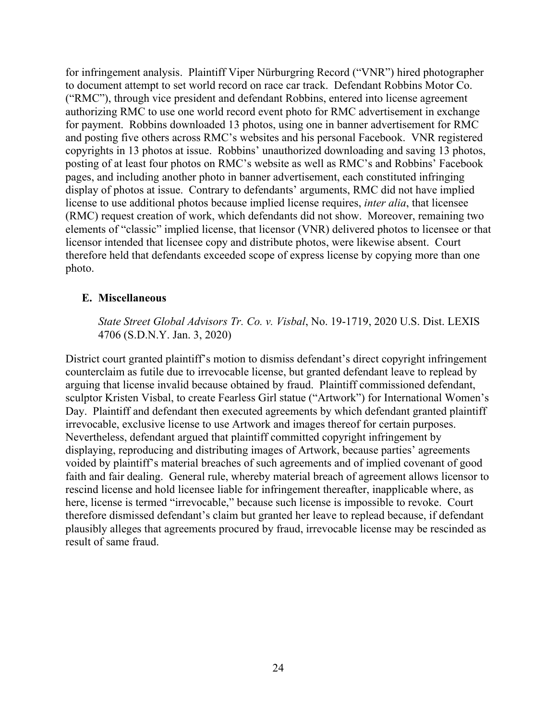for infringement analysis. Plaintiff Viper Nürburgring Record ("VNR") hired photographer to document attempt to set world record on race car track. Defendant Robbins Motor Co. ("RMC"), through vice president and defendant Robbins, entered into license agreement authorizing RMC to use one world record event photo for RMC advertisement in exchange for payment. Robbins downloaded 13 photos, using one in banner advertisement for RMC and posting five others across RMC's websites and his personal Facebook. VNR registered copyrights in 13 photos at issue. Robbins' unauthorized downloading and saving 13 photos, posting of at least four photos on RMC's website as well as RMC's and Robbins' Facebook pages, and including another photo in banner advertisement, each constituted infringing display of photos at issue. Contrary to defendants' arguments, RMC did not have implied license to use additional photos because implied license requires, *inter alia*, that licensee (RMC) request creation of work, which defendants did not show. Moreover, remaining two elements of "classic" implied license, that licensor (VNR) delivered photos to licensee or that licensor intended that licensee copy and distribute photos, were likewise absent. Court therefore held that defendants exceeded scope of express license by copying more than one photo.

## <span id="page-35-0"></span>**E. Miscellaneous**

*State Street Global Advisors Tr. Co. v. Visbal*, No. 19-1719, 2020 U.S. Dist. LEXIS 4706 (S.D.N.Y. Jan. 3, 2020)

District court granted plaintiff's motion to dismiss defendant's direct copyright infringement counterclaim as futile due to irrevocable license, but granted defendant leave to replead by arguing that license invalid because obtained by fraud. Plaintiff commissioned defendant, sculptor Kristen Visbal, to create Fearless Girl statue ("Artwork") for International Women's Day. Plaintiff and defendant then executed agreements by which defendant granted plaintiff irrevocable, exclusive license to use Artwork and images thereof for certain purposes. Nevertheless, defendant argued that plaintiff committed copyright infringement by displaying, reproducing and distributing images of Artwork, because parties' agreements voided by plaintiff's material breaches of such agreements and of implied covenant of good faith and fair dealing. General rule, whereby material breach of agreement allows licensor to rescind license and hold licensee liable for infringement thereafter, inapplicable where, as here, license is termed "irrevocable," because such license is impossible to revoke. Court therefore dismissed defendant's claim but granted her leave to replead because, if defendant plausibly alleges that agreements procured by fraud, irrevocable license may be rescinded as result of same fraud.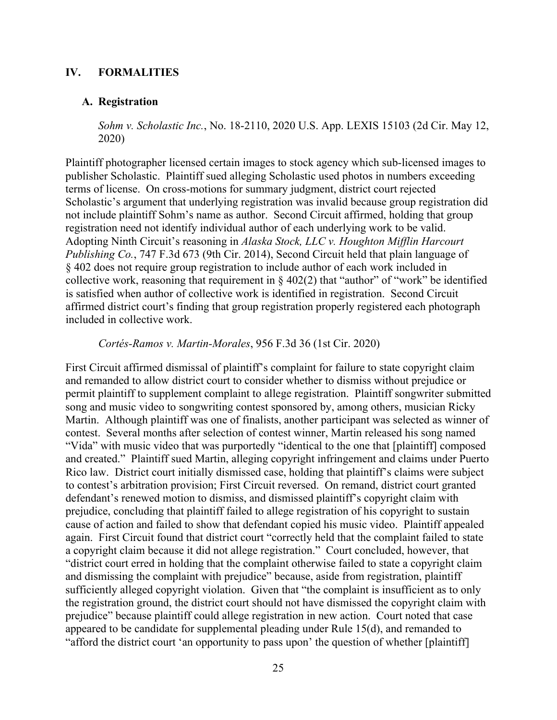## **IV. FORMALITIES**

#### **A. Registration**

*Sohm v. Scholastic Inc.*, No. 18-2110, 2020 U.S. App. LEXIS 15103 (2d Cir. May 12, 2020)

Plaintiff photographer licensed certain images to stock agency which sub-licensed images to publisher Scholastic. Plaintiff sued alleging Scholastic used photos in numbers exceeding terms of license. On cross-motions for summary judgment, district court rejected Scholastic's argument that underlying registration was invalid because group registration did not include plaintiff Sohm's name as author. Second Circuit affirmed, holding that group registration need not identify individual author of each underlying work to be valid. Adopting Ninth Circuit's reasoning in *Alaska Stock, LLC v. Houghton Mifflin Harcourt Publishing Co.*, 747 F.3d 673 (9th Cir. 2014), Second Circuit held that plain language of § 402 does not require group registration to include author of each work included in collective work, reasoning that requirement in  $\S 402(2)$  that "author" of "work" be identified is satisfied when author of collective work is identified in registration. Second Circuit affirmed district court's finding that group registration properly registered each photograph included in collective work.

*Cortés-Ramos v. Martin-Morales*, 956 F.3d 36 (1st Cir. 2020)

First Circuit affirmed dismissal of plaintiff's complaint for failure to state copyright claim and remanded to allow district court to consider whether to dismiss without prejudice or permit plaintiff to supplement complaint to allege registration. Plaintiff songwriter submitted song and music video to songwriting contest sponsored by, among others, musician Ricky Martin. Although plaintiff was one of finalists, another participant was selected as winner of contest. Several months after selection of contest winner, Martin released his song named "Vida" with music video that was purportedly "identical to the one that [plaintiff] composed and created." Plaintiff sued Martin, alleging copyright infringement and claims under Puerto Rico law. District court initially dismissed case, holding that plaintiff's claims were subject to contest's arbitration provision; First Circuit reversed. On remand, district court granted defendant's renewed motion to dismiss, and dismissed plaintiff's copyright claim with prejudice, concluding that plaintiff failed to allege registration of his copyright to sustain cause of action and failed to show that defendant copied his music video. Plaintiff appealed again. First Circuit found that district court "correctly held that the complaint failed to state a copyright claim because it did not allege registration." Court concluded, however, that "district court erred in holding that the complaint otherwise failed to state a copyright claim and dismissing the complaint with prejudice" because, aside from registration, plaintiff sufficiently alleged copyright violation. Given that "the complaint is insufficient as to only the registration ground, the district court should not have dismissed the copyright claim with prejudice" because plaintiff could allege registration in new action. Court noted that case appeared to be candidate for supplemental pleading under Rule 15(d), and remanded to "afford the district court 'an opportunity to pass upon' the question of whether [plaintiff]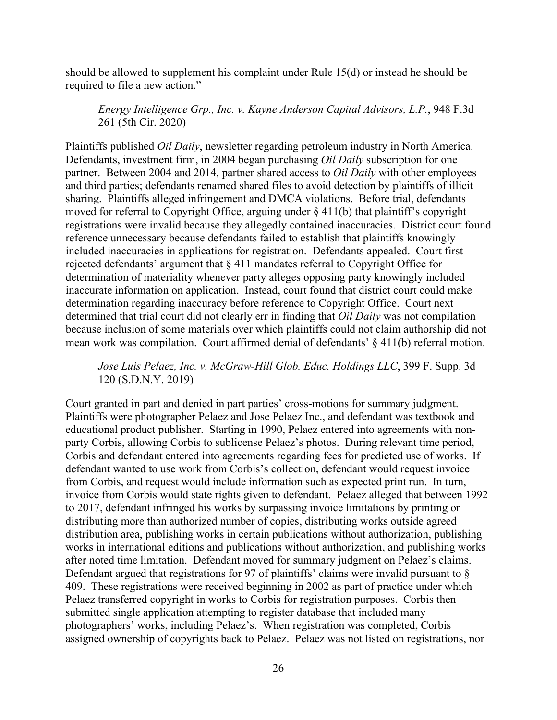should be allowed to supplement his complaint under Rule 15(d) or instead he should be required to file a new action."

## *Energy Intelligence Grp., Inc. v. Kayne Anderson Capital Advisors, L.P.*, 948 F.3d 261 (5th Cir. 2020)

Plaintiffs published *Oil Daily*, newsletter regarding petroleum industry in North America. Defendants, investment firm, in 2004 began purchasing *Oil Daily* subscription for one partner. Between 2004 and 2014, partner shared access to *Oil Daily* with other employees and third parties; defendants renamed shared files to avoid detection by plaintiffs of illicit sharing. Plaintiffs alleged infringement and DMCA violations. Before trial, defendants moved for referral to Copyright Office, arguing under § 411(b) that plaintiff's copyright registrations were invalid because they allegedly contained inaccuracies. District court found reference unnecessary because defendants failed to establish that plaintiffs knowingly included inaccuracies in applications for registration. Defendants appealed. Court first rejected defendants' argument that § 411 mandates referral to Copyright Office for determination of materiality whenever party alleges opposing party knowingly included inaccurate information on application. Instead, court found that district court could make determination regarding inaccuracy before reference to Copyright Office. Court next determined that trial court did not clearly err in finding that *Oil Daily* was not compilation because inclusion of some materials over which plaintiffs could not claim authorship did not mean work was compilation. Court affirmed denial of defendants' § 411(b) referral motion.

# *Jose Luis Pelaez, Inc. v. McGraw-Hill Glob. Educ. Holdings LLC*, 399 F. Supp. 3d 120 (S.D.N.Y. 2019)

Court granted in part and denied in part parties' cross-motions for summary judgment. Plaintiffs were photographer Pelaez and Jose Pelaez Inc., and defendant was textbook and educational product publisher. Starting in 1990, Pelaez entered into agreements with nonparty Corbis, allowing Corbis to sublicense Pelaez's photos. During relevant time period, Corbis and defendant entered into agreements regarding fees for predicted use of works. If defendant wanted to use work from Corbis's collection, defendant would request invoice from Corbis, and request would include information such as expected print run. In turn, invoice from Corbis would state rights given to defendant. Pelaez alleged that between 1992 to 2017, defendant infringed his works by surpassing invoice limitations by printing or distributing more than authorized number of copies, distributing works outside agreed distribution area, publishing works in certain publications without authorization, publishing works in international editions and publications without authorization, and publishing works after noted time limitation. Defendant moved for summary judgment on Pelaez's claims. Defendant argued that registrations for 97 of plaintiffs' claims were invalid pursuant to  $\delta$ 409. These registrations were received beginning in 2002 as part of practice under which Pelaez transferred copyright in works to Corbis for registration purposes. Corbis then submitted single application attempting to register database that included many photographers' works, including Pelaez's. When registration was completed, Corbis assigned ownership of copyrights back to Pelaez. Pelaez was not listed on registrations, nor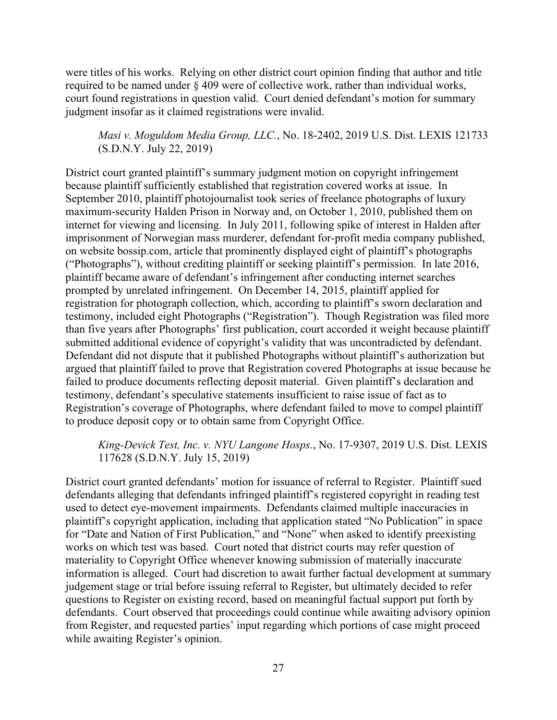were titles of his works. Relying on other district court opinion finding that author and title required to be named under § 409 were of collective work, rather than individual works, court found registrations in question valid. Court denied defendant's motion for summary judgment insofar as it claimed registrations were invalid.

# *Masi v. Moguldom Media Group, LLC.*, No. 18-2402, 2019 U.S. Dist. LEXIS 121733 (S.D.N.Y. July 22, 2019)

District court granted plaintiff's summary judgment motion on copyright infringement because plaintiff sufficiently established that registration covered works at issue. In September 2010, plaintiff photojournalist took series of freelance photographs of luxury maximum-security Halden Prison in Norway and, on October 1, 2010, published them on internet for viewing and licensing. In July 2011, following spike of interest in Halden after imprisonment of Norwegian mass murderer, defendant for-profit media company published, on website bossip.com, article that prominently displayed eight of plaintiff's photographs ("Photographs"), without crediting plaintiff or seeking plaintiff's permission. In late 2016, plaintiff became aware of defendant's infringement after conducting internet searches prompted by unrelated infringement. On December 14, 2015, plaintiff applied for registration for photograph collection, which, according to plaintiff's sworn declaration and testimony, included eight Photographs ("Registration"). Though Registration was filed more than five years after Photographs' first publication, court accorded it weight because plaintiff submitted additional evidence of copyright's validity that was uncontradicted by defendant. Defendant did not dispute that it published Photographs without plaintiff's authorization but argued that plaintiff failed to prove that Registration covered Photographs at issue because he failed to produce documents reflecting deposit material. Given plaintiff's declaration and testimony, defendant's speculative statements insufficient to raise issue of fact as to Registration's coverage of Photographs, where defendant failed to move to compel plaintiff to produce deposit copy or to obtain same from Copyright Office.

## *King-Devick Test, Inc. v. NYU Langone Hosps.*, No. 17-9307, 2019 U.S. Dist. LEXIS 117628 (S.D.N.Y. July 15, 2019)

District court granted defendants' motion for issuance of referral to Register. Plaintiff sued defendants alleging that defendants infringed plaintiff's registered copyright in reading test used to detect eye-movement impairments. Defendants claimed multiple inaccuracies in plaintiff's copyright application, including that application stated "No Publication" in space for "Date and Nation of First Publication," and "None" when asked to identify preexisting works on which test was based. Court noted that district courts may refer question of materiality to Copyright Office whenever knowing submission of materially inaccurate information is alleged. Court had discretion to await further factual development at summary judgement stage or trial before issuing referral to Register, but ultimately decided to refer questions to Register on existing record, based on meaningful factual support put forth by defendants. Court observed that proceedings could continue while awaiting advisory opinion from Register, and requested parties' input regarding which portions of case might proceed while awaiting Register's opinion.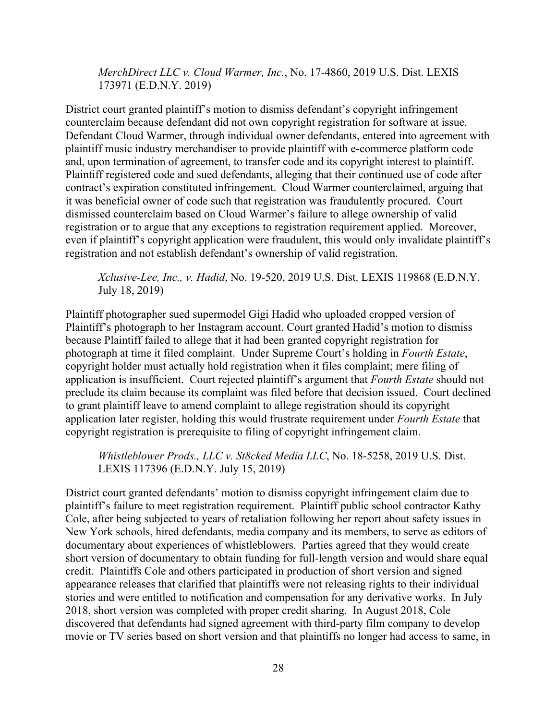*MerchDirect LLC v. Cloud Warmer, Inc.*, No. 17-4860, 2019 U.S. Dist. LEXIS 173971 (E.D.N.Y. 2019)

District court granted plaintiff's motion to dismiss defendant's copyright infringement counterclaim because defendant did not own copyright registration for software at issue. Defendant Cloud Warmer, through individual owner defendants, entered into agreement with plaintiff music industry merchandiser to provide plaintiff with e-commerce platform code and, upon termination of agreement, to transfer code and its copyright interest to plaintiff. Plaintiff registered code and sued defendants, alleging that their continued use of code after contract's expiration constituted infringement. Cloud Warmer counterclaimed, arguing that it was beneficial owner of code such that registration was fraudulently procured. Court dismissed counterclaim based on Cloud Warmer's failure to allege ownership of valid registration or to argue that any exceptions to registration requirement applied. Moreover, even if plaintiff's copyright application were fraudulent, this would only invalidate plaintiff's registration and not establish defendant's ownership of valid registration.

*Xclusive-Lee, Inc., v. Hadid*, No. 19-520, 2019 U.S. Dist. LEXIS 119868 (E.D.N.Y. July 18, 2019)

Plaintiff photographer sued supermodel Gigi Hadid who uploaded cropped version of Plaintiff's photograph to her Instagram account. Court granted Hadid's motion to dismiss because Plaintiff failed to allege that it had been granted copyright registration for photograph at time it filed complaint. Under Supreme Court's holding in *Fourth Estate*, copyright holder must actually hold registration when it files complaint; mere filing of application is insufficient. Court rejected plaintiff's argument that *Fourth Estate* should not preclude its claim because its complaint was filed before that decision issued. Court declined to grant plaintiff leave to amend complaint to allege registration should its copyright application later register, holding this would frustrate requirement under *Fourth Estate* that copyright registration is prerequisite to filing of copyright infringement claim.

*Whistleblower Prods., LLC v. St8cked Media LLC*, No. 18-5258, 2019 U.S. Dist. LEXIS 117396 (E.D.N.Y. July 15, 2019)

District court granted defendants' motion to dismiss copyright infringement claim due to plaintiff's failure to meet registration requirement. Plaintiff public school contractor Kathy Cole, after being subjected to years of retaliation following her report about safety issues in New York schools, hired defendants, media company and its members, to serve as editors of documentary about experiences of whistleblowers. Parties agreed that they would create short version of documentary to obtain funding for full-length version and would share equal credit. Plaintiffs Cole and others participated in production of short version and signed appearance releases that clarified that plaintiffs were not releasing rights to their individual stories and were entitled to notification and compensation for any derivative works. In July 2018, short version was completed with proper credit sharing. In August 2018, Cole discovered that defendants had signed agreement with third-party film company to develop movie or TV series based on short version and that plaintiffs no longer had access to same, in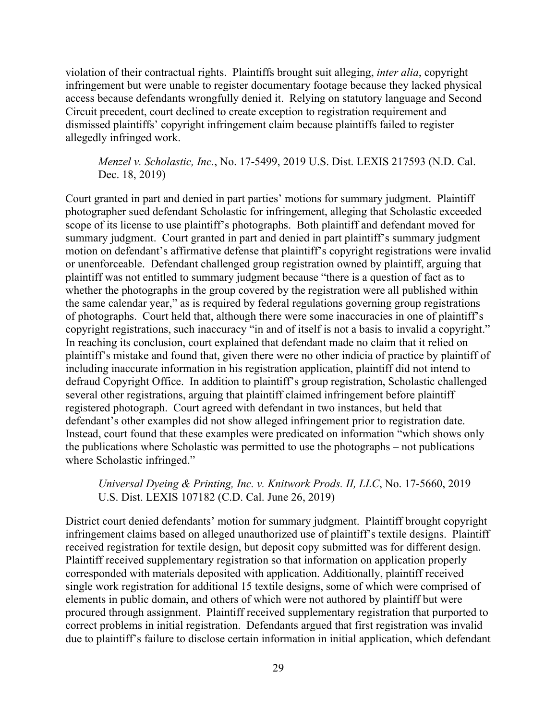violation of their contractual rights. Plaintiffs brought suit alleging, *inter alia*, copyright infringement but were unable to register documentary footage because they lacked physical access because defendants wrongfully denied it. Relying on statutory language and Second Circuit precedent, court declined to create exception to registration requirement and dismissed plaintiffs' copyright infringement claim because plaintiffs failed to register allegedly infringed work.

*Menzel v. Scholastic, Inc.*, No. 17-5499, 2019 U.S. Dist. LEXIS 217593 (N.D. Cal. Dec. 18, 2019)

Court granted in part and denied in part parties' motions for summary judgment. Plaintiff photographer sued defendant Scholastic for infringement, alleging that Scholastic exceeded scope of its license to use plaintiff's photographs. Both plaintiff and defendant moved for summary judgment. Court granted in part and denied in part plaintiff's summary judgment motion on defendant's affirmative defense that plaintiff's copyright registrations were invalid or unenforceable. Defendant challenged group registration owned by plaintiff, arguing that plaintiff was not entitled to summary judgment because "there is a question of fact as to whether the photographs in the group covered by the registration were all published within the same calendar year," as is required by federal regulations governing group registrations of photographs. Court held that, although there were some inaccuracies in one of plaintiff's copyright registrations, such inaccuracy "in and of itself is not a basis to invalid a copyright." In reaching its conclusion, court explained that defendant made no claim that it relied on plaintiff's mistake and found that, given there were no other indicia of practice by plaintiff of including inaccurate information in his registration application, plaintiff did not intend to defraud Copyright Office. In addition to plaintiff's group registration, Scholastic challenged several other registrations, arguing that plaintiff claimed infringement before plaintiff registered photograph. Court agreed with defendant in two instances, but held that defendant's other examples did not show alleged infringement prior to registration date. Instead, court found that these examples were predicated on information "which shows only the publications where Scholastic was permitted to use the photographs – not publications where Scholastic infringed."

## *Universal Dyeing & Printing, Inc. v. Knitwork Prods. II, LLC*, No. 17-5660, 2019 U.S. Dist. LEXIS 107182 (C.D. Cal. June 26, 2019)

District court denied defendants' motion for summary judgment. Plaintiff brought copyright infringement claims based on alleged unauthorized use of plaintiff's textile designs. Plaintiff received registration for textile design, but deposit copy submitted was for different design. Plaintiff received supplementary registration so that information on application properly corresponded with materials deposited with application. Additionally, plaintiff received single work registration for additional 15 textile designs, some of which were comprised of elements in public domain, and others of which were not authored by plaintiff but were procured through assignment. Plaintiff received supplementary registration that purported to correct problems in initial registration. Defendants argued that first registration was invalid due to plaintiff's failure to disclose certain information in initial application, which defendant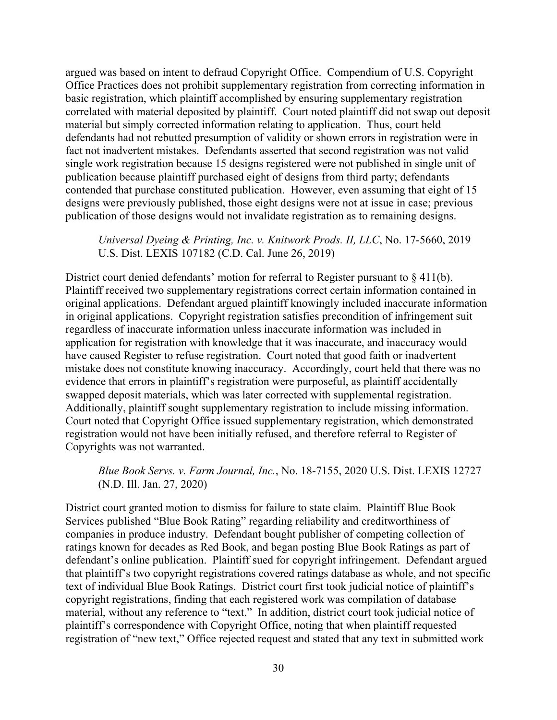argued was based on intent to defraud Copyright Office. Compendium of U.S. Copyright Office Practices does not prohibit supplementary registration from correcting information in basic registration, which plaintiff accomplished by ensuring supplementary registration correlated with material deposited by plaintiff. Court noted plaintiff did not swap out deposit material but simply corrected information relating to application. Thus, court held defendants had not rebutted presumption of validity or shown errors in registration were in fact not inadvertent mistakes. Defendants asserted that second registration was not valid single work registration because 15 designs registered were not published in single unit of publication because plaintiff purchased eight of designs from third party; defendants contended that purchase constituted publication. However, even assuming that eight of 15 designs were previously published, those eight designs were not at issue in case; previous publication of those designs would not invalidate registration as to remaining designs.

*Universal Dyeing & Printing, Inc. v. Knitwork Prods. II, LLC*, No. 17-5660, 2019 U.S. Dist. LEXIS 107182 (C.D. Cal. June 26, 2019)

District court denied defendants' motion for referral to Register pursuant to  $\S$  411(b). Plaintiff received two supplementary registrations correct certain information contained in original applications. Defendant argued plaintiff knowingly included inaccurate information in original applications. Copyright registration satisfies precondition of infringement suit regardless of inaccurate information unless inaccurate information was included in application for registration with knowledge that it was inaccurate, and inaccuracy would have caused Register to refuse registration. Court noted that good faith or inadvertent mistake does not constitute knowing inaccuracy. Accordingly, court held that there was no evidence that errors in plaintiff's registration were purposeful, as plaintiff accidentally swapped deposit materials, which was later corrected with supplemental registration. Additionally, plaintiff sought supplementary registration to include missing information. Court noted that Copyright Office issued supplementary registration, which demonstrated registration would not have been initially refused, and therefore referral to Register of Copyrights was not warranted.

*Blue Book Servs. v. Farm Journal, Inc.*, No. 18-7155, 2020 U.S. Dist. LEXIS 12727 (N.D. Ill. Jan. 27, 2020)

District court granted motion to dismiss for failure to state claim. Plaintiff Blue Book Services published "Blue Book Rating" regarding reliability and creditworthiness of companies in produce industry. Defendant bought publisher of competing collection of ratings known for decades as Red Book, and began posting Blue Book Ratings as part of defendant's online publication. Plaintiff sued for copyright infringement. Defendant argued that plaintiff's two copyright registrations covered ratings database as whole, and not specific text of individual Blue Book Ratings. District court first took judicial notice of plaintiff's copyright registrations, finding that each registered work was compilation of database material, without any reference to "text." In addition, district court took judicial notice of plaintiff's correspondence with Copyright Office, noting that when plaintiff requested registration of "new text," Office rejected request and stated that any text in submitted work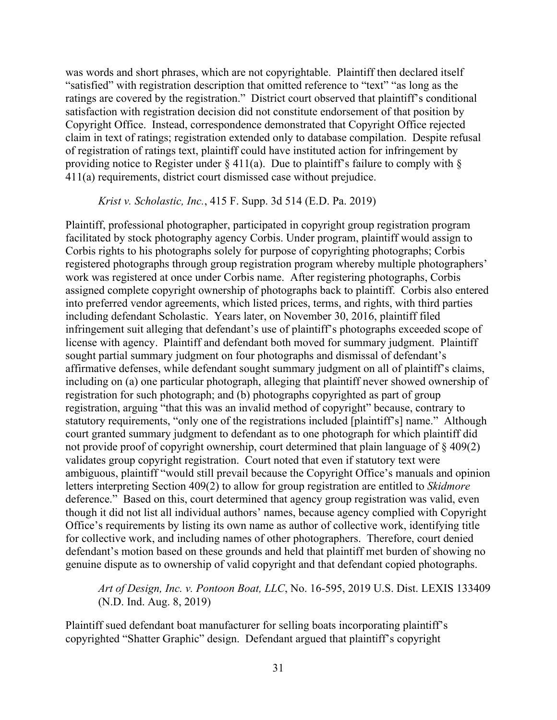was words and short phrases, which are not copyrightable. Plaintiff then declared itself "satisfied" with registration description that omitted reference to "text" "as long as the ratings are covered by the registration." District court observed that plaintiff's conditional satisfaction with registration decision did not constitute endorsement of that position by Copyright Office. Instead, correspondence demonstrated that Copyright Office rejected claim in text of ratings; registration extended only to database compilation. Despite refusal of registration of ratings text, plaintiff could have instituted action for infringement by providing notice to Register under  $\S 411(a)$ . Due to plaintiff's failure to comply with  $\S$ 411(a) requirements, district court dismissed case without prejudice.

#### *Krist v. Scholastic, Inc.*, 415 F. Supp. 3d 514 (E.D. Pa. 2019)

Plaintiff, professional photographer, participated in copyright group registration program facilitated by stock photography agency Corbis. Under program, plaintiff would assign to Corbis rights to his photographs solely for purpose of copyrighting photographs; Corbis registered photographs through group registration program whereby multiple photographers' work was registered at once under Corbis name. After registering photographs, Corbis assigned complete copyright ownership of photographs back to plaintiff. Corbis also entered into preferred vendor agreements, which listed prices, terms, and rights, with third parties including defendant Scholastic. Years later, on November 30, 2016, plaintiff filed infringement suit alleging that defendant's use of plaintiff's photographs exceeded scope of license with agency. Plaintiff and defendant both moved for summary judgment. Plaintiff sought partial summary judgment on four photographs and dismissal of defendant's affirmative defenses, while defendant sought summary judgment on all of plaintiff's claims, including on (a) one particular photograph, alleging that plaintiff never showed ownership of registration for such photograph; and (b) photographs copyrighted as part of group registration, arguing "that this was an invalid method of copyright" because, contrary to statutory requirements, "only one of the registrations included [plaintiff's] name." Although court granted summary judgment to defendant as to one photograph for which plaintiff did not provide proof of copyright ownership, court determined that plain language of  $\S 409(2)$ validates group copyright registration. Court noted that even if statutory text were ambiguous, plaintiff "would still prevail because the Copyright Office's manuals and opinion letters interpreting Section 409(2) to allow for group registration are entitled to *Skidmore* deference." Based on this, court determined that agency group registration was valid, even though it did not list all individual authors' names, because agency complied with Copyright Office's requirements by listing its own name as author of collective work, identifying title for collective work, and including names of other photographers. Therefore, court denied defendant's motion based on these grounds and held that plaintiff met burden of showing no genuine dispute as to ownership of valid copyright and that defendant copied photographs.

## *Art of Design, Inc. v. Pontoon Boat, LLC*, No. 16-595, 2019 U.S. Dist. LEXIS 133409 (N.D. Ind. Aug. 8, 2019)

Plaintiff sued defendant boat manufacturer for selling boats incorporating plaintiff's copyrighted "Shatter Graphic" design. Defendant argued that plaintiff's copyright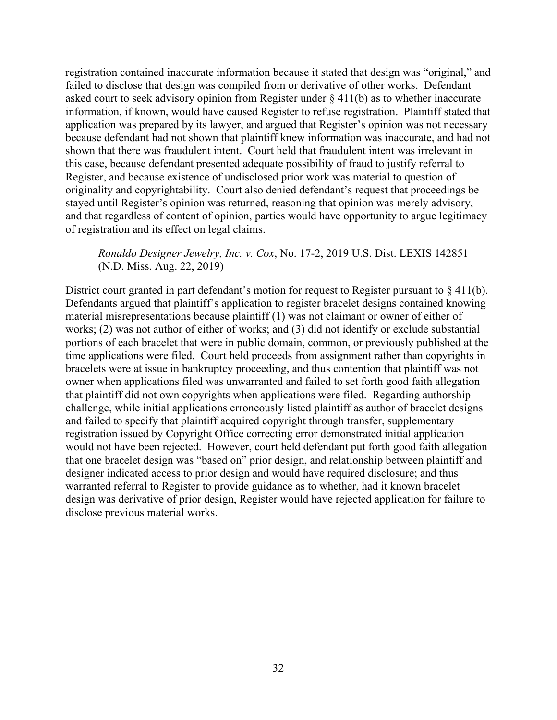registration contained inaccurate information because it stated that design was "original," and failed to disclose that design was compiled from or derivative of other works. Defendant asked court to seek advisory opinion from Register under  $\S 411(b)$  as to whether inaccurate information, if known, would have caused Register to refuse registration. Plaintiff stated that application was prepared by its lawyer, and argued that Register's opinion was not necessary because defendant had not shown that plaintiff knew information was inaccurate, and had not shown that there was fraudulent intent. Court held that fraudulent intent was irrelevant in this case, because defendant presented adequate possibility of fraud to justify referral to Register, and because existence of undisclosed prior work was material to question of originality and copyrightability. Court also denied defendant's request that proceedings be stayed until Register's opinion was returned, reasoning that opinion was merely advisory, and that regardless of content of opinion, parties would have opportunity to argue legitimacy of registration and its effect on legal claims.

# *Ronaldo Designer Jewelry, Inc. v. Cox*, No. 17-2, 2019 U.S. Dist. LEXIS 142851 (N.D. Miss. Aug. 22, 2019)

District court granted in part defendant's motion for request to Register pursuant to §411(b). Defendants argued that plaintiff's application to register bracelet designs contained knowing material misrepresentations because plaintiff (1) was not claimant or owner of either of works; (2) was not author of either of works; and (3) did not identify or exclude substantial portions of each bracelet that were in public domain, common, or previously published at the time applications were filed. Court held proceeds from assignment rather than copyrights in bracelets were at issue in bankruptcy proceeding, and thus contention that plaintiff was not owner when applications filed was unwarranted and failed to set forth good faith allegation that plaintiff did not own copyrights when applications were filed. Regarding authorship challenge, while initial applications erroneously listed plaintiff as author of bracelet designs and failed to specify that plaintiff acquired copyright through transfer, supplementary registration issued by Copyright Office correcting error demonstrated initial application would not have been rejected. However, court held defendant put forth good faith allegation that one bracelet design was "based on" prior design, and relationship between plaintiff and designer indicated access to prior design and would have required disclosure; and thus warranted referral to Register to provide guidance as to whether, had it known bracelet design was derivative of prior design, Register would have rejected application for failure to disclose previous material works.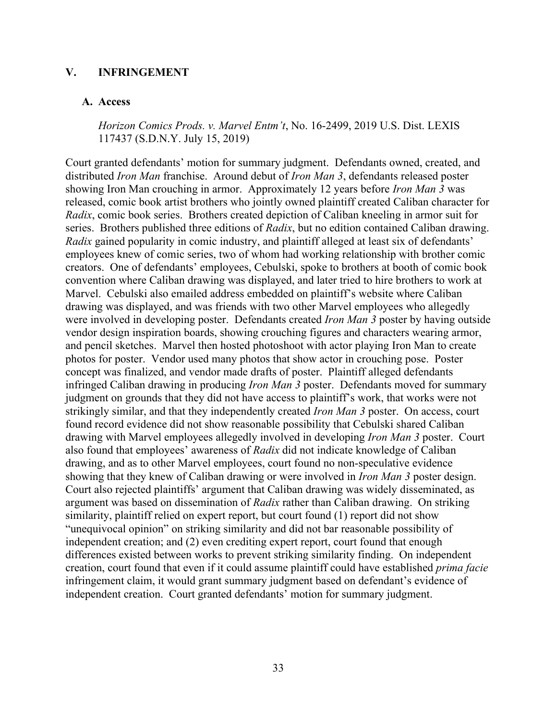### **V. INFRINGEMENT**

#### **A. Access**

*Horizon Comics Prods. v. Marvel Entm't*, No. 16-2499, 2019 U.S. Dist. LEXIS 117437 (S.D.N.Y. July 15, 2019)

Court granted defendants' motion for summary judgment. Defendants owned, created, and distributed *Iron Man* franchise. Around debut of *Iron Man 3*, defendants released poster showing Iron Man crouching in armor. Approximately 12 years before *Iron Man 3* was released, comic book artist brothers who jointly owned plaintiff created Caliban character for *Radix*, comic book series. Brothers created depiction of Caliban kneeling in armor suit for series. Brothers published three editions of *Radix*, but no edition contained Caliban drawing. *Radix* gained popularity in comic industry, and plaintiff alleged at least six of defendants' employees knew of comic series, two of whom had working relationship with brother comic creators. One of defendants' employees, Cebulski, spoke to brothers at booth of comic book convention where Caliban drawing was displayed, and later tried to hire brothers to work at Marvel. Cebulski also emailed address embedded on plaintiff's website where Caliban drawing was displayed, and was friends with two other Marvel employees who allegedly were involved in developing poster. Defendants created *Iron Man 3* poster by having outside vendor design inspiration boards, showing crouching figures and characters wearing armor, and pencil sketches. Marvel then hosted photoshoot with actor playing Iron Man to create photos for poster. Vendor used many photos that show actor in crouching pose. Poster concept was finalized, and vendor made drafts of poster. Plaintiff alleged defendants infringed Caliban drawing in producing *Iron Man 3* poster. Defendants moved for summary judgment on grounds that they did not have access to plaintiff's work, that works were not strikingly similar, and that they independently created *Iron Man 3* poster. On access, court found record evidence did not show reasonable possibility that Cebulski shared Caliban drawing with Marvel employees allegedly involved in developing *Iron Man 3* poster. Court also found that employees' awareness of *Radix* did not indicate knowledge of Caliban drawing, and as to other Marvel employees, court found no non-speculative evidence showing that they knew of Caliban drawing or were involved in *Iron Man 3* poster design. Court also rejected plaintiffs' argument that Caliban drawing was widely disseminated, as argument was based on dissemination of *Radix* rather than Caliban drawing. On striking similarity, plaintiff relied on expert report, but court found (1) report did not show "unequivocal opinion" on striking similarity and did not bar reasonable possibility of independent creation; and (2) even crediting expert report, court found that enough differences existed between works to prevent striking similarity finding. On independent creation, court found that even if it could assume plaintiff could have established *prima facie* infringement claim, it would grant summary judgment based on defendant's evidence of independent creation. Court granted defendants' motion for summary judgment.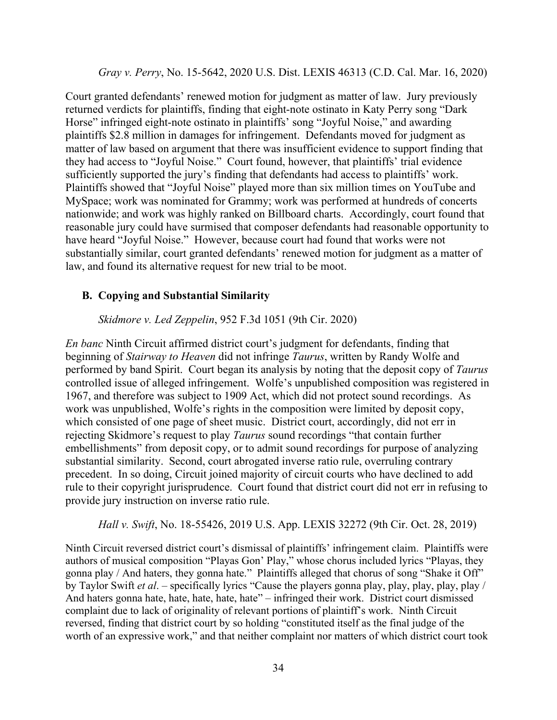*Gray v. Perry*, No. 15-5642, 2020 U.S. Dist. LEXIS 46313 (C.D. Cal. Mar. 16, 2020)

Court granted defendants' renewed motion for judgment as matter of law. Jury previously returned verdicts for plaintiffs, finding that eight-note ostinato in Katy Perry song "Dark Horse" infringed eight-note ostinato in plaintiffs' song "Joyful Noise," and awarding plaintiffs \$2.8 million in damages for infringement. Defendants moved for judgment as matter of law based on argument that there was insufficient evidence to support finding that they had access to "Joyful Noise." Court found, however, that plaintiffs' trial evidence sufficiently supported the jury's finding that defendants had access to plaintiffs' work. Plaintiffs showed that "Joyful Noise" played more than six million times on YouTube and MySpace; work was nominated for Grammy; work was performed at hundreds of concerts nationwide; and work was highly ranked on Billboard charts. Accordingly, court found that reasonable jury could have surmised that composer defendants had reasonable opportunity to have heard "Joyful Noise." However, because court had found that works were not substantially similar, court granted defendants' renewed motion for judgment as a matter of law, and found its alternative request for new trial to be moot.

## **B. Copying and Substantial Similarity**

*Skidmore v. Led Zeppelin*, 952 F.3d 1051 (9th Cir. 2020)

*En banc* Ninth Circuit affirmed district court's judgment for defendants, finding that beginning of *Stairway to Heaven* did not infringe *Taurus*, written by Randy Wolfe and performed by band Spirit. Court began its analysis by noting that the deposit copy of *Taurus* controlled issue of alleged infringement. Wolfe's unpublished composition was registered in 1967, and therefore was subject to 1909 Act, which did not protect sound recordings. As work was unpublished, Wolfe's rights in the composition were limited by deposit copy, which consisted of one page of sheet music. District court, accordingly, did not err in rejecting Skidmore's request to play *Taurus* sound recordings "that contain further embellishments" from deposit copy, or to admit sound recordings for purpose of analyzing substantial similarity. Second, court abrogated inverse ratio rule, overruling contrary precedent. In so doing, Circuit joined majority of circuit courts who have declined to add rule to their copyright jurisprudence. Court found that district court did not err in refusing to provide jury instruction on inverse ratio rule.

*Hall v. Swift*, No. 18-55426, 2019 U.S. App. LEXIS 32272 (9th Cir. Oct. 28, 2019)

Ninth Circuit reversed district court's dismissal of plaintiffs' infringement claim. Plaintiffs were authors of musical composition "Playas Gon' Play," whose chorus included lyrics "Playas, they gonna play / And haters, they gonna hate." Plaintiffs alleged that chorus of song "Shake it Off" by Taylor Swift *et al*. – specifically lyrics "Cause the players gonna play, play, play, play, play / And haters gonna hate, hate, hate, hate, hate" – infringed their work. District court dismissed complaint due to lack of originality of relevant portions of plaintiff's work. Ninth Circuit reversed, finding that district court by so holding "constituted itself as the final judge of the worth of an expressive work," and that neither complaint nor matters of which district court took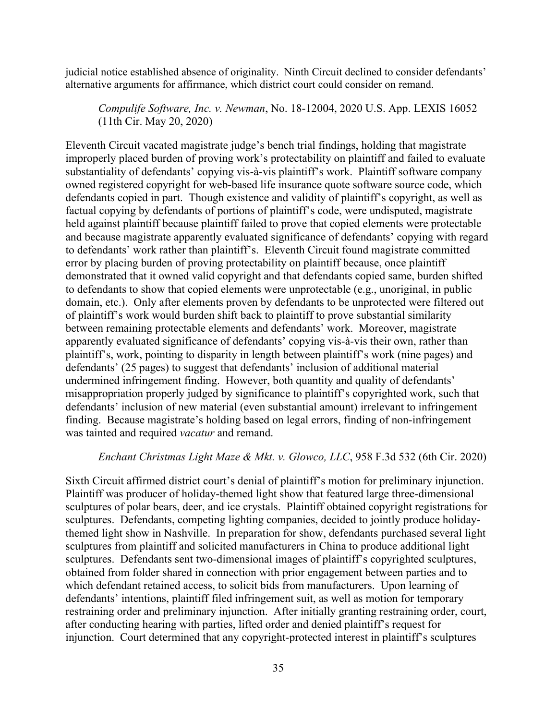judicial notice established absence of originality. Ninth Circuit declined to consider defendants' alternative arguments for affirmance, which district court could consider on remand.

*Compulife Software, Inc. v. Newman*, No. 18-12004, 2020 U.S. App. LEXIS 16052 (11th Cir. May 20, 2020)

Eleventh Circuit vacated magistrate judge's bench trial findings, holding that magistrate improperly placed burden of proving work's protectability on plaintiff and failed to evaluate substantiality of defendants' copying vis-à-vis plaintiff's work. Plaintiff software company owned registered copyright for web-based life insurance quote software source code, which defendants copied in part. Though existence and validity of plaintiff's copyright, as well as factual copying by defendants of portions of plaintiff's code, were undisputed, magistrate held against plaintiff because plaintiff failed to prove that copied elements were protectable and because magistrate apparently evaluated significance of defendants' copying with regard to defendants' work rather than plaintiff's. Eleventh Circuit found magistrate committed error by placing burden of proving protectability on plaintiff because, once plaintiff demonstrated that it owned valid copyright and that defendants copied same, burden shifted to defendants to show that copied elements were unprotectable (e.g., unoriginal, in public domain, etc.). Only after elements proven by defendants to be unprotected were filtered out of plaintiff's work would burden shift back to plaintiff to prove substantial similarity between remaining protectable elements and defendants' work. Moreover, magistrate apparently evaluated significance of defendants' copying vis-à-vis their own, rather than plaintiff's, work, pointing to disparity in length between plaintiff's work (nine pages) and defendants' (25 pages) to suggest that defendants' inclusion of additional material undermined infringement finding. However, both quantity and quality of defendants' misappropriation properly judged by significance to plaintiff's copyrighted work, such that defendants' inclusion of new material (even substantial amount) irrelevant to infringement finding. Because magistrate's holding based on legal errors, finding of non-infringement was tainted and required *vacatur* and remand.

#### *Enchant Christmas Light Maze & Mkt. v. Glowco, LLC*, 958 F.3d 532 (6th Cir. 2020)

Sixth Circuit affirmed district court's denial of plaintiff's motion for preliminary injunction. Plaintiff was producer of holiday-themed light show that featured large three-dimensional sculptures of polar bears, deer, and ice crystals. Plaintiff obtained copyright registrations for sculptures. Defendants, competing lighting companies, decided to jointly produce holidaythemed light show in Nashville. In preparation for show, defendants purchased several light sculptures from plaintiff and solicited manufacturers in China to produce additional light sculptures. Defendants sent two-dimensional images of plaintiff's copyrighted sculptures, obtained from folder shared in connection with prior engagement between parties and to which defendant retained access, to solicit bids from manufacturers. Upon learning of defendants' intentions, plaintiff filed infringement suit, as well as motion for temporary restraining order and preliminary injunction. After initially granting restraining order, court, after conducting hearing with parties, lifted order and denied plaintiff's request for injunction. Court determined that any copyright-protected interest in plaintiff's sculptures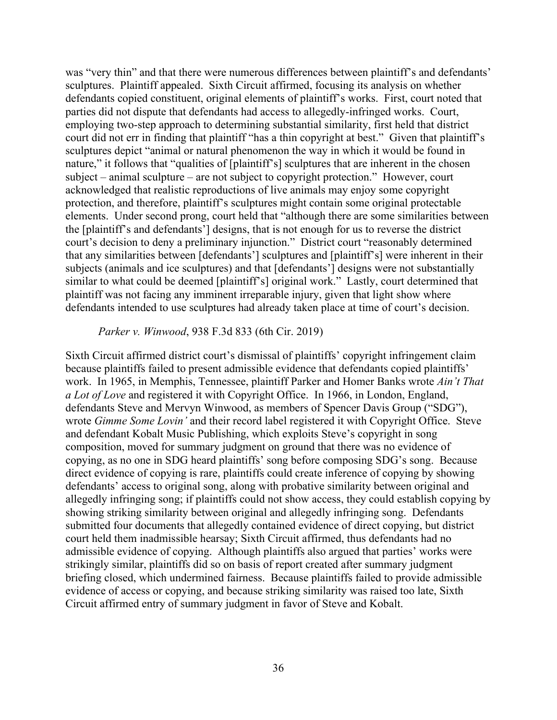was "very thin" and that there were numerous differences between plaintiff's and defendants' sculptures. Plaintiff appealed. Sixth Circuit affirmed, focusing its analysis on whether defendants copied constituent, original elements of plaintiff's works. First, court noted that parties did not dispute that defendants had access to allegedly-infringed works. Court, employing two-step approach to determining substantial similarity, first held that district court did not err in finding that plaintiff "has a thin copyright at best." Given that plaintiff's sculptures depict "animal or natural phenomenon the way in which it would be found in nature," it follows that "qualities of [plaintiff's] sculptures that are inherent in the chosen subject – animal sculpture – are not subject to copyright protection." However, court acknowledged that realistic reproductions of live animals may enjoy some copyright protection, and therefore, plaintiff's sculptures might contain some original protectable elements. Under second prong, court held that "although there are some similarities between the [plaintiff's and defendants'] designs, that is not enough for us to reverse the district court's decision to deny a preliminary injunction." District court "reasonably determined that any similarities between [defendants'] sculptures and [plaintiff's] were inherent in their subjects (animals and ice sculptures) and that [defendants'] designs were not substantially similar to what could be deemed [plaintiff's] original work." Lastly, court determined that plaintiff was not facing any imminent irreparable injury, given that light show where defendants intended to use sculptures had already taken place at time of court's decision.

#### *Parker v. Winwood*, 938 F.3d 833 (6th Cir. 2019)

Sixth Circuit affirmed district court's dismissal of plaintiffs' copyright infringement claim because plaintiffs failed to present admissible evidence that defendants copied plaintiffs' work. In 1965, in Memphis, Tennessee, plaintiff Parker and Homer Banks wrote *Ain't That a Lot of Love* and registered it with Copyright Office. In 1966, in London, England, defendants Steve and Mervyn Winwood, as members of Spencer Davis Group ("SDG"), wrote *Gimme Some Lovin'* and their record label registered it with Copyright Office. Steve and defendant Kobalt Music Publishing, which exploits Steve's copyright in song composition, moved for summary judgment on ground that there was no evidence of copying, as no one in SDG heard plaintiffs' song before composing SDG's song. Because direct evidence of copying is rare, plaintiffs could create inference of copying by showing defendants' access to original song, along with probative similarity between original and allegedly infringing song; if plaintiffs could not show access, they could establish copying by showing striking similarity between original and allegedly infringing song. Defendants submitted four documents that allegedly contained evidence of direct copying, but district court held them inadmissible hearsay; Sixth Circuit affirmed, thus defendants had no admissible evidence of copying. Although plaintiffs also argued that parties' works were strikingly similar, plaintiffs did so on basis of report created after summary judgment briefing closed, which undermined fairness. Because plaintiffs failed to provide admissible evidence of access or copying, and because striking similarity was raised too late, Sixth Circuit affirmed entry of summary judgment in favor of Steve and Kobalt.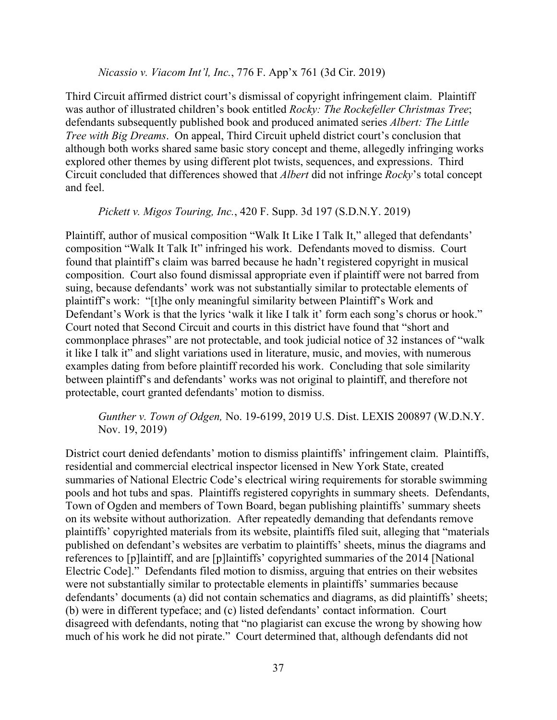#### *Nicassio v. Viacom Int'l, Inc.*, 776 F. App'x 761 (3d Cir. 2019)

Third Circuit affirmed district court's dismissal of copyright infringement claim. Plaintiff was author of illustrated children's book entitled *Rocky: The Rockefeller Christmas Tree*; defendants subsequently published book and produced animated series *Albert: The Little Tree with Big Dreams*. On appeal, Third Circuit upheld district court's conclusion that although both works shared same basic story concept and theme, allegedly infringing works explored other themes by using different plot twists, sequences, and expressions. Third Circuit concluded that differences showed that *Albert* did not infringe *Rocky*'s total concept and feel.

*Pickett v. Migos Touring, Inc.*, 420 F. Supp. 3d 197 (S.D.N.Y. 2019)

Plaintiff, author of musical composition "Walk It Like I Talk It," alleged that defendants' composition "Walk It Talk It" infringed his work. Defendants moved to dismiss. Court found that plaintiff's claim was barred because he hadn't registered copyright in musical composition. Court also found dismissal appropriate even if plaintiff were not barred from suing, because defendants' work was not substantially similar to protectable elements of plaintiff's work: "[t]he only meaningful similarity between Plaintiff's Work and Defendant's Work is that the lyrics 'walk it like I talk it' form each song's chorus or hook." Court noted that Second Circuit and courts in this district have found that "short and commonplace phrases" are not protectable, and took judicial notice of 32 instances of "walk it like I talk it" and slight variations used in literature, music, and movies, with numerous examples dating from before plaintiff recorded his work. Concluding that sole similarity between plaintiff's and defendants' works was not original to plaintiff, and therefore not protectable, court granted defendants' motion to dismiss.

*Gunther v. Town of Odgen,* No. 19-6199, 2019 U.S. Dist. LEXIS 200897 (W.D.N.Y. Nov. 19, 2019)

District court denied defendants' motion to dismiss plaintiffs' infringement claim. Plaintiffs, residential and commercial electrical inspector licensed in New York State, created summaries of National Electric Code's electrical wiring requirements for storable swimming pools and hot tubs and spas. Plaintiffs registered copyrights in summary sheets. Defendants, Town of Ogden and members of Town Board, began publishing plaintiffs' summary sheets on its website without authorization. After repeatedly demanding that defendants remove plaintiffs' copyrighted materials from its website, plaintiffs filed suit, alleging that "materials published on defendant's websites are verbatim to plaintiffs' sheets, minus the diagrams and references to [p]laintiff, and are [p]laintiffs' copyrighted summaries of the 2014 [National Electric Code]." Defendants filed motion to dismiss, arguing that entries on their websites were not substantially similar to protectable elements in plaintiffs' summaries because defendants' documents (a) did not contain schematics and diagrams, as did plaintiffs' sheets; (b) were in different typeface; and (c) listed defendants' contact information. Court disagreed with defendants, noting that "no plagiarist can excuse the wrong by showing how much of his work he did not pirate." Court determined that, although defendants did not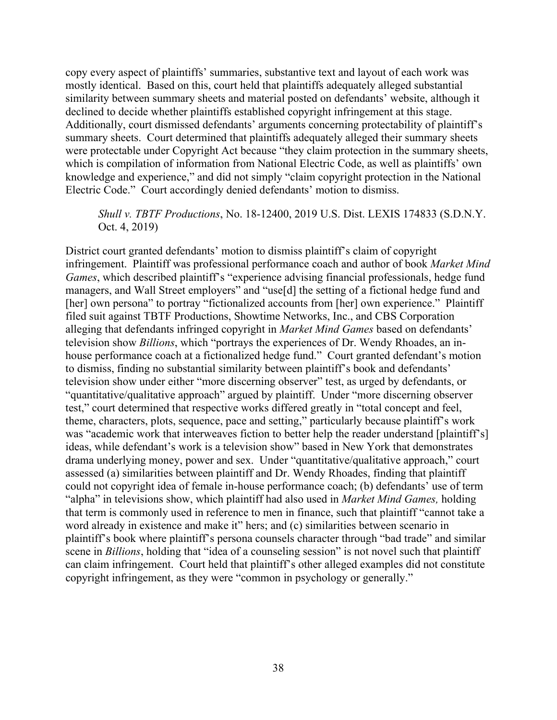copy every aspect of plaintiffs' summaries, substantive text and layout of each work was mostly identical. Based on this, court held that plaintiffs adequately alleged substantial similarity between summary sheets and material posted on defendants' website, although it declined to decide whether plaintiffs established copyright infringement at this stage. Additionally, court dismissed defendants' arguments concerning protectability of plaintiff's summary sheets. Court determined that plaintiffs adequately alleged their summary sheets were protectable under Copyright Act because "they claim protection in the summary sheets, which is compilation of information from National Electric Code, as well as plaintiffs' own knowledge and experience," and did not simply "claim copyright protection in the National Electric Code." Court accordingly denied defendants' motion to dismiss.

### *Shull v. TBTF Productions*, No. 18-12400, 2019 U.S. Dist. LEXIS 174833 (S.D.N.Y. Oct. 4, 2019)

District court granted defendants' motion to dismiss plaintiff's claim of copyright infringement. Plaintiff was professional performance coach and author of book *Market Mind Games*, which described plaintiff's "experience advising financial professionals, hedge fund managers, and Wall Street employers" and "use[d] the setting of a fictional hedge fund and [her] own persona" to portray "fictionalized accounts from [her] own experience." Plaintiff filed suit against TBTF Productions, Showtime Networks, Inc., and CBS Corporation alleging that defendants infringed copyright in *Market Mind Games* based on defendants' television show *Billions*, which "portrays the experiences of Dr. Wendy Rhoades, an inhouse performance coach at a fictionalized hedge fund." Court granted defendant's motion to dismiss, finding no substantial similarity between plaintiff's book and defendants' television show under either "more discerning observer" test, as urged by defendants, or "quantitative/qualitative approach" argued by plaintiff. Under "more discerning observer test," court determined that respective works differed greatly in "total concept and feel, theme, characters, plots, sequence, pace and setting," particularly because plaintiff's work was "academic work that interweaves fiction to better help the reader understand [plaintiff's] ideas, while defendant's work is a television show" based in New York that demonstrates drama underlying money, power and sex. Under "quantitative/qualitative approach," court assessed (a) similarities between plaintiff and Dr. Wendy Rhoades, finding that plaintiff could not copyright idea of female in-house performance coach; (b) defendants' use of term "alpha" in televisions show, which plaintiff had also used in *Market Mind Games,* holding that term is commonly used in reference to men in finance, such that plaintiff "cannot take a word already in existence and make it" hers; and (c) similarities between scenario in plaintiff's book where plaintiff's persona counsels character through "bad trade" and similar scene in *Billions*, holding that "idea of a counseling session" is not novel such that plaintiff can claim infringement. Court held that plaintiff's other alleged examples did not constitute copyright infringement, as they were "common in psychology or generally."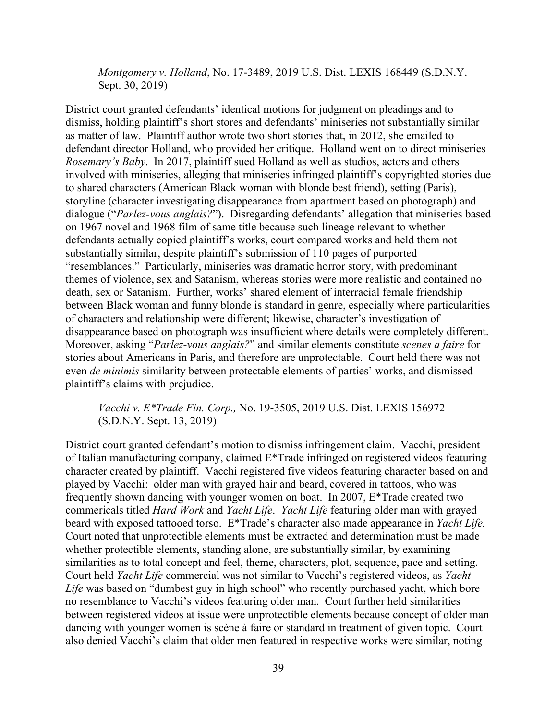*Montgomery v. Holland*, No. 17-3489, 2019 U.S. Dist. LEXIS 168449 (S.D.N.Y. Sept. 30, 2019)

District court granted defendants' identical motions for judgment on pleadings and to dismiss, holding plaintiff's short stores and defendants' miniseries not substantially similar as matter of law. Plaintiff author wrote two short stories that, in 2012, she emailed to defendant director Holland, who provided her critique. Holland went on to direct miniseries *Rosemary's Baby*. In 2017, plaintiff sued Holland as well as studios, actors and others involved with miniseries, alleging that miniseries infringed plaintiff's copyrighted stories due to shared characters (American Black woman with blonde best friend), setting (Paris), storyline (character investigating disappearance from apartment based on photograph) and dialogue ("*Parlez-vous anglais?*"). Disregarding defendants' allegation that miniseries based on 1967 novel and 1968 film of same title because such lineage relevant to whether defendants actually copied plaintiff's works, court compared works and held them not substantially similar, despite plaintiff's submission of 110 pages of purported "resemblances." Particularly, miniseries was dramatic horror story, with predominant themes of violence, sex and Satanism, whereas stories were more realistic and contained no death, sex or Satanism. Further, works' shared element of interracial female friendship between Black woman and funny blonde is standard in genre, especially where particularities of characters and relationship were different; likewise, character's investigation of disappearance based on photograph was insufficient where details were completely different. Moreover, asking "*Parlez-vous anglais?*" and similar elements constitute *scenes a faire* for stories about Americans in Paris, and therefore are unprotectable. Court held there was not even *de minimis* similarity between protectable elements of parties' works, and dismissed plaintiff's claims with prejudice.

# *Vacchi v. E\*Trade Fin. Corp.,* No. 19-3505, 2019 U.S. Dist. LEXIS 156972 (S.D.N.Y. Sept. 13, 2019)

District court granted defendant's motion to dismiss infringement claim. Vacchi, president of Italian manufacturing company, claimed E\*Trade infringed on registered videos featuring character created by plaintiff. Vacchi registered five videos featuring character based on and played by Vacchi: older man with grayed hair and beard, covered in tattoos, who was frequently shown dancing with younger women on boat. In 2007, E\*Trade created two commericals titled *Hard Work* and *Yacht Life*. *Yacht Life* featuring older man with grayed beard with exposed tattooed torso. E\*Trade's character also made appearance in *Yacht Life.* Court noted that unprotectible elements must be extracted and determination must be made whether protectible elements, standing alone, are substantially similar, by examining similarities as to total concept and feel, theme, characters, plot, sequence, pace and setting. Court held *Yacht Life* commercial was not similar to Vacchi's registered videos, as *Yacht Life* was based on "dumbest guy in high school" who recently purchased yacht, which bore no resemblance to Vacchi's videos featuring older man. Court further held similarities between registered videos at issue were unprotectible elements because concept of older man dancing with younger women is scène à faire or standard in treatment of given topic. Court also denied Vacchi's claim that older men featured in respective works were similar, noting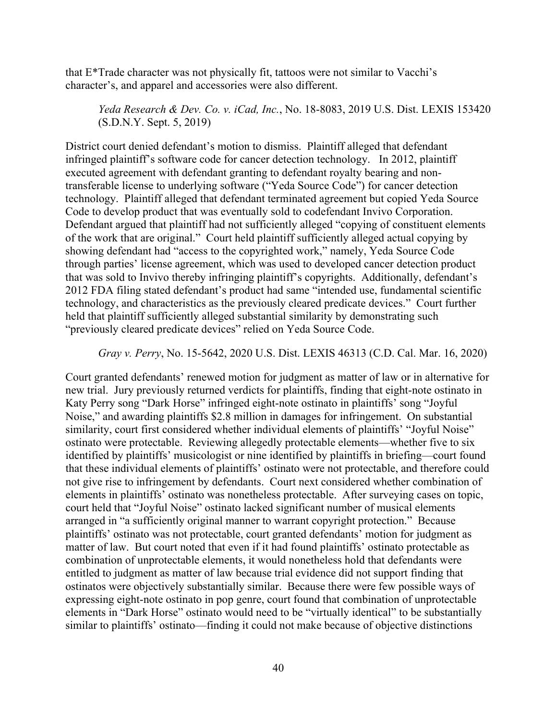that E\*Trade character was not physically fit, tattoos were not similar to Vacchi's character's, and apparel and accessories were also different.

*Yeda Research & Dev. Co. v. iCad, Inc.*, No. 18-8083, 2019 U.S. Dist. LEXIS 153420 (S.D.N.Y. Sept. 5, 2019)

District court denied defendant's motion to dismiss. Plaintiff alleged that defendant infringed plaintiff's software code for cancer detection technology. In 2012, plaintiff executed agreement with defendant granting to defendant royalty bearing and nontransferable license to underlying software ("Yeda Source Code") for cancer detection technology. Plaintiff alleged that defendant terminated agreement but copied Yeda Source Code to develop product that was eventually sold to codefendant Invivo Corporation. Defendant argued that plaintiff had not sufficiently alleged "copying of constituent elements of the work that are original." Court held plaintiff sufficiently alleged actual copying by showing defendant had "access to the copyrighted work," namely, Yeda Source Code through parties' license agreement, which was used to developed cancer detection product that was sold to Invivo thereby infringing plaintiff's copyrights. Additionally, defendant's 2012 FDA filing stated defendant's product had same "intended use, fundamental scientific technology, and characteristics as the previously cleared predicate devices." Court further held that plaintiff sufficiently alleged substantial similarity by demonstrating such "previously cleared predicate devices" relied on Yeda Source Code.

*Gray v. Perry*, No. 15-5642, 2020 U.S. Dist. LEXIS 46313 (C.D. Cal. Mar. 16, 2020)

Court granted defendants' renewed motion for judgment as matter of law or in alternative for new trial. Jury previously returned verdicts for plaintiffs, finding that eight-note ostinato in Katy Perry song "Dark Horse" infringed eight-note ostinato in plaintiffs' song "Joyful Noise," and awarding plaintiffs \$2.8 million in damages for infringement. On substantial similarity, court first considered whether individual elements of plaintiffs' "Joyful Noise" ostinato were protectable. Reviewing allegedly protectable elements—whether five to six identified by plaintiffs' musicologist or nine identified by plaintiffs in briefing—court found that these individual elements of plaintiffs' ostinato were not protectable, and therefore could not give rise to infringement by defendants. Court next considered whether combination of elements in plaintiffs' ostinato was nonetheless protectable. After surveying cases on topic, court held that "Joyful Noise" ostinato lacked significant number of musical elements arranged in "a sufficiently original manner to warrant copyright protection." Because plaintiffs' ostinato was not protectable, court granted defendants' motion for judgment as matter of law. But court noted that even if it had found plaintiffs' ostinato protectable as combination of unprotectable elements, it would nonetheless hold that defendants were entitled to judgment as matter of law because trial evidence did not support finding that ostinatos were objectively substantially similar. Because there were few possible ways of expressing eight-note ostinato in pop genre, court found that combination of unprotectable elements in "Dark Horse" ostinato would need to be "virtually identical" to be substantially similar to plaintiffs' ostinato—finding it could not make because of objective distinctions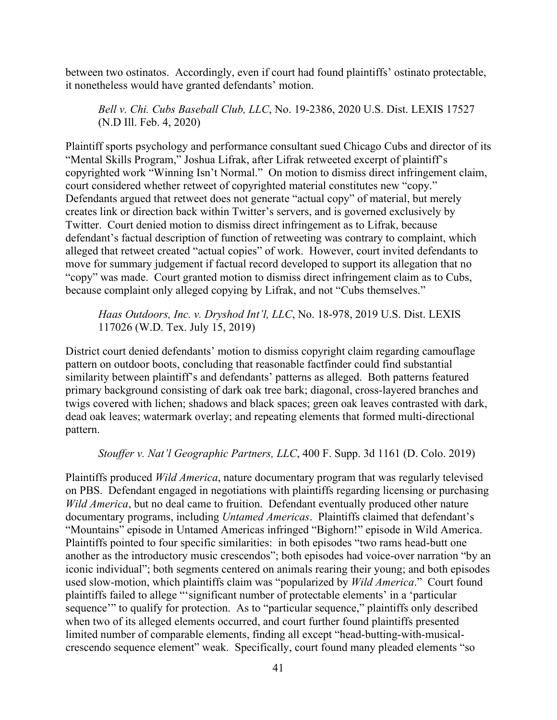between two ostinatos. Accordingly, even if court had found plaintiffs' ostinato protectable, it nonetheless would have granted defendants' motion.

*Bell v. Chi. Cubs Baseball Club, LLC*, No. 19-2386, 2020 U.S. Dist. LEXIS 17527 (N.D Ill. Feb. 4, 2020)

Plaintiff sports psychology and performance consultant sued Chicago Cubs and director of its "Mental Skills Program," Joshua Lifrak, after Lifrak retweeted excerpt of plaintiff's copyrighted work "Winning Isn't Normal." On motion to dismiss direct infringement claim, court considered whether retweet of copyrighted material constitutes new "copy." Defendants argued that retweet does not generate "actual copy" of material, but merely creates link or direction back within Twitter's servers, and is governed exclusively by Twitter. Court denied motion to dismiss direct infringement as to Lifrak, because defendant's factual description of function of retweeting was contrary to complaint, which alleged that retweet created "actual copies" of work. However, court invited defendants to move for summary judgement if factual record developed to support its allegation that no "copy" was made. Court granted motion to dismiss direct infringement claim as to Cubs, because complaint only alleged copying by Lifrak, and not "Cubs themselves."

*Haas Outdoors, Inc. v. Dryshod Int'l, LLC*, No. 18-978, 2019 U.S. Dist. LEXIS 117026 (W.D. Tex. July 15, 2019)

District court denied defendants' motion to dismiss copyright claim regarding camouflage pattern on outdoor boots, concluding that reasonable factfinder could find substantial similarity between plaintiff's and defendants' patterns as alleged. Both patterns featured primary background consisting of dark oak tree bark; diagonal, cross-layered branches and twigs covered with lichen; shadows and black spaces; green oak leaves contrasted with dark, dead oak leaves; watermark overlay; and repeating elements that formed multi-directional pattern.

### *Stouffer v. Nat'l Geographic Partners, LLC*, 400 F. Supp. 3d 1161 (D. Colo. 2019)

Plaintiffs produced *Wild America*, nature documentary program that was regularly televised on PBS. Defendant engaged in negotiations with plaintiffs regarding licensing or purchasing *Wild America*, but no deal came to fruition. Defendant eventually produced other nature documentary programs, including *Untamed Americas*. Plaintiffs claimed that defendant's "Mountains" episode in Untamed Americas infringed "Bighorn!" episode in Wild America. Plaintiffs pointed to four specific similarities: in both episodes "two rams head-butt one another as the introductory music crescendos"; both episodes had voice-over narration "by an iconic individual"; both segments centered on animals rearing their young; and both episodes used slow-motion, which plaintiffs claim was "popularized by *Wild America*." Court found plaintiffs failed to allege "'significant number of protectable elements' in a 'particular sequence" to qualify for protection. As to "particular sequence," plaintiffs only described when two of its alleged elements occurred, and court further found plaintiffs presented limited number of comparable elements, finding all except "head-butting-with-musicalcrescendo sequence element" weak. Specifically, court found many pleaded elements "so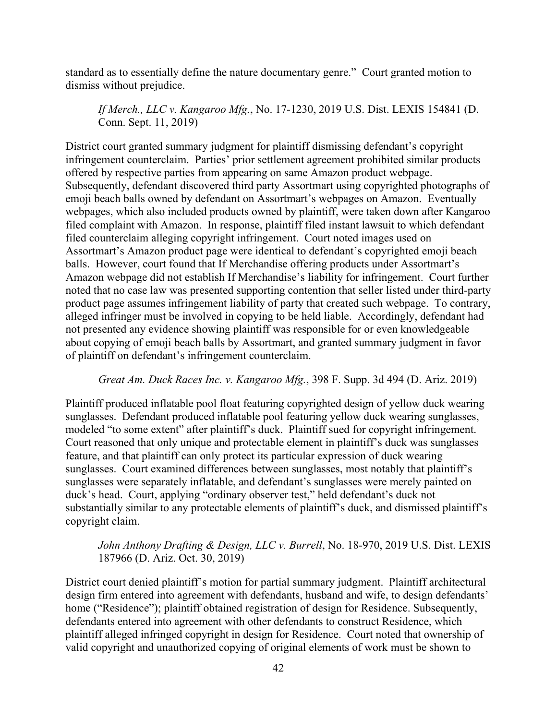standard as to essentially define the nature documentary genre." Court granted motion to dismiss without prejudice.

*If Merch., LLC v. Kangaroo Mfg.*, No. 17-1230, 2019 U.S. Dist. LEXIS 154841 (D. Conn. Sept. 11, 2019)

District court granted summary judgment for plaintiff dismissing defendant's copyright infringement counterclaim. Parties' prior settlement agreement prohibited similar products offered by respective parties from appearing on same Amazon product webpage. Subsequently, defendant discovered third party Assortmart using copyrighted photographs of emoji beach balls owned by defendant on Assortmart's webpages on Amazon. Eventually webpages, which also included products owned by plaintiff, were taken down after Kangaroo filed complaint with Amazon. In response, plaintiff filed instant lawsuit to which defendant filed counterclaim alleging copyright infringement. Court noted images used on Assortmart's Amazon product page were identical to defendant's copyrighted emoji beach balls. However, court found that If Merchandise offering products under Assortmart's Amazon webpage did not establish If Merchandise's liability for infringement. Court further noted that no case law was presented supporting contention that seller listed under third-party product page assumes infringement liability of party that created such webpage. To contrary, alleged infringer must be involved in copying to be held liable. Accordingly, defendant had not presented any evidence showing plaintiff was responsible for or even knowledgeable about copying of emoji beach balls by Assortmart, and granted summary judgment in favor of plaintiff on defendant's infringement counterclaim.

## *Great Am. Duck Races Inc. v. Kangaroo Mfg.*, 398 F. Supp. 3d 494 (D. Ariz. 2019)

Plaintiff produced inflatable pool float featuring copyrighted design of yellow duck wearing sunglasses. Defendant produced inflatable pool featuring yellow duck wearing sunglasses, modeled "to some extent" after plaintiff's duck. Plaintiff sued for copyright infringement. Court reasoned that only unique and protectable element in plaintiff's duck was sunglasses feature, and that plaintiff can only protect its particular expression of duck wearing sunglasses. Court examined differences between sunglasses, most notably that plaintiff's sunglasses were separately inflatable, and defendant's sunglasses were merely painted on duck's head. Court, applying "ordinary observer test," held defendant's duck not substantially similar to any protectable elements of plaintiff's duck, and dismissed plaintiff's copyright claim.

# *John Anthony Drafting & Design, LLC v. Burrell*, No. 18-970, 2019 U.S. Dist. LEXIS 187966 (D. Ariz. Oct. 30, 2019)

District court denied plaintiff's motion for partial summary judgment. Plaintiff architectural design firm entered into agreement with defendants, husband and wife, to design defendants' home ("Residence"); plaintiff obtained registration of design for Residence. Subsequently, defendants entered into agreement with other defendants to construct Residence, which plaintiff alleged infringed copyright in design for Residence. Court noted that ownership of valid copyright and unauthorized copying of original elements of work must be shown to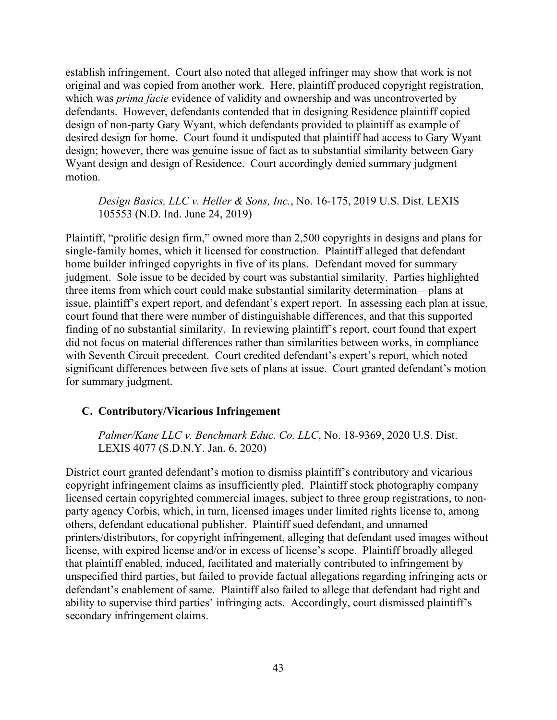establish infringement. Court also noted that alleged infringer may show that work is not original and was copied from another work. Here, plaintiff produced copyright registration, which was *prima facie* evidence of validity and ownership and was uncontroverted by defendants. However, defendants contended that in designing Residence plaintiff copied design of non-party Gary Wyant, which defendants provided to plaintiff as example of desired design for home. Court found it undisputed that plaintiff had access to Gary Wyant design; however, there was genuine issue of fact as to substantial similarity between Gary Wyant design and design of Residence. Court accordingly denied summary judgment motion.

*Design Basics, LLC v. Heller & Sons, Inc.*, No. 16-175, 2019 U.S. Dist. LEXIS 105553 (N.D. Ind. June 24, 2019)

Plaintiff, "prolific design firm," owned more than 2,500 copyrights in designs and plans for single-family homes, which it licensed for construction. Plaintiff alleged that defendant home builder infringed copyrights in five of its plans. Defendant moved for summary judgment. Sole issue to be decided by court was substantial similarity. Parties highlighted three items from which court could make substantial similarity determination—plans at issue, plaintiff's expert report, and defendant's expert report. In assessing each plan at issue, court found that there were number of distinguishable differences, and that this supported finding of no substantial similarity. In reviewing plaintiff's report, court found that expert did not focus on material differences rather than similarities between works, in compliance with Seventh Circuit precedent. Court credited defendant's expert's report, which noted significant differences between five sets of plans at issue. Court granted defendant's motion for summary judgment.

### **C. Contributory/Vicarious Infringement**

*Palmer/Kane LLC v. Benchmark Educ. Co. LLC*, No. 18-9369, 2020 U.S. Dist. LEXIS 4077 (S.D.N.Y. Jan. 6, 2020)

District court granted defendant's motion to dismiss plaintiff's contributory and vicarious copyright infringement claims as insufficiently pled. Plaintiff stock photography company licensed certain copyrighted commercial images, subject to three group registrations, to nonparty agency Corbis, which, in turn, licensed images under limited rights license to, among others, defendant educational publisher. Plaintiff sued defendant, and unnamed printers/distributors, for copyright infringement, alleging that defendant used images without license, with expired license and/or in excess of license's scope. Plaintiff broadly alleged that plaintiff enabled, induced, facilitated and materially contributed to infringement by unspecified third parties, but failed to provide factual allegations regarding infringing acts or defendant's enablement of same. Plaintiff also failed to allege that defendant had right and ability to supervise third parties' infringing acts. Accordingly, court dismissed plaintiff's secondary infringement claims.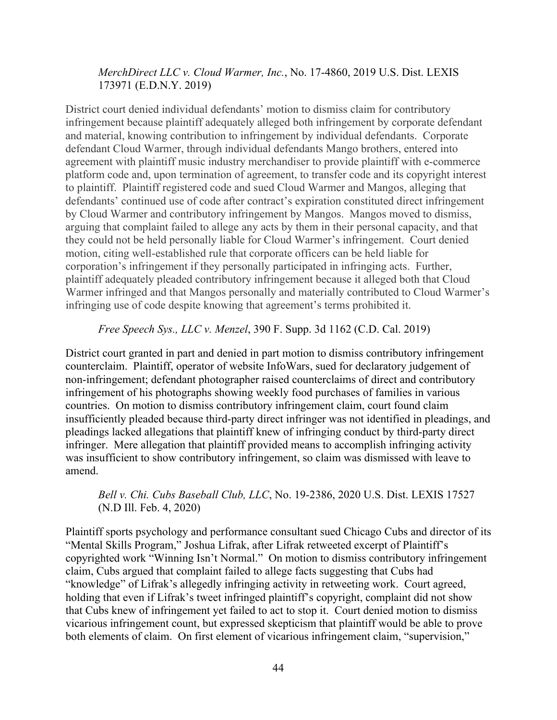### *MerchDirect LLC v. Cloud Warmer, Inc.*, No. 17-4860, 2019 U.S. Dist. LEXIS 173971 (E.D.N.Y. 2019)

District court denied individual defendants' motion to dismiss claim for contributory infringement because plaintiff adequately alleged both infringement by corporate defendant and material, knowing contribution to infringement by individual defendants. Corporate defendant Cloud Warmer, through individual defendants Mango brothers, entered into agreement with plaintiff music industry merchandiser to provide plaintiff with e-commerce platform code and, upon termination of agreement, to transfer code and its copyright interest to plaintiff. Plaintiff registered code and sued Cloud Warmer and Mangos, alleging that defendants' continued use of code after contract's expiration constituted direct infringement by Cloud Warmer and contributory infringement by Mangos. Mangos moved to dismiss, arguing that complaint failed to allege any acts by them in their personal capacity, and that they could not be held personally liable for Cloud Warmer's infringement. Court denied motion, citing well-established rule that corporate officers can be held liable for corporation's infringement if they personally participated in infringing acts. Further, plaintiff adequately pleaded contributory infringement because it alleged both that Cloud Warmer infringed and that Mangos personally and materially contributed to Cloud Warmer's infringing use of code despite knowing that agreement's terms prohibited it.

#### *Free Speech Sys., LLC v. Menzel*, 390 F. Supp. 3d 1162 (C.D. Cal. 2019)

District court granted in part and denied in part motion to dismiss contributory infringement counterclaim. Plaintiff, operator of website InfoWars, sued for declaratory judgement of non-infringement; defendant photographer raised counterclaims of direct and contributory infringement of his photographs showing weekly food purchases of families in various countries. On motion to dismiss contributory infringement claim, court found claim insufficiently pleaded because third-party direct infringer was not identified in pleadings, and pleadings lacked allegations that plaintiff knew of infringing conduct by third-party direct infringer. Mere allegation that plaintiff provided means to accomplish infringing activity was insufficient to show contributory infringement, so claim was dismissed with leave to amend.

## *Bell v. Chi. Cubs Baseball Club, LLC*, No. 19-2386, 2020 U.S. Dist. LEXIS 17527 (N.D Ill. Feb. 4, 2020)

Plaintiff sports psychology and performance consultant sued Chicago Cubs and director of its "Mental Skills Program," Joshua Lifrak, after Lifrak retweeted excerpt of Plaintiff's copyrighted work "Winning Isn't Normal." On motion to dismiss contributory infringement claim, Cubs argued that complaint failed to allege facts suggesting that Cubs had "knowledge" of Lifrak's allegedly infringing activity in retweeting work. Court agreed, holding that even if Lifrak's tweet infringed plaintiff's copyright, complaint did not show that Cubs knew of infringement yet failed to act to stop it. Court denied motion to dismiss vicarious infringement count, but expressed skepticism that plaintiff would be able to prove both elements of claim. On first element of vicarious infringement claim, "supervision,"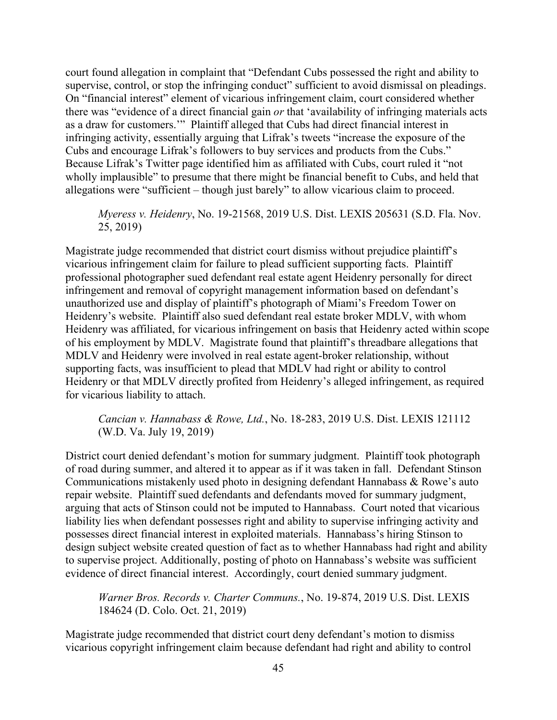court found allegation in complaint that "Defendant Cubs possessed the right and ability to supervise, control, or stop the infringing conduct" sufficient to avoid dismissal on pleadings. On "financial interest" element of vicarious infringement claim, court considered whether there was "evidence of a direct financial gain *or* that 'availability of infringing materials acts as a draw for customers.'" Plaintiff alleged that Cubs had direct financial interest in infringing activity, essentially arguing that Lifrak's tweets "increase the exposure of the Cubs and encourage Lifrak's followers to buy services and products from the Cubs." Because Lifrak's Twitter page identified him as affiliated with Cubs, court ruled it "not wholly implausible" to presume that there might be financial benefit to Cubs, and held that allegations were "sufficient – though just barely" to allow vicarious claim to proceed.

## *Myeress v. Heidenry*, No. 19-21568, 2019 U.S. Dist. LEXIS 205631 (S.D. Fla. Nov. 25, 2019)

Magistrate judge recommended that district court dismiss without prejudice plaintiff's vicarious infringement claim for failure to plead sufficient supporting facts. Plaintiff professional photographer sued defendant real estate agent Heidenry personally for direct infringement and removal of copyright management information based on defendant's unauthorized use and display of plaintiff's photograph of Miami's Freedom Tower on Heidenry's website. Plaintiff also sued defendant real estate broker MDLV, with whom Heidenry was affiliated, for vicarious infringement on basis that Heidenry acted within scope of his employment by MDLV. Magistrate found that plaintiff's threadbare allegations that MDLV and Heidenry were involved in real estate agent-broker relationship, without supporting facts, was insufficient to plead that MDLV had right or ability to control Heidenry or that MDLV directly profited from Heidenry's alleged infringement, as required for vicarious liability to attach.

## *Cancian v. Hannabass & Rowe, Ltd.*, No. 18-283, 2019 U.S. Dist. LEXIS 121112 (W.D. Va. July 19, 2019)

District court denied defendant's motion for summary judgment. Plaintiff took photograph of road during summer, and altered it to appear as if it was taken in fall. Defendant Stinson Communications mistakenly used photo in designing defendant Hannabass & Rowe's auto repair website. Plaintiff sued defendants and defendants moved for summary judgment, arguing that acts of Stinson could not be imputed to Hannabass. Court noted that vicarious liability lies when defendant possesses right and ability to supervise infringing activity and possesses direct financial interest in exploited materials. Hannabass's hiring Stinson to design subject website created question of fact as to whether Hannabass had right and ability to supervise project. Additionally, posting of photo on Hannabass's website was sufficient evidence of direct financial interest. Accordingly, court denied summary judgment.

*Warner Bros. Records v. Charter Communs.*, No. 19-874, 2019 U.S. Dist. LEXIS 184624 (D. Colo. Oct. 21, 2019)

Magistrate judge recommended that district court deny defendant's motion to dismiss vicarious copyright infringement claim because defendant had right and ability to control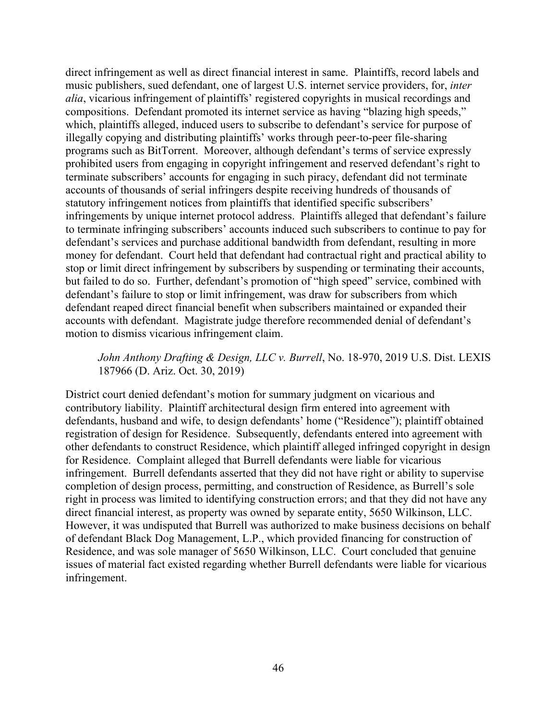direct infringement as well as direct financial interest in same. Plaintiffs, record labels and music publishers, sued defendant, one of largest U.S. internet service providers, for, *inter alia*, vicarious infringement of plaintiffs' registered copyrights in musical recordings and compositions. Defendant promoted its internet service as having "blazing high speeds," which, plaintiffs alleged, induced users to subscribe to defendant's service for purpose of illegally copying and distributing plaintiffs' works through peer-to-peer file-sharing programs such as BitTorrent. Moreover, although defendant's terms of service expressly prohibited users from engaging in copyright infringement and reserved defendant's right to terminate subscribers' accounts for engaging in such piracy, defendant did not terminate accounts of thousands of serial infringers despite receiving hundreds of thousands of statutory infringement notices from plaintiffs that identified specific subscribers' infringements by unique internet protocol address. Plaintiffs alleged that defendant's failure to terminate infringing subscribers' accounts induced such subscribers to continue to pay for defendant's services and purchase additional bandwidth from defendant, resulting in more money for defendant. Court held that defendant had contractual right and practical ability to stop or limit direct infringement by subscribers by suspending or terminating their accounts, but failed to do so. Further, defendant's promotion of "high speed" service, combined with defendant's failure to stop or limit infringement, was draw for subscribers from which defendant reaped direct financial benefit when subscribers maintained or expanded their accounts with defendant. Magistrate judge therefore recommended denial of defendant's motion to dismiss vicarious infringement claim.

### *John Anthony Drafting & Design, LLC v. Burrell*, No. 18-970, 2019 U.S. Dist. LEXIS 187966 (D. Ariz. Oct. 30, 2019)

District court denied defendant's motion for summary judgment on vicarious and contributory liability. Plaintiff architectural design firm entered into agreement with defendants, husband and wife, to design defendants' home ("Residence"); plaintiff obtained registration of design for Residence. Subsequently, defendants entered into agreement with other defendants to construct Residence, which plaintiff alleged infringed copyright in design for Residence. Complaint alleged that Burrell defendants were liable for vicarious infringement. Burrell defendants asserted that they did not have right or ability to supervise completion of design process, permitting, and construction of Residence, as Burrell's sole right in process was limited to identifying construction errors; and that they did not have any direct financial interest, as property was owned by separate entity, 5650 Wilkinson, LLC. However, it was undisputed that Burrell was authorized to make business decisions on behalf of defendant Black Dog Management, L.P., which provided financing for construction of Residence, and was sole manager of 5650 Wilkinson, LLC. Court concluded that genuine issues of material fact existed regarding whether Burrell defendants were liable for vicarious infringement.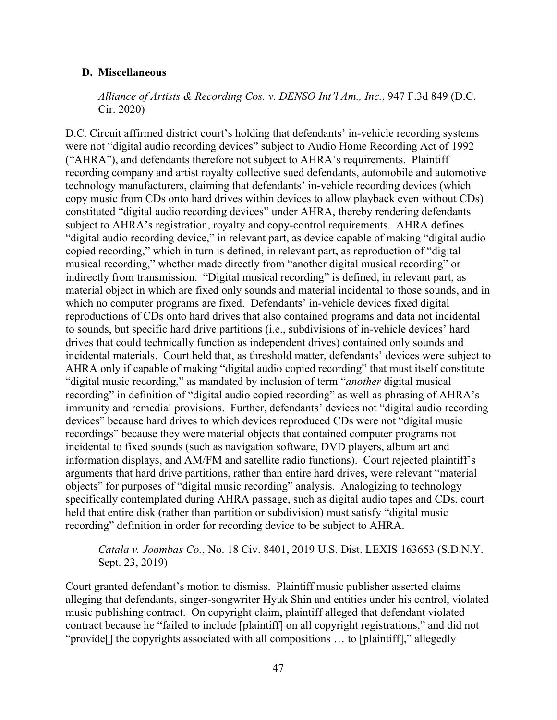#### **D. Miscellaneous**

*Alliance of Artists & Recording Cos. v. DENSO Int'l Am., Inc.*, 947 F.3d 849 (D.C. Cir. 2020)

D.C. Circuit affirmed district court's holding that defendants' in-vehicle recording systems were not "digital audio recording devices" subject to Audio Home Recording Act of 1992 ("AHRA"), and defendants therefore not subject to AHRA's requirements. Plaintiff recording company and artist royalty collective sued defendants, automobile and automotive technology manufacturers, claiming that defendants' in-vehicle recording devices (which copy music from CDs onto hard drives within devices to allow playback even without CDs) constituted "digital audio recording devices" under AHRA, thereby rendering defendants subject to AHRA's registration, royalty and copy-control requirements. AHRA defines "digital audio recording device," in relevant part, as device capable of making "digital audio copied recording," which in turn is defined, in relevant part, as reproduction of "digital musical recording," whether made directly from "another digital musical recording" or indirectly from transmission. "Digital musical recording" is defined, in relevant part, as material object in which are fixed only sounds and material incidental to those sounds, and in which no computer programs are fixed. Defendants' in-vehicle devices fixed digital reproductions of CDs onto hard drives that also contained programs and data not incidental to sounds, but specific hard drive partitions (i.e., subdivisions of in-vehicle devices' hard drives that could technically function as independent drives) contained only sounds and incidental materials. Court held that, as threshold matter, defendants' devices were subject to AHRA only if capable of making "digital audio copied recording" that must itself constitute "digital music recording," as mandated by inclusion of term "*another* digital musical recording" in definition of "digital audio copied recording" as well as phrasing of AHRA's immunity and remedial provisions. Further, defendants' devices not "digital audio recording devices" because hard drives to which devices reproduced CDs were not "digital music recordings" because they were material objects that contained computer programs not incidental to fixed sounds (such as navigation software, DVD players, album art and information displays, and AM/FM and satellite radio functions). Court rejected plaintiff's arguments that hard drive partitions, rather than entire hard drives, were relevant "material objects" for purposes of "digital music recording" analysis. Analogizing to technology specifically contemplated during AHRA passage, such as digital audio tapes and CDs, court held that entire disk (rather than partition or subdivision) must satisfy "digital music recording" definition in order for recording device to be subject to AHRA.

## *Catala v. Joombas Co.*, No. 18 Civ. 8401, 2019 U.S. Dist. LEXIS 163653 (S.D.N.Y. Sept. 23, 2019)

Court granted defendant's motion to dismiss. Plaintiff music publisher asserted claims alleging that defendants, singer-songwriter Hyuk Shin and entities under his control, violated music publishing contract. On copyright claim, plaintiff alleged that defendant violated contract because he "failed to include [plaintiff] on all copyright registrations," and did not "provide[] the copyrights associated with all compositions … to [plaintiff]," allegedly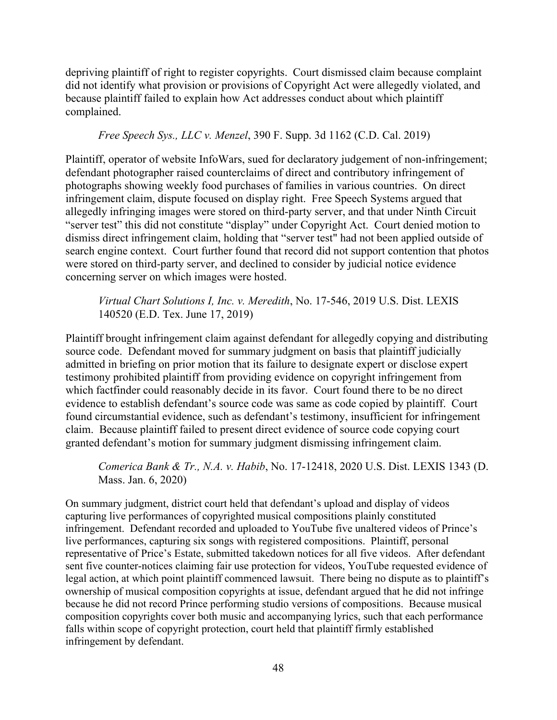depriving plaintiff of right to register copyrights. Court dismissed claim because complaint did not identify what provision or provisions of Copyright Act were allegedly violated, and because plaintiff failed to explain how Act addresses conduct about which plaintiff complained.

### *Free Speech Sys., LLC v. Menzel*, 390 F. Supp. 3d 1162 (C.D. Cal. 2019)

Plaintiff, operator of website InfoWars, sued for declaratory judgement of non-infringement; defendant photographer raised counterclaims of direct and contributory infringement of photographs showing weekly food purchases of families in various countries. On direct infringement claim, dispute focused on display right. Free Speech Systems argued that allegedly infringing images were stored on third-party server, and that under Ninth Circuit "server test" this did not constitute "display" under Copyright Act. Court denied motion to dismiss direct infringement claim, holding that "server test" had not been applied outside of search engine context. Court further found that record did not support contention that photos were stored on third-party server, and declined to consider by judicial notice evidence concerning server on which images were hosted.

# *Virtual Chart Solutions I, Inc. v. Meredith*, No. 17-546, 2019 U.S. Dist. LEXIS 140520 (E.D. Tex. June 17, 2019)

Plaintiff brought infringement claim against defendant for allegedly copying and distributing source code. Defendant moved for summary judgment on basis that plaintiff judicially admitted in briefing on prior motion that its failure to designate expert or disclose expert testimony prohibited plaintiff from providing evidence on copyright infringement from which factfinder could reasonably decide in its favor. Court found there to be no direct evidence to establish defendant's source code was same as code copied by plaintiff. Court found circumstantial evidence, such as defendant's testimony, insufficient for infringement claim. Because plaintiff failed to present direct evidence of source code copying court granted defendant's motion for summary judgment dismissing infringement claim.

*Comerica Bank & Tr., N.A. v. Habib*, No. 17-12418, 2020 U.S. Dist. LEXIS 1343 (D. Mass. Jan. 6, 2020)

On summary judgment, district court held that defendant's upload and display of videos capturing live performances of copyrighted musical compositions plainly constituted infringement. Defendant recorded and uploaded to YouTube five unaltered videos of Prince's live performances, capturing six songs with registered compositions. Plaintiff, personal representative of Price's Estate, submitted takedown notices for all five videos. After defendant sent five counter-notices claiming fair use protection for videos, YouTube requested evidence of legal action, at which point plaintiff commenced lawsuit. There being no dispute as to plaintiff's ownership of musical composition copyrights at issue, defendant argued that he did not infringe because he did not record Prince performing studio versions of compositions. Because musical composition copyrights cover both music and accompanying lyrics, such that each performance falls within scope of copyright protection, court held that plaintiff firmly established infringement by defendant.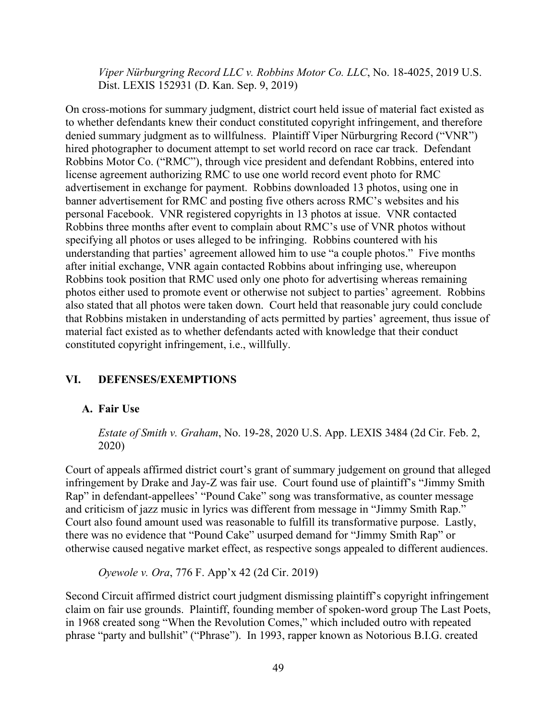*Viper Nürburgring Record LLC v. Robbins Motor Co. LLC*, No. 18-4025, 2019 U.S. Dist. LEXIS 152931 (D. Kan. Sep. 9, 2019)

On cross-motions for summary judgment, district court held issue of material fact existed as to whether defendants knew their conduct constituted copyright infringement, and therefore denied summary judgment as to willfulness. Plaintiff Viper Nürburgring Record ("VNR") hired photographer to document attempt to set world record on race car track. Defendant Robbins Motor Co. ("RMC"), through vice president and defendant Robbins, entered into license agreement authorizing RMC to use one world record event photo for RMC advertisement in exchange for payment. Robbins downloaded 13 photos, using one in banner advertisement for RMC and posting five others across RMC's websites and his personal Facebook. VNR registered copyrights in 13 photos at issue. VNR contacted Robbins three months after event to complain about RMC's use of VNR photos without specifying all photos or uses alleged to be infringing. Robbins countered with his understanding that parties' agreement allowed him to use "a couple photos." Five months after initial exchange, VNR again contacted Robbins about infringing use, whereupon Robbins took position that RMC used only one photo for advertising whereas remaining photos either used to promote event or otherwise not subject to parties' agreement. Robbins also stated that all photos were taken down. Court held that reasonable jury could conclude that Robbins mistaken in understanding of acts permitted by parties' agreement, thus issue of material fact existed as to whether defendants acted with knowledge that their conduct constituted copyright infringement, i.e., willfully.

# **VI. DEFENSES/EXEMPTIONS**

#### **A. Fair Use**

*Estate of Smith v. Graham*, No. 19-28, 2020 U.S. App. LEXIS 3484 (2d Cir. Feb. 2, 2020)

Court of appeals affirmed district court's grant of summary judgement on ground that alleged infringement by Drake and Jay-Z was fair use. Court found use of plaintiff's "Jimmy Smith Rap" in defendant-appellees' "Pound Cake" song was transformative, as counter message and criticism of jazz music in lyrics was different from message in "Jimmy Smith Rap." Court also found amount used was reasonable to fulfill its transformative purpose. Lastly, there was no evidence that "Pound Cake" usurped demand for "Jimmy Smith Rap" or otherwise caused negative market effect, as respective songs appealed to different audiences.

*Oyewole v. Ora*, 776 F. App'x 42 (2d Cir. 2019)

Second Circuit affirmed district court judgment dismissing plaintiff's copyright infringement claim on fair use grounds. Plaintiff, founding member of spoken-word group The Last Poets, in 1968 created song "When the Revolution Comes," which included outro with repeated phrase "party and bullshit" ("Phrase"). In 1993, rapper known as Notorious B.I.G. created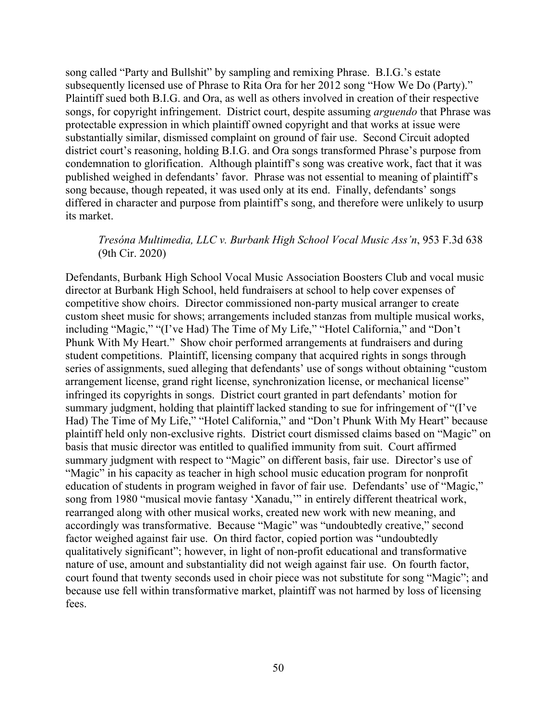song called "Party and Bullshit" by sampling and remixing Phrase. B.I.G.'s estate subsequently licensed use of Phrase to Rita Ora for her 2012 song "How We Do (Party)." Plaintiff sued both B.I.G. and Ora, as well as others involved in creation of their respective songs, for copyright infringement. District court, despite assuming *arguendo* that Phrase was protectable expression in which plaintiff owned copyright and that works at issue were substantially similar, dismissed complaint on ground of fair use. Second Circuit adopted district court's reasoning, holding B.I.G. and Ora songs transformed Phrase's purpose from condemnation to glorification. Although plaintiff's song was creative work, fact that it was published weighed in defendants' favor. Phrase was not essential to meaning of plaintiff's song because, though repeated, it was used only at its end. Finally, defendants' songs differed in character and purpose from plaintiff's song, and therefore were unlikely to usurp its market.

# *Tresóna Multimedia, LLC v. Burbank High School Vocal Music Ass'n*, 953 F.3d 638 (9th Cir. 2020)

Defendants, Burbank High School Vocal Music Association Boosters Club and vocal music director at Burbank High School, held fundraisers at school to help cover expenses of competitive show choirs. Director commissioned non-party musical arranger to create custom sheet music for shows; arrangements included stanzas from multiple musical works, including "Magic," "(I've Had) The Time of My Life," "Hotel California," and "Don't Phunk With My Heart." Show choir performed arrangements at fundraisers and during student competitions. Plaintiff, licensing company that acquired rights in songs through series of assignments, sued alleging that defendants' use of songs without obtaining "custom arrangement license, grand right license, synchronization license, or mechanical license" infringed its copyrights in songs. District court granted in part defendants' motion for summary judgment, holding that plaintiff lacked standing to sue for infringement of "(I've Had) The Time of My Life," "Hotel California," and "Don't Phunk With My Heart" because plaintiff held only non-exclusive rights. District court dismissed claims based on "Magic" on basis that music director was entitled to qualified immunity from suit. Court affirmed summary judgment with respect to "Magic" on different basis, fair use. Director's use of "Magic" in his capacity as teacher in high school music education program for nonprofit education of students in program weighed in favor of fair use. Defendants' use of "Magic," song from 1980 "musical movie fantasy 'Xanadu,'" in entirely different theatrical work, rearranged along with other musical works, created new work with new meaning, and accordingly was transformative. Because "Magic" was "undoubtedly creative," second factor weighed against fair use. On third factor, copied portion was "undoubtedly qualitatively significant"; however, in light of non-profit educational and transformative nature of use, amount and substantiality did not weigh against fair use. On fourth factor, court found that twenty seconds used in choir piece was not substitute for song "Magic"; and because use fell within transformative market, plaintiff was not harmed by loss of licensing fees.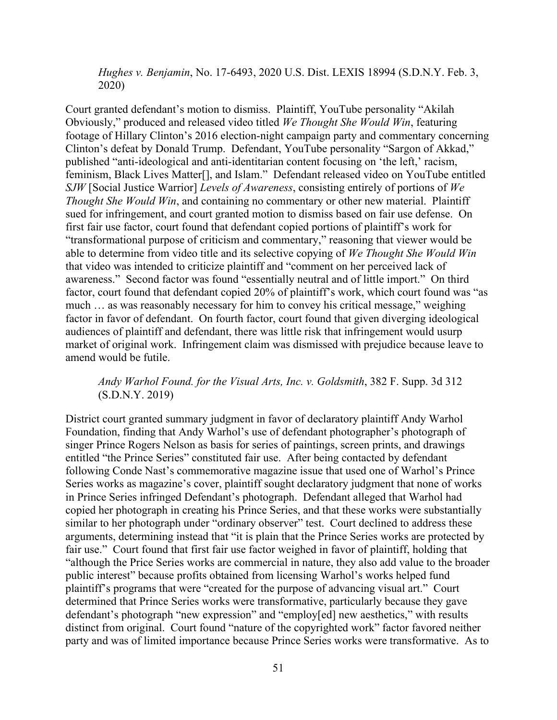*Hughes v. Benjamin*, No. 17-6493, 2020 U.S. Dist. LEXIS 18994 (S.D.N.Y. Feb. 3, 2020)

Court granted defendant's motion to dismiss. Plaintiff, YouTube personality "Akilah Obviously," produced and released video titled *We Thought She Would Win*, featuring footage of Hillary Clinton's 2016 election-night campaign party and commentary concerning Clinton's defeat by Donald Trump. Defendant, YouTube personality "Sargon of Akkad," published "anti-ideological and anti-identitarian content focusing on 'the left,' racism, feminism, Black Lives Matter[], and Islam." Defendant released video on YouTube entitled *SJW* [Social Justice Warrior] *Levels of Awareness*, consisting entirely of portions of *We Thought She Would Win*, and containing no commentary or other new material. Plaintiff sued for infringement, and court granted motion to dismiss based on fair use defense. On first fair use factor, court found that defendant copied portions of plaintiff's work for "transformational purpose of criticism and commentary," reasoning that viewer would be able to determine from video title and its selective copying of *We Thought She Would Win* that video was intended to criticize plaintiff and "comment on her perceived lack of awareness." Second factor was found "essentially neutral and of little import." On third factor, court found that defendant copied 20% of plaintiff's work, which court found was "as much … as was reasonably necessary for him to convey his critical message," weighing factor in favor of defendant. On fourth factor, court found that given diverging ideological audiences of plaintiff and defendant, there was little risk that infringement would usurp market of original work. Infringement claim was dismissed with prejudice because leave to amend would be futile.

## *Andy Warhol Found. for the Visual Arts, Inc. v. Goldsmith*, 382 F. Supp. 3d 312 (S.D.N.Y. 2019)

District court granted summary judgment in favor of declaratory plaintiff Andy Warhol Foundation, finding that Andy Warhol's use of defendant photographer's photograph of singer Prince Rogers Nelson as basis for series of paintings, screen prints, and drawings entitled "the Prince Series" constituted fair use. After being contacted by defendant following Conde Nast's commemorative magazine issue that used one of Warhol's Prince Series works as magazine's cover, plaintiff sought declaratory judgment that none of works in Prince Series infringed Defendant's photograph. Defendant alleged that Warhol had copied her photograph in creating his Prince Series, and that these works were substantially similar to her photograph under "ordinary observer" test. Court declined to address these arguments, determining instead that "it is plain that the Prince Series works are protected by fair use." Court found that first fair use factor weighed in favor of plaintiff, holding that "although the Price Series works are commercial in nature, they also add value to the broader public interest" because profits obtained from licensing Warhol's works helped fund plaintiff's programs that were "created for the purpose of advancing visual art." Court determined that Prince Series works were transformative, particularly because they gave defendant's photograph "new expression" and "employ[ed] new aesthetics," with results distinct from original. Court found "nature of the copyrighted work" factor favored neither party and was of limited importance because Prince Series works were transformative. As to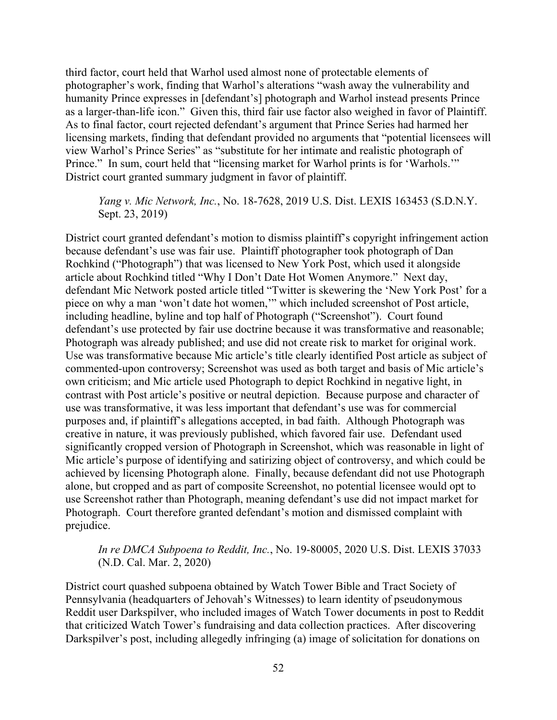third factor, court held that Warhol used almost none of protectable elements of photographer's work, finding that Warhol's alterations "wash away the vulnerability and humanity Prince expresses in [defendant's] photograph and Warhol instead presents Prince as a larger-than-life icon." Given this, third fair use factor also weighed in favor of Plaintiff. As to final factor, court rejected defendant's argument that Prince Series had harmed her licensing markets, finding that defendant provided no arguments that "potential licensees will view Warhol's Prince Series" as "substitute for her intimate and realistic photograph of Prince." In sum, court held that "licensing market for Warhol prints is for 'Warhols." District court granted summary judgment in favor of plaintiff.

## *Yang v. Mic Network, Inc.*, No. 18-7628, 2019 U.S. Dist. LEXIS 163453 (S.D.N.Y. Sept. 23, 2019)

District court granted defendant's motion to dismiss plaintiff's copyright infringement action because defendant's use was fair use. Plaintiff photographer took photograph of Dan Rochkind ("Photograph") that was licensed to New York Post, which used it alongside article about Rochkind titled "Why I Don't Date Hot Women Anymore." Next day, defendant Mic Network posted article titled "Twitter is skewering the 'New York Post' for a piece on why a man 'won't date hot women,'" which included screenshot of Post article, including headline, byline and top half of Photograph ("Screenshot"). Court found defendant's use protected by fair use doctrine because it was transformative and reasonable; Photograph was already published; and use did not create risk to market for original work. Use was transformative because Mic article's title clearly identified Post article as subject of commented-upon controversy; Screenshot was used as both target and basis of Mic article's own criticism; and Mic article used Photograph to depict Rochkind in negative light, in contrast with Post article's positive or neutral depiction. Because purpose and character of use was transformative, it was less important that defendant's use was for commercial purposes and, if plaintiff's allegations accepted, in bad faith. Although Photograph was creative in nature, it was previously published, which favored fair use. Defendant used significantly cropped version of Photograph in Screenshot, which was reasonable in light of Mic article's purpose of identifying and satirizing object of controversy, and which could be achieved by licensing Photograph alone. Finally, because defendant did not use Photograph alone, but cropped and as part of composite Screenshot, no potential licensee would opt to use Screenshot rather than Photograph, meaning defendant's use did not impact market for Photograph. Court therefore granted defendant's motion and dismissed complaint with prejudice.

# *In re DMCA Subpoena to Reddit, Inc.*, No. 19-80005, 2020 U.S. Dist. LEXIS 37033 (N.D. Cal. Mar. 2, 2020)

District court quashed subpoena obtained by Watch Tower Bible and Tract Society of Pennsylvania (headquarters of Jehovah's Witnesses) to learn identity of pseudonymous Reddit user Darkspilver, who included images of Watch Tower documents in post to Reddit that criticized Watch Tower's fundraising and data collection practices. After discovering Darkspilver's post, including allegedly infringing (a) image of solicitation for donations on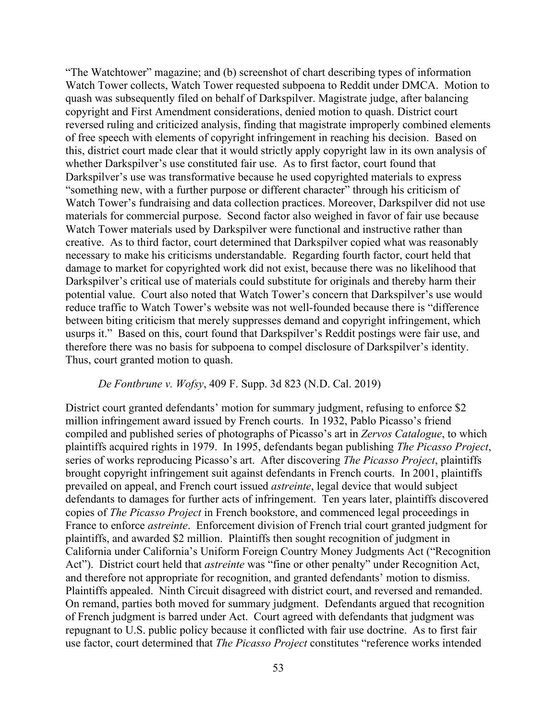"The Watchtower" magazine; and (b) screenshot of chart describing types of information Watch Tower collects, Watch Tower requested subpoena to Reddit under DMCA. Motion to quash was subsequently filed on behalf of Darkspilver. Magistrate judge, after balancing copyright and First Amendment considerations, denied motion to quash. District court reversed ruling and criticized analysis, finding that magistrate improperly combined elements of free speech with elements of copyright infringement in reaching his decision. Based on this, district court made clear that it would strictly apply copyright law in its own analysis of whether Darkspilver's use constituted fair use. As to first factor, court found that Darkspilver's use was transformative because he used copyrighted materials to express "something new, with a further purpose or different character" through his criticism of Watch Tower's fundraising and data collection practices. Moreover, Darkspilver did not use materials for commercial purpose. Second factor also weighed in favor of fair use because Watch Tower materials used by Darkspilver were functional and instructive rather than creative. As to third factor, court determined that Darkspilver copied what was reasonably necessary to make his criticisms understandable. Regarding fourth factor, court held that damage to market for copyrighted work did not exist, because there was no likelihood that Darkspilver's critical use of materials could substitute for originals and thereby harm their potential value. Court also noted that Watch Tower's concern that Darkspilver's use would reduce traffic to Watch Tower's website was not well-founded because there is "difference between biting criticism that merely suppresses demand and copyright infringement, which usurps it." Based on this, court found that Darkspilver's Reddit postings were fair use, and therefore there was no basis for subpoena to compel disclosure of Darkspilver's identity. Thus, court granted motion to quash.

#### *De Fontbrune v. Wofsy*, 409 F. Supp. 3d 823 (N.D. Cal. 2019)

District court granted defendants' motion for summary judgment, refusing to enforce \$2 million infringement award issued by French courts. In 1932, Pablo Picasso's friend compiled and published series of photographs of Picasso's art in *Zervos Catalogue*, to which plaintiffs acquired rights in 1979. In 1995, defendants began publishing *The Picasso Project*, series of works reproducing Picasso's art. After discovering *The Picasso Project*, plaintiffs brought copyright infringement suit against defendants in French courts. In 2001, plaintiffs prevailed on appeal, and French court issued *astreinte*, legal device that would subject defendants to damages for further acts of infringement. Ten years later, plaintiffs discovered copies of *The Picasso Project* in French bookstore, and commenced legal proceedings in France to enforce *astreinte*. Enforcement division of French trial court granted judgment for plaintiffs, and awarded \$2 million. Plaintiffs then sought recognition of judgment in California under California's Uniform Foreign Country Money Judgments Act ("Recognition Act"). District court held that *astreinte* was "fine or other penalty" under Recognition Act, and therefore not appropriate for recognition, and granted defendants' motion to dismiss. Plaintiffs appealed. Ninth Circuit disagreed with district court, and reversed and remanded. On remand, parties both moved for summary judgment. Defendants argued that recognition of French judgment is barred under Act. Court agreed with defendants that judgment was repugnant to U.S. public policy because it conflicted with fair use doctrine. As to first fair use factor, court determined that *The Picasso Project* constitutes "reference works intended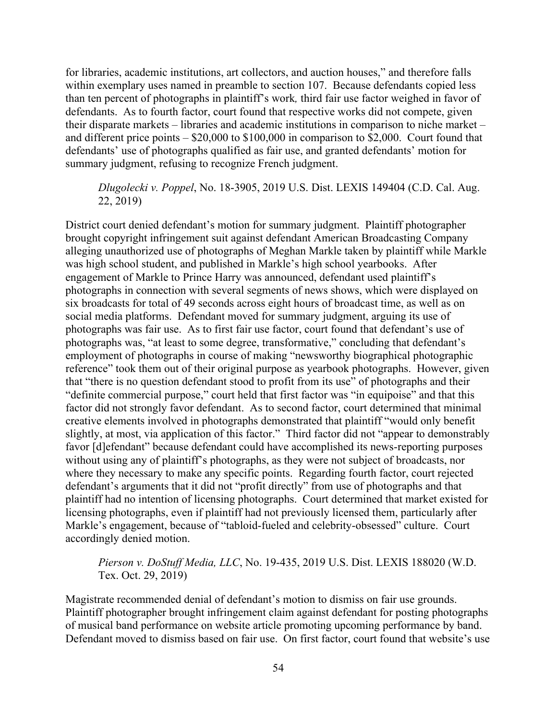for libraries, academic institutions, art collectors, and auction houses," and therefore falls within exemplary uses named in preamble to section 107. Because defendants copied less than ten percent of photographs in plaintiff's work*,* third fair use factor weighed in favor of defendants. As to fourth factor, court found that respective works did not compete, given their disparate markets – libraries and academic institutions in comparison to niche market – and different price points – \$20,000 to \$100,000 in comparison to \$2,000. Court found that defendants' use of photographs qualified as fair use, and granted defendants' motion for summary judgment, refusing to recognize French judgment.

## *Dlugolecki v. Poppel*, No. 18-3905, 2019 U.S. Dist. LEXIS 149404 (C.D. Cal. Aug. 22, 2019)

District court denied defendant's motion for summary judgment. Plaintiff photographer brought copyright infringement suit against defendant American Broadcasting Company alleging unauthorized use of photographs of Meghan Markle taken by plaintiff while Markle was high school student, and published in Markle's high school yearbooks. After engagement of Markle to Prince Harry was announced, defendant used plaintiff's photographs in connection with several segments of news shows, which were displayed on six broadcasts for total of 49 seconds across eight hours of broadcast time, as well as on social media platforms. Defendant moved for summary judgment, arguing its use of photographs was fair use. As to first fair use factor, court found that defendant's use of photographs was, "at least to some degree, transformative," concluding that defendant's employment of photographs in course of making "newsworthy biographical photographic reference" took them out of their original purpose as yearbook photographs. However, given that "there is no question defendant stood to profit from its use" of photographs and their "definite commercial purpose," court held that first factor was "in equipoise" and that this factor did not strongly favor defendant. As to second factor, court determined that minimal creative elements involved in photographs demonstrated that plaintiff "would only benefit slightly, at most, via application of this factor." Third factor did not "appear to demonstrably favor [d]efendant" because defendant could have accomplished its news-reporting purposes without using any of plaintiff's photographs, as they were not subject of broadcasts, nor where they necessary to make any specific points. Regarding fourth factor, court rejected defendant's arguments that it did not "profit directly" from use of photographs and that plaintiff had no intention of licensing photographs. Court determined that market existed for licensing photographs, even if plaintiff had not previously licensed them, particularly after Markle's engagement, because of "tabloid-fueled and celebrity-obsessed" culture. Court accordingly denied motion.

## *Pierson v. DoStuff Media, LLC*, No. 19-435, 2019 U.S. Dist. LEXIS 188020 (W.D. Tex. Oct. 29, 2019)

Magistrate recommended denial of defendant's motion to dismiss on fair use grounds. Plaintiff photographer brought infringement claim against defendant for posting photographs of musical band performance on website article promoting upcoming performance by band. Defendant moved to dismiss based on fair use. On first factor, court found that website's use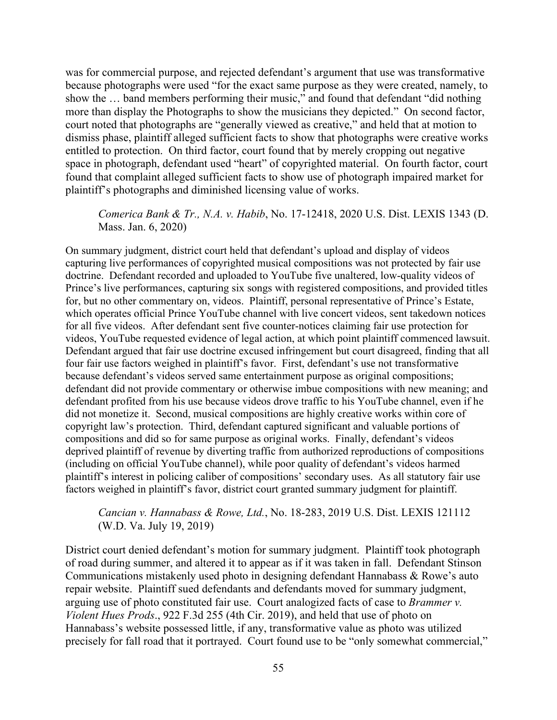was for commercial purpose, and rejected defendant's argument that use was transformative because photographs were used "for the exact same purpose as they were created, namely, to show the … band members performing their music," and found that defendant "did nothing more than display the Photographs to show the musicians they depicted." On second factor, court noted that photographs are "generally viewed as creative," and held that at motion to dismiss phase, plaintiff alleged sufficient facts to show that photographs were creative works entitled to protection. On third factor, court found that by merely cropping out negative space in photograph, defendant used "heart" of copyrighted material. On fourth factor, court found that complaint alleged sufficient facts to show use of photograph impaired market for plaintiff's photographs and diminished licensing value of works.

### *Comerica Bank & Tr., N.A. v. Habib*, No. 17-12418, 2020 U.S. Dist. LEXIS 1343 (D. Mass. Jan. 6, 2020)

On summary judgment, district court held that defendant's upload and display of videos capturing live performances of copyrighted musical compositions was not protected by fair use doctrine. Defendant recorded and uploaded to YouTube five unaltered, low-quality videos of Prince's live performances, capturing six songs with registered compositions, and provided titles for, but no other commentary on, videos. Plaintiff, personal representative of Prince's Estate, which operates official Prince YouTube channel with live concert videos, sent takedown notices for all five videos. After defendant sent five counter-notices claiming fair use protection for videos, YouTube requested evidence of legal action, at which point plaintiff commenced lawsuit. Defendant argued that fair use doctrine excused infringement but court disagreed, finding that all four fair use factors weighed in plaintiff's favor. First, defendant's use not transformative because defendant's videos served same entertainment purpose as original compositions; defendant did not provide commentary or otherwise imbue compositions with new meaning; and defendant profited from his use because videos drove traffic to his YouTube channel, even if he did not monetize it. Second, musical compositions are highly creative works within core of copyright law's protection. Third, defendant captured significant and valuable portions of compositions and did so for same purpose as original works. Finally, defendant's videos deprived plaintiff of revenue by diverting traffic from authorized reproductions of compositions (including on official YouTube channel), while poor quality of defendant's videos harmed plaintiff's interest in policing caliber of compositions' secondary uses. As all statutory fair use factors weighed in plaintiff's favor, district court granted summary judgment for plaintiff.

# *Cancian v. Hannabass & Rowe, Ltd.*, No. 18-283, 2019 U.S. Dist. LEXIS 121112 (W.D. Va. July 19, 2019)

District court denied defendant's motion for summary judgment. Plaintiff took photograph of road during summer, and altered it to appear as if it was taken in fall. Defendant Stinson Communications mistakenly used photo in designing defendant Hannabass & Rowe's auto repair website. Plaintiff sued defendants and defendants moved for summary judgment, arguing use of photo constituted fair use. Court analogized facts of case to *Brammer v. Violent Hues Prods*., 922 F.3d 255 (4th Cir. 2019), and held that use of photo on Hannabass's website possessed little, if any, transformative value as photo was utilized precisely for fall road that it portrayed. Court found use to be "only somewhat commercial,"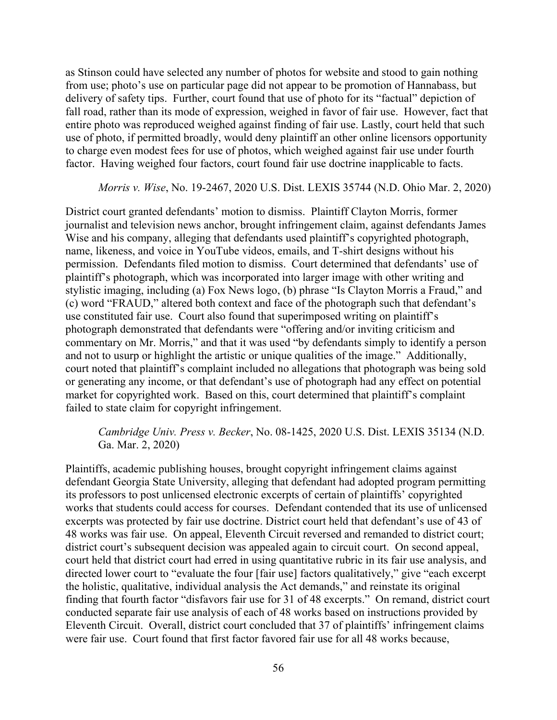as Stinson could have selected any number of photos for website and stood to gain nothing from use; photo's use on particular page did not appear to be promotion of Hannabass, but delivery of safety tips. Further, court found that use of photo for its "factual" depiction of fall road, rather than its mode of expression, weighed in favor of fair use. However, fact that entire photo was reproduced weighed against finding of fair use. Lastly, court held that such use of photo, if permitted broadly, would deny plaintiff an other online licensors opportunity to charge even modest fees for use of photos, which weighed against fair use under fourth factor. Having weighed four factors, court found fair use doctrine inapplicable to facts.

## *Morris v. Wise*, No. 19-2467, 2020 U.S. Dist. LEXIS 35744 (N.D. Ohio Mar. 2, 2020)

District court granted defendants' motion to dismiss. Plaintiff Clayton Morris, former journalist and television news anchor, brought infringement claim, against defendants James Wise and his company, alleging that defendants used plaintiff's copyrighted photograph, name, likeness, and voice in YouTube videos, emails, and T-shirt designs without his permission. Defendants filed motion to dismiss. Court determined that defendants' use of plaintiff's photograph, which was incorporated into larger image with other writing and stylistic imaging, including (a) Fox News logo, (b) phrase "Is Clayton Morris a Fraud," and (c) word "FRAUD," altered both context and face of the photograph such that defendant's use constituted fair use. Court also found that superimposed writing on plaintiff's photograph demonstrated that defendants were "offering and/or inviting criticism and commentary on Mr. Morris," and that it was used "by defendants simply to identify a person and not to usurp or highlight the artistic or unique qualities of the image." Additionally, court noted that plaintiff's complaint included no allegations that photograph was being sold or generating any income, or that defendant's use of photograph had any effect on potential market for copyrighted work. Based on this, court determined that plaintiff's complaint failed to state claim for copyright infringement.

# *Cambridge Univ. Press v. Becker*, No. 08-1425, 2020 U.S. Dist. LEXIS 35134 (N.D. Ga. Mar. 2, 2020)

Plaintiffs, academic publishing houses, brought copyright infringement claims against defendant Georgia State University, alleging that defendant had adopted program permitting its professors to post unlicensed electronic excerpts of certain of plaintiffs' copyrighted works that students could access for courses. Defendant contended that its use of unlicensed excerpts was protected by fair use doctrine. District court held that defendant's use of 43 of 48 works was fair use. On appeal, Eleventh Circuit reversed and remanded to district court; district court's subsequent decision was appealed again to circuit court. On second appeal, court held that district court had erred in using quantitative rubric in its fair use analysis, and directed lower court to "evaluate the four [fair use] factors qualitatively," give "each excerpt the holistic, qualitative, individual analysis the Act demands," and reinstate its original finding that fourth factor "disfavors fair use for 31 of 48 excerpts." On remand, district court conducted separate fair use analysis of each of 48 works based on instructions provided by Eleventh Circuit. Overall, district court concluded that 37 of plaintiffs' infringement claims were fair use. Court found that first factor favored fair use for all 48 works because,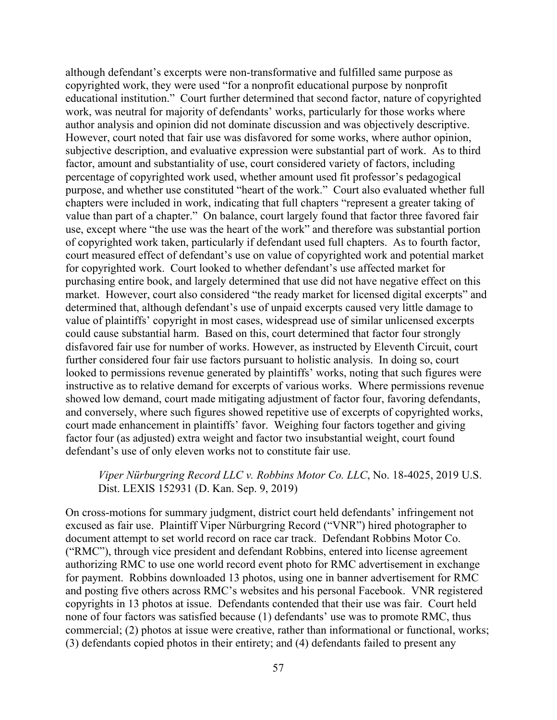although defendant's excerpts were non-transformative and fulfilled same purpose as copyrighted work, they were used "for a nonprofit educational purpose by nonprofit educational institution." Court further determined that second factor, nature of copyrighted work, was neutral for majority of defendants' works, particularly for those works where author analysis and opinion did not dominate discussion and was objectively descriptive. However, court noted that fair use was disfavored for some works, where author opinion, subjective description, and evaluative expression were substantial part of work. As to third factor, amount and substantiality of use, court considered variety of factors, including percentage of copyrighted work used, whether amount used fit professor's pedagogical purpose, and whether use constituted "heart of the work." Court also evaluated whether full chapters were included in work, indicating that full chapters "represent a greater taking of value than part of a chapter." On balance, court largely found that factor three favored fair use, except where "the use was the heart of the work" and therefore was substantial portion of copyrighted work taken, particularly if defendant used full chapters. As to fourth factor, court measured effect of defendant's use on value of copyrighted work and potential market for copyrighted work. Court looked to whether defendant's use affected market for purchasing entire book, and largely determined that use did not have negative effect on this market. However, court also considered "the ready market for licensed digital excerpts" and determined that, although defendant's use of unpaid excerpts caused very little damage to value of plaintiffs' copyright in most cases, widespread use of similar unlicensed excerpts could cause substantial harm. Based on this, court determined that factor four strongly disfavored fair use for number of works. However, as instructed by Eleventh Circuit, court further considered four fair use factors pursuant to holistic analysis. In doing so, court looked to permissions revenue generated by plaintiffs' works, noting that such figures were instructive as to relative demand for excerpts of various works. Where permissions revenue showed low demand, court made mitigating adjustment of factor four, favoring defendants, and conversely, where such figures showed repetitive use of excerpts of copyrighted works, court made enhancement in plaintiffs' favor. Weighing four factors together and giving factor four (as adjusted) extra weight and factor two insubstantial weight, court found defendant's use of only eleven works not to constitute fair use.

# *Viper Nürburgring Record LLC v. Robbins Motor Co. LLC*, No. 18-4025, 2019 U.S. Dist. LEXIS 152931 (D. Kan. Sep. 9, 2019)

On cross-motions for summary judgment, district court held defendants' infringement not excused as fair use. Plaintiff Viper Nürburgring Record ("VNR") hired photographer to document attempt to set world record on race car track. Defendant Robbins Motor Co. ("RMC"), through vice president and defendant Robbins, entered into license agreement authorizing RMC to use one world record event photo for RMC advertisement in exchange for payment. Robbins downloaded 13 photos, using one in banner advertisement for RMC and posting five others across RMC's websites and his personal Facebook. VNR registered copyrights in 13 photos at issue. Defendants contended that their use was fair. Court held none of four factors was satisfied because (1) defendants' use was to promote RMC, thus commercial; (2) photos at issue were creative, rather than informational or functional, works; (3) defendants copied photos in their entirety; and (4) defendants failed to present any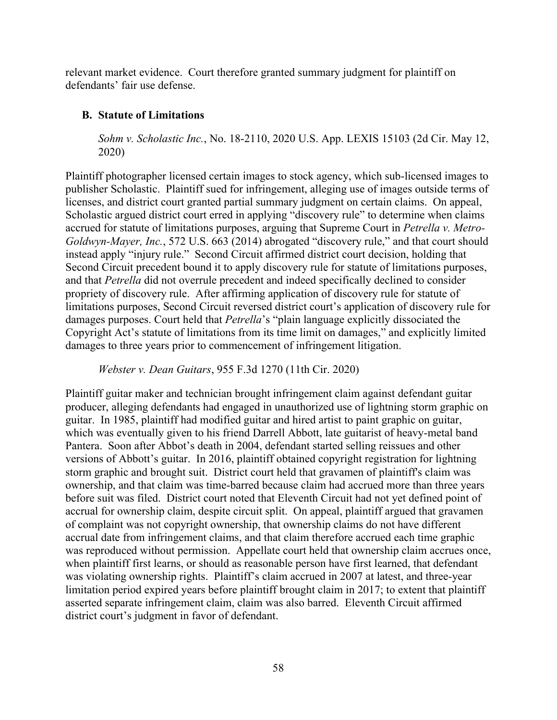relevant market evidence. Court therefore granted summary judgment for plaintiff on defendants' fair use defense.

# **B. Statute of Limitations**

*Sohm v. Scholastic Inc.*, No. 18-2110, 2020 U.S. App. LEXIS 15103 (2d Cir. May 12, 2020)

Plaintiff photographer licensed certain images to stock agency, which sub-licensed images to publisher Scholastic. Plaintiff sued for infringement, alleging use of images outside terms of licenses, and district court granted partial summary judgment on certain claims. On appeal, Scholastic argued district court erred in applying "discovery rule" to determine when claims accrued for statute of limitations purposes, arguing that Supreme Court in *Petrella v. Metro-Goldwyn-Mayer, Inc.*, 572 U.S. 663 (2014) abrogated "discovery rule," and that court should instead apply "injury rule." Second Circuit affirmed district court decision, holding that Second Circuit precedent bound it to apply discovery rule for statute of limitations purposes, and that *Petrella* did not overrule precedent and indeed specifically declined to consider propriety of discovery rule. After affirming application of discovery rule for statute of limitations purposes, Second Circuit reversed district court's application of discovery rule for damages purposes. Court held that *Petrella*'s "plain language explicitly dissociated the Copyright Act's statute of limitations from its time limit on damages," and explicitly limited damages to three years prior to commencement of infringement litigation.

*Webster v. Dean Guitars*, 955 F.3d 1270 (11th Cir. 2020)

Plaintiff guitar maker and technician brought infringement claim against defendant guitar producer, alleging defendants had engaged in unauthorized use of lightning storm graphic on guitar. In 1985, plaintiff had modified guitar and hired artist to paint graphic on guitar, which was eventually given to his friend Darrell Abbott, late guitarist of heavy-metal band Pantera. Soon after Abbot's death in 2004, defendant started selling reissues and other versions of Abbott's guitar. In 2016, plaintiff obtained copyright registration for lightning storm graphic and brought suit. District court held that gravamen of plaintiff's claim was ownership, and that claim was time-barred because claim had accrued more than three years before suit was filed. District court noted that Eleventh Circuit had not yet defined point of accrual for ownership claim, despite circuit split. On appeal, plaintiff argued that gravamen of complaint was not copyright ownership, that ownership claims do not have different accrual date from infringement claims, and that claim therefore accrued each time graphic was reproduced without permission. Appellate court held that ownership claim accrues once, when plaintiff first learns, or should as reasonable person have first learned, that defendant was violating ownership rights. Plaintiff's claim accrued in 2007 at latest, and three-year limitation period expired years before plaintiff brought claim in 2017; to extent that plaintiff asserted separate infringement claim, claim was also barred. Eleventh Circuit affirmed district court's judgment in favor of defendant.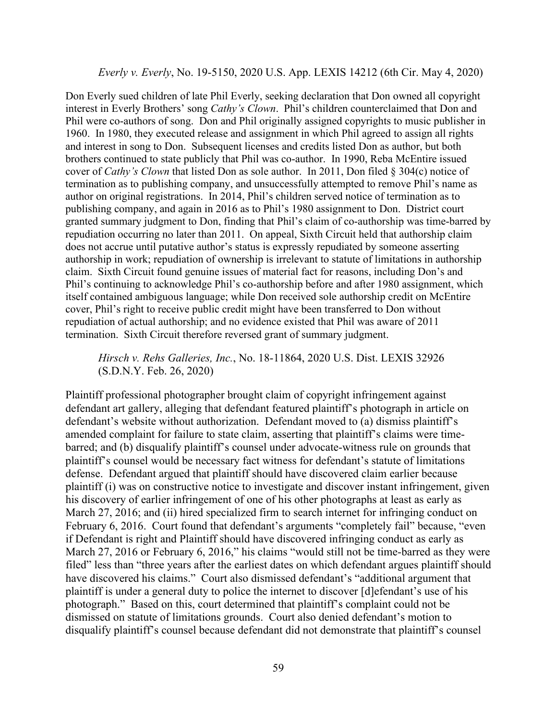#### *Everly v. Everly*, No. 19-5150, 2020 U.S. App. LEXIS 14212 (6th Cir. May 4, 2020)

Don Everly sued children of late Phil Everly, seeking declaration that Don owned all copyright interest in Everly Brothers' song *Cathy's Clown*. Phil's children counterclaimed that Don and Phil were co-authors of song. Don and Phil originally assigned copyrights to music publisher in 1960. In 1980, they executed release and assignment in which Phil agreed to assign all rights and interest in song to Don. Subsequent licenses and credits listed Don as author, but both brothers continued to state publicly that Phil was co-author. In 1990, Reba McEntire issued cover of *Cathy's Clown* that listed Don as sole author. In 2011, Don filed § 304(c) notice of termination as to publishing company, and unsuccessfully attempted to remove Phil's name as author on original registrations. In 2014, Phil's children served notice of termination as to publishing company, and again in 2016 as to Phil's 1980 assignment to Don. District court granted summary judgment to Don, finding that Phil's claim of co-authorship was time-barred by repudiation occurring no later than 2011. On appeal, Sixth Circuit held that authorship claim does not accrue until putative author's status is expressly repudiated by someone asserting authorship in work; repudiation of ownership is irrelevant to statute of limitations in authorship claim. Sixth Circuit found genuine issues of material fact for reasons, including Don's and Phil's continuing to acknowledge Phil's co-authorship before and after 1980 assignment, which itself contained ambiguous language; while Don received sole authorship credit on McEntire cover, Phil's right to receive public credit might have been transferred to Don without repudiation of actual authorship; and no evidence existed that Phil was aware of 2011 termination. Sixth Circuit therefore reversed grant of summary judgment.

*Hirsch v. Rehs Galleries, Inc.*, No. 18-11864, 2020 U.S. Dist. LEXIS 32926 (S.D.N.Y. Feb. 26, 2020)

Plaintiff professional photographer brought claim of copyright infringement against defendant art gallery, alleging that defendant featured plaintiff's photograph in article on defendant's website without authorization. Defendant moved to (a) dismiss plaintiff's amended complaint for failure to state claim, asserting that plaintiff's claims were timebarred; and (b) disqualify plaintiff's counsel under advocate-witness rule on grounds that plaintiff's counsel would be necessary fact witness for defendant's statute of limitations defense. Defendant argued that plaintiff should have discovered claim earlier because plaintiff (i) was on constructive notice to investigate and discover instant infringement, given his discovery of earlier infringement of one of his other photographs at least as early as March 27, 2016; and (ii) hired specialized firm to search internet for infringing conduct on February 6, 2016. Court found that defendant's arguments "completely fail" because, "even if Defendant is right and Plaintiff should have discovered infringing conduct as early as March 27, 2016 or February 6, 2016," his claims "would still not be time-barred as they were filed" less than "three years after the earliest dates on which defendant argues plaintiff should have discovered his claims." Court also dismissed defendant's "additional argument that plaintiff is under a general duty to police the internet to discover [d]efendant's use of his photograph." Based on this, court determined that plaintiff's complaint could not be dismissed on statute of limitations grounds. Court also denied defendant's motion to disqualify plaintiff's counsel because defendant did not demonstrate that plaintiff's counsel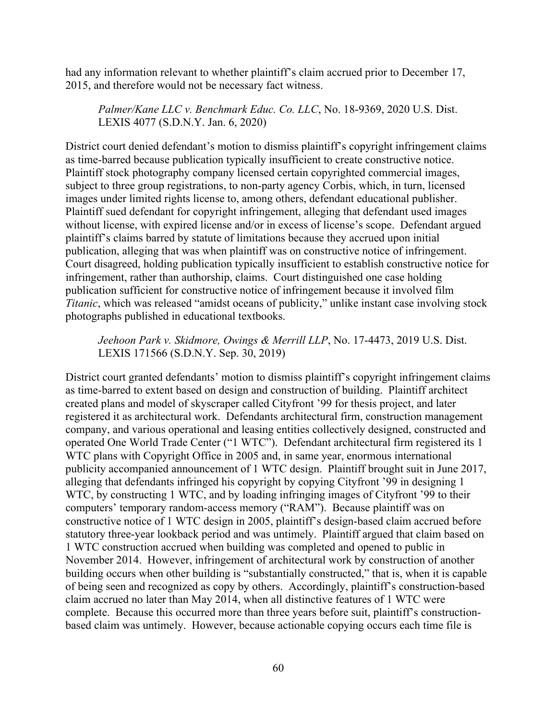had any information relevant to whether plaintiff's claim accrued prior to December 17, 2015, and therefore would not be necessary fact witness.

*Palmer/Kane LLC v. Benchmark Educ. Co. LLC*, No. 18-9369, 2020 U.S. Dist. LEXIS 4077 (S.D.N.Y. Jan. 6, 2020)

District court denied defendant's motion to dismiss plaintiff's copyright infringement claims as time-barred because publication typically insufficient to create constructive notice. Plaintiff stock photography company licensed certain copyrighted commercial images, subject to three group registrations, to non-party agency Corbis, which, in turn, licensed images under limited rights license to, among others, defendant educational publisher. Plaintiff sued defendant for copyright infringement, alleging that defendant used images without license, with expired license and/or in excess of license's scope. Defendant argued plaintiff's claims barred by statute of limitations because they accrued upon initial publication, alleging that was when plaintiff was on constructive notice of infringement. Court disagreed, holding publication typically insufficient to establish constructive notice for infringement, rather than authorship, claims. Court distinguished one case holding publication sufficient for constructive notice of infringement because it involved film *Titanic*, which was released "amidst oceans of publicity," unlike instant case involving stock photographs published in educational textbooks.

*Jeehoon Park v. Skidmore, Owings & Merrill LLP*, No. 17-4473, 2019 U.S. Dist. LEXIS 171566 (S.D.N.Y. Sep. 30, 2019)

District court granted defendants' motion to dismiss plaintiff's copyright infringement claims as time-barred to extent based on design and construction of building. Plaintiff architect created plans and model of skyscraper called Cityfront '99 for thesis project, and later registered it as architectural work. Defendants architectural firm, construction management company, and various operational and leasing entities collectively designed, constructed and operated One World Trade Center ("1 WTC"). Defendant architectural firm registered its 1 WTC plans with Copyright Office in 2005 and, in same year, enormous international publicity accompanied announcement of 1 WTC design. Plaintiff brought suit in June 2017, alleging that defendants infringed his copyright by copying Cityfront '99 in designing 1 WTC, by constructing 1 WTC, and by loading infringing images of Cityfront '99 to their computers' temporary random-access memory ("RAM"). Because plaintiff was on constructive notice of 1 WTC design in 2005, plaintiff's design-based claim accrued before statutory three-year lookback period and was untimely. Plaintiff argued that claim based on 1 WTC construction accrued when building was completed and opened to public in November 2014. However, infringement of architectural work by construction of another building occurs when other building is "substantially constructed," that is, when it is capable of being seen and recognized as copy by others. Accordingly, plaintiff's construction-based claim accrued no later than May 2014, when all distinctive features of 1 WTC were complete. Because this occurred more than three years before suit, plaintiff's constructionbased claim was untimely. However, because actionable copying occurs each time file is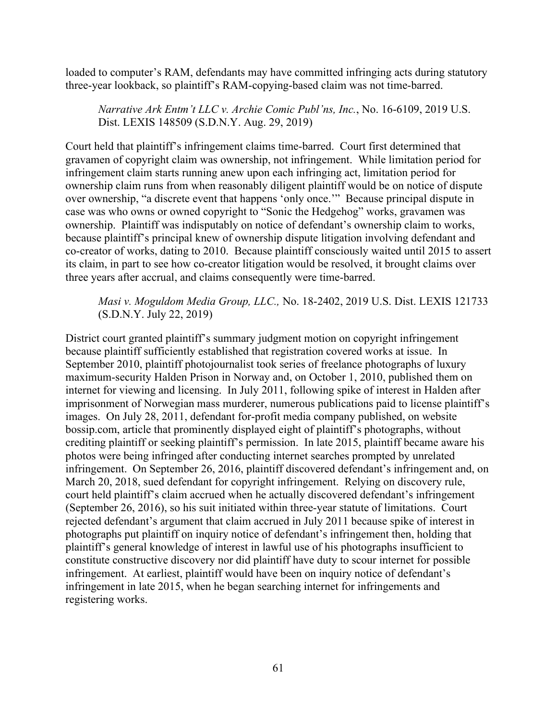loaded to computer's RAM, defendants may have committed infringing acts during statutory three-year lookback, so plaintiff's RAM-copying-based claim was not time-barred.

*Narrative Ark Entm't LLC v. Archie Comic Publ'ns, Inc.*, No. 16-6109, 2019 U.S. Dist. LEXIS 148509 (S.D.N.Y. Aug. 29, 2019)

Court held that plaintiff's infringement claims time-barred. Court first determined that gravamen of copyright claim was ownership, not infringement. While limitation period for infringement claim starts running anew upon each infringing act, limitation period for ownership claim runs from when reasonably diligent plaintiff would be on notice of dispute over ownership, "a discrete event that happens 'only once.'" Because principal dispute in case was who owns or owned copyright to "Sonic the Hedgehog" works, gravamen was ownership. Plaintiff was indisputably on notice of defendant's ownership claim to works, because plaintiff's principal knew of ownership dispute litigation involving defendant and co-creator of works, dating to 2010. Because plaintiff consciously waited until 2015 to assert its claim, in part to see how co-creator litigation would be resolved, it brought claims over three years after accrual, and claims consequently were time-barred.

## *Masi v. Moguldom Media Group, LLC.,* No. 18-2402, 2019 U.S. Dist. LEXIS 121733 (S.D.N.Y. July 22, 2019)

District court granted plaintiff's summary judgment motion on copyright infringement because plaintiff sufficiently established that registration covered works at issue. In September 2010, plaintiff photojournalist took series of freelance photographs of luxury maximum-security Halden Prison in Norway and, on October 1, 2010, published them on internet for viewing and licensing. In July 2011, following spike of interest in Halden after imprisonment of Norwegian mass murderer, numerous publications paid to license plaintiff's images. On July 28, 2011, defendant for-profit media company published, on website bossip.com, article that prominently displayed eight of plaintiff's photographs, without crediting plaintiff or seeking plaintiff's permission. In late 2015, plaintiff became aware his photos were being infringed after conducting internet searches prompted by unrelated infringement. On September 26, 2016, plaintiff discovered defendant's infringement and, on March 20, 2018, sued defendant for copyright infringement. Relying on discovery rule, court held plaintiff's claim accrued when he actually discovered defendant's infringement (September 26, 2016), so his suit initiated within three-year statute of limitations. Court rejected defendant's argument that claim accrued in July 2011 because spike of interest in photographs put plaintiff on inquiry notice of defendant's infringement then, holding that plaintiff's general knowledge of interest in lawful use of his photographs insufficient to constitute constructive discovery nor did plaintiff have duty to scour internet for possible infringement. At earliest, plaintiff would have been on inquiry notice of defendant's infringement in late 2015, when he began searching internet for infringements and registering works.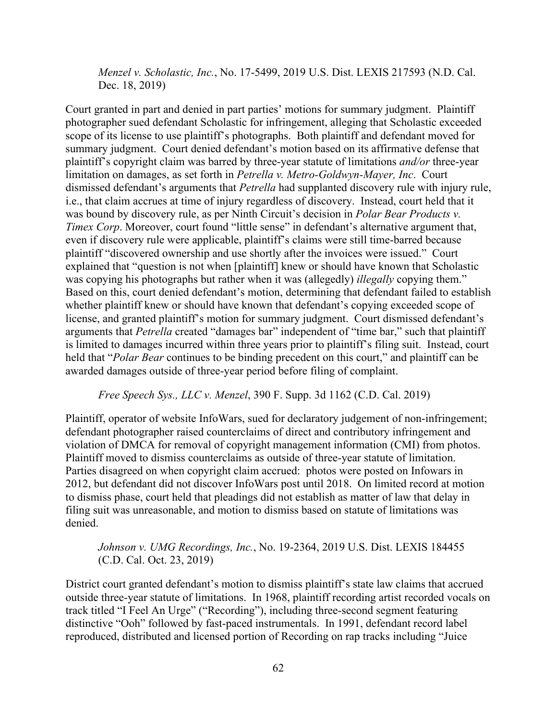*Menzel v. Scholastic, Inc.*, No. 17-5499, 2019 U.S. Dist. LEXIS 217593 (N.D. Cal. Dec. 18, 2019)

Court granted in part and denied in part parties' motions for summary judgment. Plaintiff photographer sued defendant Scholastic for infringement, alleging that Scholastic exceeded scope of its license to use plaintiff's photographs. Both plaintiff and defendant moved for summary judgment. Court denied defendant's motion based on its affirmative defense that plaintiff's copyright claim was barred by three-year statute of limitations *and/or* three-year limitation on damages, as set forth in *Petrella v. Metro-Goldwyn-Mayer, Inc*. Court dismissed defendant's arguments that *Petrella* had supplanted discovery rule with injury rule, i.e., that claim accrues at time of injury regardless of discovery. Instead, court held that it was bound by discovery rule, as per Ninth Circuit's decision in *Polar Bear Products v. Timex Corp.* Moreover, court found "little sense" in defendant's alternative argument that, even if discovery rule were applicable, plaintiff's claims were still time-barred because plaintiff "discovered ownership and use shortly after the invoices were issued." Court explained that "question is not when [plaintiff] knew or should have known that Scholastic was copying his photographs but rather when it was (allegedly) *illegally* copying them." Based on this, court denied defendant's motion, determining that defendant failed to establish whether plaintiff knew or should have known that defendant's copying exceeded scope of license, and granted plaintiff's motion for summary judgment. Court dismissed defendant's arguments that *Petrella* created "damages bar" independent of "time bar," such that plaintiff is limited to damages incurred within three years prior to plaintiff's filing suit. Instead, court held that "*Polar Bear* continues to be binding precedent on this court," and plaintiff can be awarded damages outside of three-year period before filing of complaint.

*Free Speech Sys., LLC v. Menzel*, 390 F. Supp. 3d 1162 (C.D. Cal. 2019)

Plaintiff, operator of website InfoWars, sued for declaratory judgement of non-infringement; defendant photographer raised counterclaims of direct and contributory infringement and violation of DMCA for removal of copyright management information (CMI) from photos. Plaintiff moved to dismiss counterclaims as outside of three-year statute of limitation. Parties disagreed on when copyright claim accrued: photos were posted on Infowars in 2012, but defendant did not discover InfoWars post until 2018. On limited record at motion to dismiss phase, court held that pleadings did not establish as matter of law that delay in filing suit was unreasonable, and motion to dismiss based on statute of limitations was denied.

# *Johnson v. UMG Recordings, Inc.*, No. 19-2364, 2019 U.S. Dist. LEXIS 184455 (C.D. Cal. Oct. 23, 2019)

District court granted defendant's motion to dismiss plaintiff's state law claims that accrued outside three-year statute of limitations. In 1968, plaintiff recording artist recorded vocals on track titled "I Feel An Urge" ("Recording"), including three-second segment featuring distinctive "Ooh" followed by fast-paced instrumentals. In 1991, defendant record label reproduced, distributed and licensed portion of Recording on rap tracks including "Juice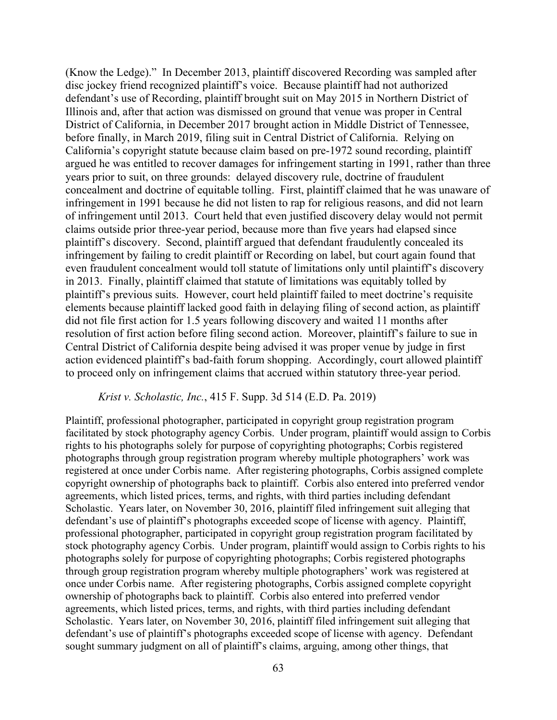(Know the Ledge)." In December 2013, plaintiff discovered Recording was sampled after disc jockey friend recognized plaintiff's voice. Because plaintiff had not authorized defendant's use of Recording, plaintiff brought suit on May 2015 in Northern District of Illinois and, after that action was dismissed on ground that venue was proper in Central District of California, in December 2017 brought action in Middle District of Tennessee, before finally, in March 2019, filing suit in Central District of California. Relying on California's copyright statute because claim based on pre-1972 sound recording, plaintiff argued he was entitled to recover damages for infringement starting in 1991, rather than three years prior to suit, on three grounds: delayed discovery rule, doctrine of fraudulent concealment and doctrine of equitable tolling. First, plaintiff claimed that he was unaware of infringement in 1991 because he did not listen to rap for religious reasons, and did not learn of infringement until 2013. Court held that even justified discovery delay would not permit claims outside prior three-year period, because more than five years had elapsed since plaintiff's discovery. Second, plaintiff argued that defendant fraudulently concealed its infringement by failing to credit plaintiff or Recording on label, but court again found that even fraudulent concealment would toll statute of limitations only until plaintiff's discovery in 2013. Finally, plaintiff claimed that statute of limitations was equitably tolled by plaintiff's previous suits. However, court held plaintiff failed to meet doctrine's requisite elements because plaintiff lacked good faith in delaying filing of second action, as plaintiff did not file first action for 1.5 years following discovery and waited 11 months after resolution of first action before filing second action. Moreover, plaintiff's failure to sue in Central District of California despite being advised it was proper venue by judge in first action evidenced plaintiff's bad-faith forum shopping. Accordingly, court allowed plaintiff to proceed only on infringement claims that accrued within statutory three-year period.

#### *Krist v. Scholastic, Inc.*, 415 F. Supp. 3d 514 (E.D. Pa. 2019)

Plaintiff, professional photographer, participated in copyright group registration program facilitated by stock photography agency Corbis. Under program, plaintiff would assign to Corbis rights to his photographs solely for purpose of copyrighting photographs; Corbis registered photographs through group registration program whereby multiple photographers' work was registered at once under Corbis name. After registering photographs, Corbis assigned complete copyright ownership of photographs back to plaintiff. Corbis also entered into preferred vendor agreements, which listed prices, terms, and rights, with third parties including defendant Scholastic. Years later, on November 30, 2016, plaintiff filed infringement suit alleging that defendant's use of plaintiff's photographs exceeded scope of license with agency. Plaintiff, professional photographer, participated in copyright group registration program facilitated by stock photography agency Corbis. Under program, plaintiff would assign to Corbis rights to his photographs solely for purpose of copyrighting photographs; Corbis registered photographs through group registration program whereby multiple photographers' work was registered at once under Corbis name. After registering photographs, Corbis assigned complete copyright ownership of photographs back to plaintiff. Corbis also entered into preferred vendor agreements, which listed prices, terms, and rights, with third parties including defendant Scholastic. Years later, on November 30, 2016, plaintiff filed infringement suit alleging that defendant's use of plaintiff's photographs exceeded scope of license with agency. Defendant sought summary judgment on all of plaintiff's claims, arguing, among other things, that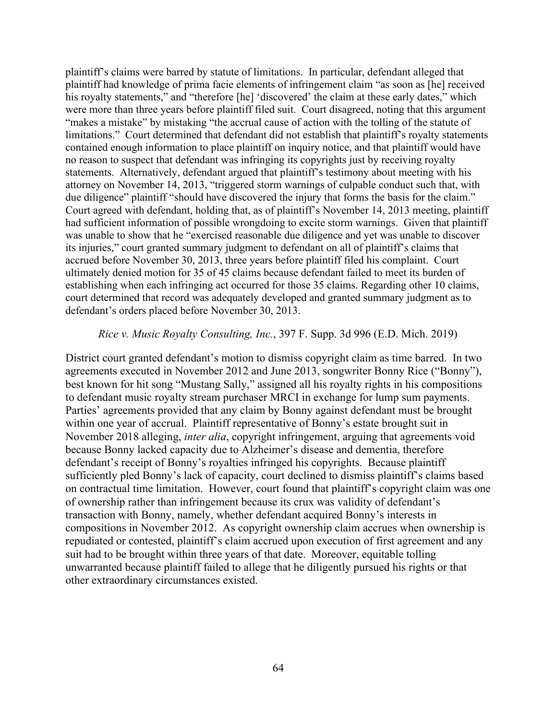plaintiff's claims were barred by statute of limitations. In particular, defendant alleged that plaintiff had knowledge of prima facie elements of infringement claim "as soon as [he] received his royalty statements," and "therefore [he] 'discovered' the claim at these early dates," which were more than three years before plaintiff filed suit. Court disagreed, noting that this argument "makes a mistake" by mistaking "the accrual cause of action with the tolling of the statute of limitations." Court determined that defendant did not establish that plaintiff's royalty statements contained enough information to place plaintiff on inquiry notice, and that plaintiff would have no reason to suspect that defendant was infringing its copyrights just by receiving royalty statements. Alternatively, defendant argued that plaintiff's testimony about meeting with his attorney on November 14, 2013, "triggered storm warnings of culpable conduct such that, with due diligence" plaintiff "should have discovered the injury that forms the basis for the claim." Court agreed with defendant, holding that, as of plaintiff's November 14, 2013 meeting, plaintiff had sufficient information of possible wrongdoing to excite storm warnings. Given that plaintiff was unable to show that he "exercised reasonable due diligence and yet was unable to discover its injuries," court granted summary judgment to defendant on all of plaintiff's claims that accrued before November 30, 2013, three years before plaintiff filed his complaint. Court ultimately denied motion for 35 of 45 claims because defendant failed to meet its burden of establishing when each infringing act occurred for those 35 claims. Regarding other 10 claims, court determined that record was adequately developed and granted summary judgment as to defendant's orders placed before November 30, 2013.

#### *Rice v. Music Royalty Consulting, Inc.*, 397 F. Supp. 3d 996 (E.D. Mich. 2019)

District court granted defendant's motion to dismiss copyright claim as time barred. In two agreements executed in November 2012 and June 2013, songwriter Bonny Rice ("Bonny"), best known for hit song "Mustang Sally," assigned all his royalty rights in his compositions to defendant music royalty stream purchaser MRCI in exchange for lump sum payments. Parties' agreements provided that any claim by Bonny against defendant must be brought within one year of accrual. Plaintiff representative of Bonny's estate brought suit in November 2018 alleging, *inter alia*, copyright infringement, arguing that agreements void because Bonny lacked capacity due to Alzheimer's disease and dementia, therefore defendant's receipt of Bonny's royalties infringed his copyrights. Because plaintiff sufficiently pled Bonny's lack of capacity, court declined to dismiss plaintiff's claims based on contractual time limitation. However, court found that plaintiff's copyright claim was one of ownership rather than infringement because its crux was validity of defendant's transaction with Bonny, namely, whether defendant acquired Bonny's interests in compositions in November 2012. As copyright ownership claim accrues when ownership is repudiated or contested, plaintiff's claim accrued upon execution of first agreement and any suit had to be brought within three years of that date. Moreover, equitable tolling unwarranted because plaintiff failed to allege that he diligently pursued his rights or that other extraordinary circumstances existed.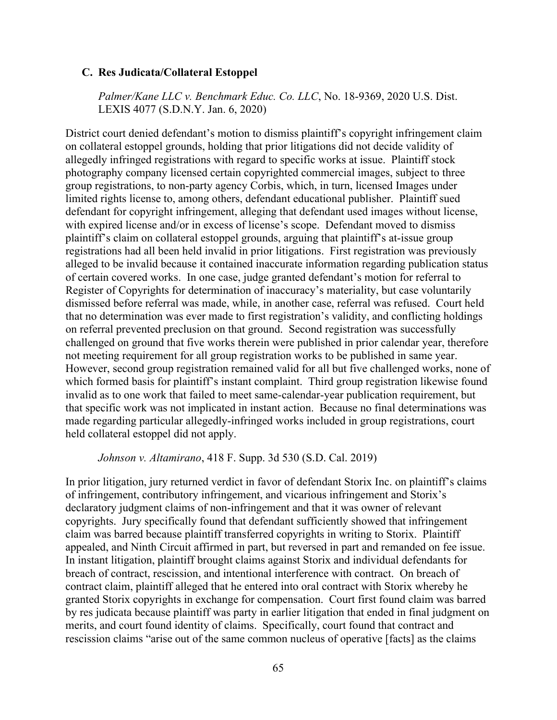#### **C. Res Judicata/Collateral Estoppel**

*Palmer/Kane LLC v. Benchmark Educ. Co. LLC*, No. 18-9369, 2020 U.S. Dist. LEXIS 4077 (S.D.N.Y. Jan. 6, 2020)

District court denied defendant's motion to dismiss plaintiff's copyright infringement claim on collateral estoppel grounds, holding that prior litigations did not decide validity of allegedly infringed registrations with regard to specific works at issue. Plaintiff stock photography company licensed certain copyrighted commercial images, subject to three group registrations, to non-party agency Corbis, which, in turn, licensed Images under limited rights license to, among others, defendant educational publisher. Plaintiff sued defendant for copyright infringement, alleging that defendant used images without license, with expired license and/or in excess of license's scope. Defendant moved to dismiss plaintiff's claim on collateral estoppel grounds, arguing that plaintiff's at-issue group registrations had all been held invalid in prior litigations. First registration was previously alleged to be invalid because it contained inaccurate information regarding publication status of certain covered works. In one case, judge granted defendant's motion for referral to Register of Copyrights for determination of inaccuracy's materiality, but case voluntarily dismissed before referral was made, while, in another case, referral was refused. Court held that no determination was ever made to first registration's validity, and conflicting holdings on referral prevented preclusion on that ground. Second registration was successfully challenged on ground that five works therein were published in prior calendar year, therefore not meeting requirement for all group registration works to be published in same year. However, second group registration remained valid for all but five challenged works, none of which formed basis for plaintiff's instant complaint. Third group registration likewise found invalid as to one work that failed to meet same-calendar-year publication requirement, but that specific work was not implicated in instant action. Because no final determinations was made regarding particular allegedly-infringed works included in group registrations, court held collateral estoppel did not apply.

## *Johnson v. Altamirano*, 418 F. Supp. 3d 530 (S.D. Cal. 2019)

In prior litigation, jury returned verdict in favor of defendant Storix Inc. on plaintiff's claims of infringement, contributory infringement, and vicarious infringement and Storix's declaratory judgment claims of non-infringement and that it was owner of relevant copyrights. Jury specifically found that defendant sufficiently showed that infringement claim was barred because plaintiff transferred copyrights in writing to Storix. Plaintiff appealed, and Ninth Circuit affirmed in part, but reversed in part and remanded on fee issue. In instant litigation, plaintiff brought claims against Storix and individual defendants for breach of contract, rescission, and intentional interference with contract. On breach of contract claim, plaintiff alleged that he entered into oral contract with Storix whereby he granted Storix copyrights in exchange for compensation. Court first found claim was barred by res judicata because plaintiff was party in earlier litigation that ended in final judgment on merits, and court found identity of claims. Specifically, court found that contract and rescission claims "arise out of the same common nucleus of operative [facts] as the claims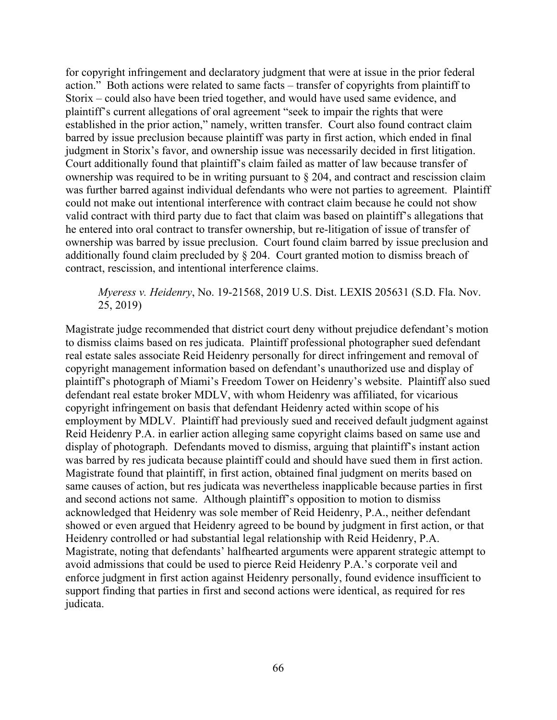for copyright infringement and declaratory judgment that were at issue in the prior federal action." Both actions were related to same facts – transfer of copyrights from plaintiff to Storix – could also have been tried together, and would have used same evidence, and plaintiff's current allegations of oral agreement "seek to impair the rights that were established in the prior action," namely, written transfer. Court also found contract claim barred by issue preclusion because plaintiff was party in first action, which ended in final judgment in Storix's favor, and ownership issue was necessarily decided in first litigation. Court additionally found that plaintiff's claim failed as matter of law because transfer of ownership was required to be in writing pursuant to § 204, and contract and rescission claim was further barred against individual defendants who were not parties to agreement. Plaintiff could not make out intentional interference with contract claim because he could not show valid contract with third party due to fact that claim was based on plaintiff's allegations that he entered into oral contract to transfer ownership, but re-litigation of issue of transfer of ownership was barred by issue preclusion. Court found claim barred by issue preclusion and additionally found claim precluded by § 204. Court granted motion to dismiss breach of contract, rescission, and intentional interference claims.

*Myeress v. Heidenry*, No. 19-21568, 2019 U.S. Dist. LEXIS 205631 (S.D. Fla. Nov. 25, 2019)

Magistrate judge recommended that district court deny without prejudice defendant's motion to dismiss claims based on res judicata. Plaintiff professional photographer sued defendant real estate sales associate Reid Heidenry personally for direct infringement and removal of copyright management information based on defendant's unauthorized use and display of plaintiff's photograph of Miami's Freedom Tower on Heidenry's website. Plaintiff also sued defendant real estate broker MDLV, with whom Heidenry was affiliated, for vicarious copyright infringement on basis that defendant Heidenry acted within scope of his employment by MDLV. Plaintiff had previously sued and received default judgment against Reid Heidenry P.A. in earlier action alleging same copyright claims based on same use and display of photograph. Defendants moved to dismiss, arguing that plaintiff's instant action was barred by res judicata because plaintiff could and should have sued them in first action. Magistrate found that plaintiff, in first action, obtained final judgment on merits based on same causes of action, but res judicata was nevertheless inapplicable because parties in first and second actions not same. Although plaintiff's opposition to motion to dismiss acknowledged that Heidenry was sole member of Reid Heidenry, P.A., neither defendant showed or even argued that Heidenry agreed to be bound by judgment in first action, or that Heidenry controlled or had substantial legal relationship with Reid Heidenry, P.A. Magistrate, noting that defendants' halfhearted arguments were apparent strategic attempt to avoid admissions that could be used to pierce Reid Heidenry P.A.'s corporate veil and enforce judgment in first action against Heidenry personally, found evidence insufficient to support finding that parties in first and second actions were identical, as required for res judicata.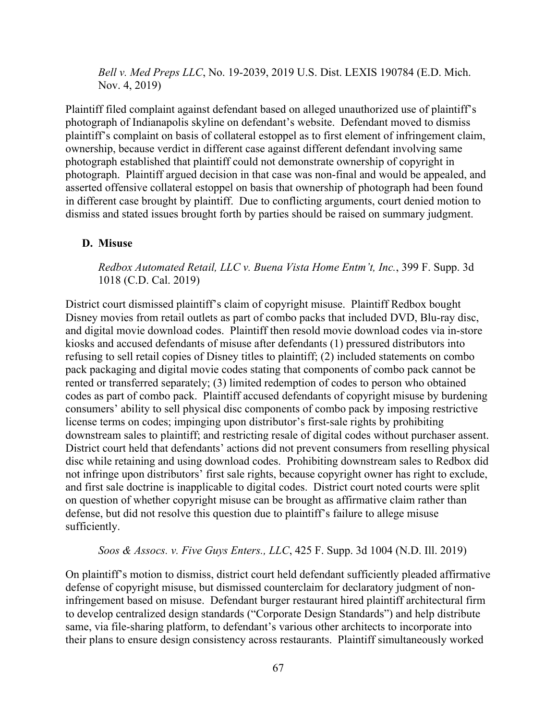*Bell v. Med Preps LLC*, No. 19-2039, 2019 U.S. Dist. LEXIS 190784 (E.D. Mich. Nov. 4, 2019)

Plaintiff filed complaint against defendant based on alleged unauthorized use of plaintiff's photograph of Indianapolis skyline on defendant's website. Defendant moved to dismiss plaintiff's complaint on basis of collateral estoppel as to first element of infringement claim, ownership, because verdict in different case against different defendant involving same photograph established that plaintiff could not demonstrate ownership of copyright in photograph. Plaintiff argued decision in that case was non-final and would be appealed, and asserted offensive collateral estoppel on basis that ownership of photograph had been found in different case brought by plaintiff. Due to conflicting arguments, court denied motion to dismiss and stated issues brought forth by parties should be raised on summary judgment.

#### **D. Misuse**

*Redbox Automated Retail, LLC v. Buena Vista Home Entm't, Inc.*, 399 F. Supp. 3d 1018 (C.D. Cal. 2019)

District court dismissed plaintiff's claim of copyright misuse. Plaintiff Redbox bought Disney movies from retail outlets as part of combo packs that included DVD, Blu-ray disc, and digital movie download codes. Plaintiff then resold movie download codes via in-store kiosks and accused defendants of misuse after defendants (1) pressured distributors into refusing to sell retail copies of Disney titles to plaintiff; (2) included statements on combo pack packaging and digital movie codes stating that components of combo pack cannot be rented or transferred separately; (3) limited redemption of codes to person who obtained codes as part of combo pack. Plaintiff accused defendants of copyright misuse by burdening consumers' ability to sell physical disc components of combo pack by imposing restrictive license terms on codes; impinging upon distributor's first-sale rights by prohibiting downstream sales to plaintiff; and restricting resale of digital codes without purchaser assent. District court held that defendants' actions did not prevent consumers from reselling physical disc while retaining and using download codes. Prohibiting downstream sales to Redbox did not infringe upon distributors' first sale rights, because copyright owner has right to exclude, and first sale doctrine is inapplicable to digital codes. District court noted courts were split on question of whether copyright misuse can be brought as affirmative claim rather than defense, but did not resolve this question due to plaintiff's failure to allege misuse sufficiently.

*Soos & Assocs. v. Five Guys Enters., LLC*, 425 F. Supp. 3d 1004 (N.D. Ill. 2019)

On plaintiff's motion to dismiss, district court held defendant sufficiently pleaded affirmative defense of copyright misuse, but dismissed counterclaim for declaratory judgment of noninfringement based on misuse. Defendant burger restaurant hired plaintiff architectural firm to develop centralized design standards ("Corporate Design Standards") and help distribute same, via file-sharing platform, to defendant's various other architects to incorporate into their plans to ensure design consistency across restaurants. Plaintiff simultaneously worked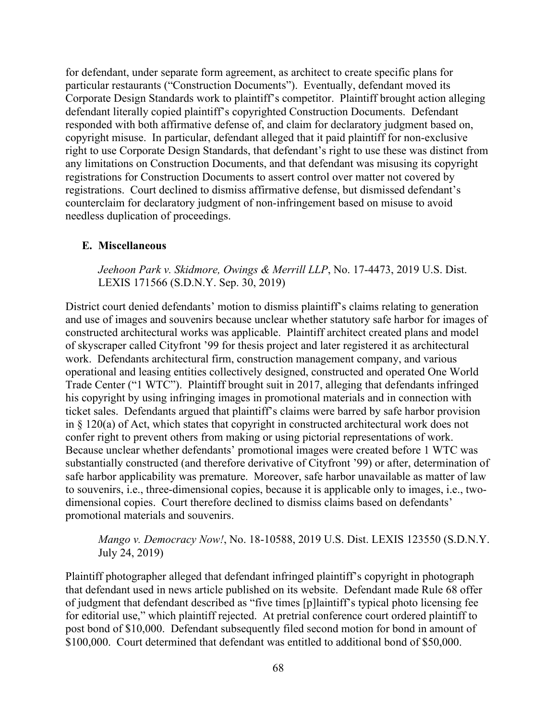for defendant, under separate form agreement, as architect to create specific plans for particular restaurants ("Construction Documents"). Eventually, defendant moved its Corporate Design Standards work to plaintiff's competitor. Plaintiff brought action alleging defendant literally copied plaintiff's copyrighted Construction Documents. Defendant responded with both affirmative defense of, and claim for declaratory judgment based on, copyright misuse. In particular, defendant alleged that it paid plaintiff for non-exclusive right to use Corporate Design Standards, that defendant's right to use these was distinct from any limitations on Construction Documents, and that defendant was misusing its copyright registrations for Construction Documents to assert control over matter not covered by registrations. Court declined to dismiss affirmative defense, but dismissed defendant's counterclaim for declaratory judgment of non-infringement based on misuse to avoid needless duplication of proceedings.

#### **E. Miscellaneous**

*Jeehoon Park v. Skidmore, Owings & Merrill LLP*, No. 17-4473, 2019 U.S. Dist. LEXIS 171566 (S.D.N.Y. Sep. 30, 2019)

District court denied defendants' motion to dismiss plaintiff's claims relating to generation and use of images and souvenirs because unclear whether statutory safe harbor for images of constructed architectural works was applicable. Plaintiff architect created plans and model of skyscraper called Cityfront '99 for thesis project and later registered it as architectural work. Defendants architectural firm, construction management company, and various operational and leasing entities collectively designed, constructed and operated One World Trade Center ("1 WTC"). Plaintiff brought suit in 2017, alleging that defendants infringed his copyright by using infringing images in promotional materials and in connection with ticket sales. Defendants argued that plaintiff's claims were barred by safe harbor provision in § 120(a) of Act, which states that copyright in constructed architectural work does not confer right to prevent others from making or using pictorial representations of work. Because unclear whether defendants' promotional images were created before 1 WTC was substantially constructed (and therefore derivative of Cityfront '99) or after, determination of safe harbor applicability was premature. Moreover, safe harbor unavailable as matter of law to souvenirs, i.e., three-dimensional copies, because it is applicable only to images, i.e., twodimensional copies. Court therefore declined to dismiss claims based on defendants' promotional materials and souvenirs.

*Mango v. Democracy Now!*, No. 18-10588, 2019 U.S. Dist. LEXIS 123550 (S.D.N.Y. July 24, 2019)

Plaintiff photographer alleged that defendant infringed plaintiff's copyright in photograph that defendant used in news article published on its website. Defendant made Rule 68 offer of judgment that defendant described as "five times [p]laintiff's typical photo licensing fee for editorial use," which plaintiff rejected. At pretrial conference court ordered plaintiff to post bond of \$10,000. Defendant subsequently filed second motion for bond in amount of \$100,000. Court determined that defendant was entitled to additional bond of \$50,000.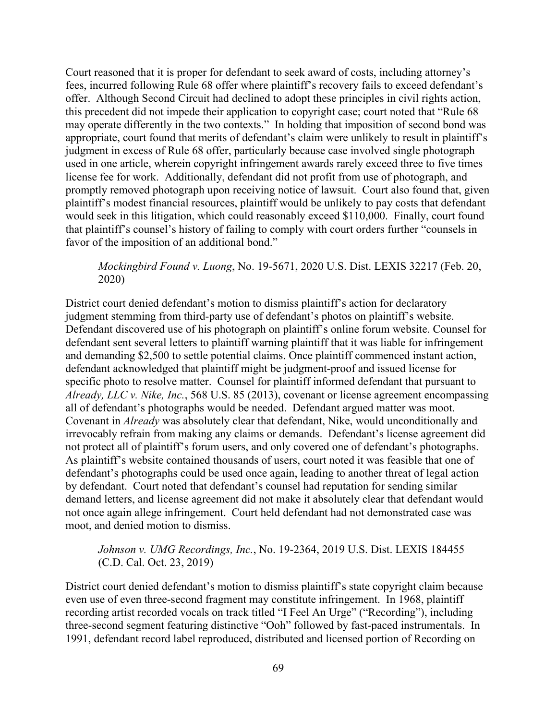Court reasoned that it is proper for defendant to seek award of costs, including attorney's fees, incurred following Rule 68 offer where plaintiff's recovery fails to exceed defendant's offer. Although Second Circuit had declined to adopt these principles in civil rights action, this precedent did not impede their application to copyright case; court noted that "Rule 68 may operate differently in the two contexts." In holding that imposition of second bond was appropriate, court found that merits of defendant's claim were unlikely to result in plaintiff's judgment in excess of Rule 68 offer, particularly because case involved single photograph used in one article, wherein copyright infringement awards rarely exceed three to five times license fee for work. Additionally, defendant did not profit from use of photograph, and promptly removed photograph upon receiving notice of lawsuit. Court also found that, given plaintiff's modest financial resources, plaintiff would be unlikely to pay costs that defendant would seek in this litigation, which could reasonably exceed \$110,000. Finally, court found that plaintiff's counsel's history of failing to comply with court orders further "counsels in favor of the imposition of an additional bond."

# *Mockingbird Found v. Luong*, No. 19-5671, 2020 U.S. Dist. LEXIS 32217 (Feb. 20, 2020)

District court denied defendant's motion to dismiss plaintiff's action for declaratory judgment stemming from third-party use of defendant's photos on plaintiff's website. Defendant discovered use of his photograph on plaintiff's online forum website. Counsel for defendant sent several letters to plaintiff warning plaintiff that it was liable for infringement and demanding \$2,500 to settle potential claims. Once plaintiff commenced instant action, defendant acknowledged that plaintiff might be judgment-proof and issued license for specific photo to resolve matter. Counsel for plaintiff informed defendant that pursuant to *Already, LLC v. Nike, Inc.*, 568 U.S. 85 (2013), covenant or license agreement encompassing all of defendant's photographs would be needed. Defendant argued matter was moot. Covenant in *Already* was absolutely clear that defendant, Nike, would unconditionally and irrevocably refrain from making any claims or demands. Defendant's license agreement did not protect all of plaintiff's forum users, and only covered one of defendant's photographs. As plaintiff's website contained thousands of users, court noted it was feasible that one of defendant's photographs could be used once again, leading to another threat of legal action by defendant. Court noted that defendant's counsel had reputation for sending similar demand letters, and license agreement did not make it absolutely clear that defendant would not once again allege infringement. Court held defendant had not demonstrated case was moot, and denied motion to dismiss.

# *Johnson v. UMG Recordings, Inc.*, No. 19-2364, 2019 U.S. Dist. LEXIS 184455 (C.D. Cal. Oct. 23, 2019)

District court denied defendant's motion to dismiss plaintiff's state copyright claim because even use of even three-second fragment may constitute infringement. In 1968, plaintiff recording artist recorded vocals on track titled "I Feel An Urge" ("Recording"), including three-second segment featuring distinctive "Ooh" followed by fast-paced instrumentals. In 1991, defendant record label reproduced, distributed and licensed portion of Recording on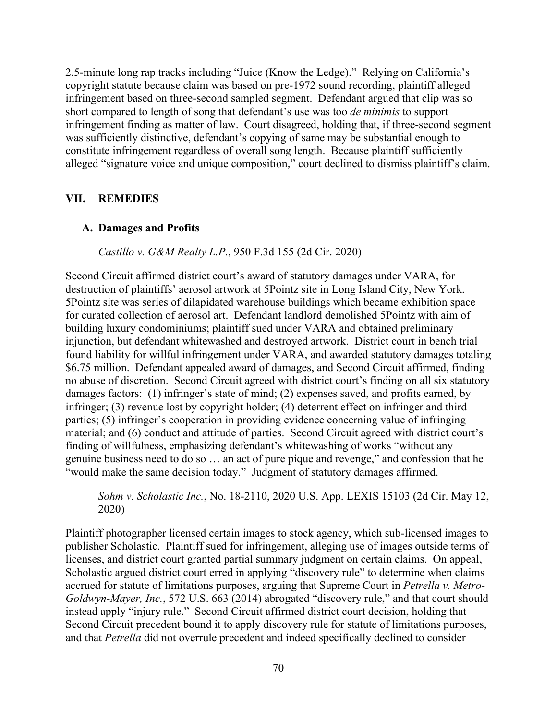2.5-minute long rap tracks including "Juice (Know the Ledge)." Relying on California's copyright statute because claim was based on pre-1972 sound recording, plaintiff alleged infringement based on three-second sampled segment. Defendant argued that clip was so short compared to length of song that defendant's use was too *de minimis* to support infringement finding as matter of law. Court disagreed, holding that, if three-second segment was sufficiently distinctive, defendant's copying of same may be substantial enough to constitute infringement regardless of overall song length. Because plaintiff sufficiently alleged "signature voice and unique composition," court declined to dismiss plaintiff's claim.

#### **VII. REMEDIES**

#### **A. Damages and Profits**

*Castillo v. G&M Realty L.P.*, 950 F.3d 155 (2d Cir. 2020)

Second Circuit affirmed district court's award of statutory damages under VARA, for destruction of plaintiffs' aerosol artwork at 5Pointz site in Long Island City, New York. 5Pointz site was series of dilapidated warehouse buildings which became exhibition space for curated collection of aerosol art. Defendant landlord demolished 5Pointz with aim of building luxury condominiums; plaintiff sued under VARA and obtained preliminary injunction, but defendant whitewashed and destroyed artwork. District court in bench trial found liability for willful infringement under VARA, and awarded statutory damages totaling \$6.75 million. Defendant appealed award of damages, and Second Circuit affirmed, finding no abuse of discretion. Second Circuit agreed with district court's finding on all six statutory damages factors: (1) infringer's state of mind; (2) expenses saved, and profits earned, by infringer; (3) revenue lost by copyright holder; (4) deterrent effect on infringer and third parties; (5) infringer's cooperation in providing evidence concerning value of infringing material; and (6) conduct and attitude of parties. Second Circuit agreed with district court's finding of willfulness, emphasizing defendant's whitewashing of works "without any genuine business need to do so … an act of pure pique and revenge," and confession that he "would make the same decision today." Judgment of statutory damages affirmed.

*Sohm v. Scholastic Inc.*, No. 18-2110, 2020 U.S. App. LEXIS 15103 (2d Cir. May 12, 2020)

Plaintiff photographer licensed certain images to stock agency, which sub-licensed images to publisher Scholastic. Plaintiff sued for infringement, alleging use of images outside terms of licenses, and district court granted partial summary judgment on certain claims. On appeal, Scholastic argued district court erred in applying "discovery rule" to determine when claims accrued for statute of limitations purposes, arguing that Supreme Court in *Petrella v. Metro-Goldwyn-Mayer, Inc.*, 572 U.S. 663 (2014) abrogated "discovery rule," and that court should instead apply "injury rule." Second Circuit affirmed district court decision, holding that Second Circuit precedent bound it to apply discovery rule for statute of limitations purposes, and that *Petrella* did not overrule precedent and indeed specifically declined to consider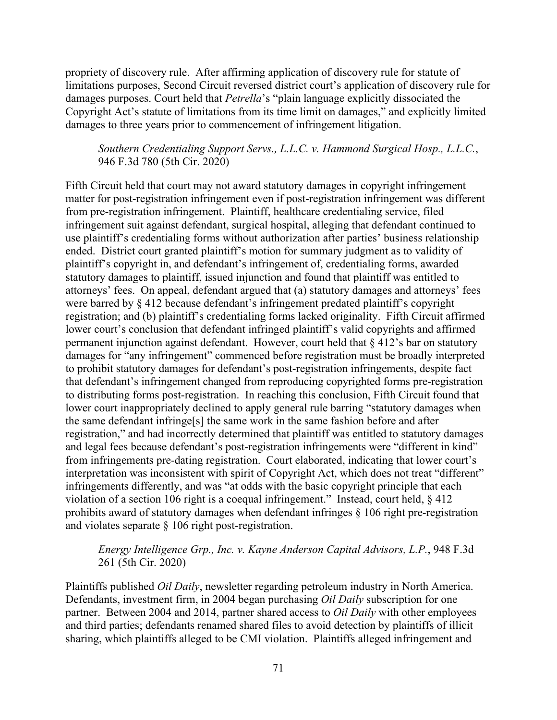propriety of discovery rule. After affirming application of discovery rule for statute of limitations purposes, Second Circuit reversed district court's application of discovery rule for damages purposes. Court held that *Petrella*'s "plain language explicitly dissociated the Copyright Act's statute of limitations from its time limit on damages," and explicitly limited damages to three years prior to commencement of infringement litigation.

*Southern Credentialing Support Servs., L.L.C. v. Hammond Surgical Hosp., L.L.C.*, 946 F.3d 780 (5th Cir. 2020)

Fifth Circuit held that court may not award statutory damages in copyright infringement matter for post-registration infringement even if post-registration infringement was different from pre-registration infringement. Plaintiff, healthcare credentialing service, filed infringement suit against defendant, surgical hospital, alleging that defendant continued to use plaintiff's credentialing forms without authorization after parties' business relationship ended. District court granted plaintiff's motion for summary judgment as to validity of plaintiff's copyright in, and defendant's infringement of, credentialing forms, awarded statutory damages to plaintiff, issued injunction and found that plaintiff was entitled to attorneys' fees. On appeal, defendant argued that (a) statutory damages and attorneys' fees were barred by  $\S$  412 because defendant's infringement predated plaintiff's copyright registration; and (b) plaintiff's credentialing forms lacked originality. Fifth Circuit affirmed lower court's conclusion that defendant infringed plaintiff's valid copyrights and affirmed permanent injunction against defendant. However, court held that § 412's bar on statutory damages for "any infringement" commenced before registration must be broadly interpreted to prohibit statutory damages for defendant's post-registration infringements, despite fact that defendant's infringement changed from reproducing copyrighted forms pre-registration to distributing forms post-registration. In reaching this conclusion, Fifth Circuit found that lower court inappropriately declined to apply general rule barring "statutory damages when the same defendant infringe[s] the same work in the same fashion before and after registration," and had incorrectly determined that plaintiff was entitled to statutory damages and legal fees because defendant's post-registration infringements were "different in kind" from infringements pre-dating registration. Court elaborated, indicating that lower court's interpretation was inconsistent with spirit of Copyright Act, which does not treat "different" infringements differently, and was "at odds with the basic copyright principle that each violation of a section 106 right is a coequal infringement." Instead, court held, § 412 prohibits award of statutory damages when defendant infringes § 106 right pre-registration and violates separate § 106 right post-registration.

# *Energy Intelligence Grp., Inc. v. Kayne Anderson Capital Advisors, L.P.*, 948 F.3d 261 (5th Cir. 2020)

Plaintiffs published *Oil Daily*, newsletter regarding petroleum industry in North America. Defendants, investment firm, in 2004 began purchasing *Oil Daily* subscription for one partner. Between 2004 and 2014, partner shared access to *Oil Daily* with other employees and third parties; defendants renamed shared files to avoid detection by plaintiffs of illicit sharing, which plaintiffs alleged to be CMI violation. Plaintiffs alleged infringement and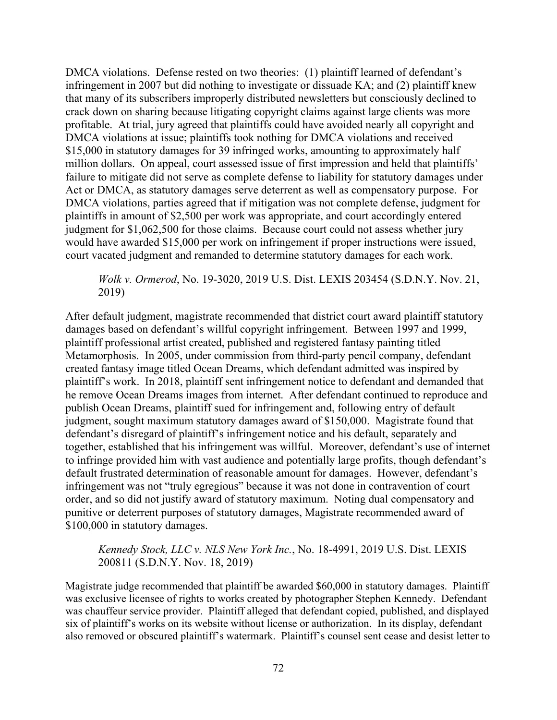DMCA violations. Defense rested on two theories: (1) plaintiff learned of defendant's infringement in 2007 but did nothing to investigate or dissuade KA; and (2) plaintiff knew that many of its subscribers improperly distributed newsletters but consciously declined to crack down on sharing because litigating copyright claims against large clients was more profitable. At trial, jury agreed that plaintiffs could have avoided nearly all copyright and DMCA violations at issue; plaintiffs took nothing for DMCA violations and received \$15,000 in statutory damages for 39 infringed works, amounting to approximately half million dollars. On appeal, court assessed issue of first impression and held that plaintiffs' failure to mitigate did not serve as complete defense to liability for statutory damages under Act or DMCA, as statutory damages serve deterrent as well as compensatory purpose. For DMCA violations, parties agreed that if mitigation was not complete defense, judgment for plaintiffs in amount of \$2,500 per work was appropriate, and court accordingly entered judgment for \$1,062,500 for those claims. Because court could not assess whether jury would have awarded \$15,000 per work on infringement if proper instructions were issued, court vacated judgment and remanded to determine statutory damages for each work.

### *Wolk v. Ormerod*, No. 19-3020, 2019 U.S. Dist. LEXIS 203454 (S.D.N.Y. Nov. 21, 2019)

After default judgment, magistrate recommended that district court award plaintiff statutory damages based on defendant's willful copyright infringement. Between 1997 and 1999, plaintiff professional artist created, published and registered fantasy painting titled Metamorphosis. In 2005, under commission from third-party pencil company, defendant created fantasy image titled Ocean Dreams, which defendant admitted was inspired by plaintiff's work. In 2018, plaintiff sent infringement notice to defendant and demanded that he remove Ocean Dreams images from internet. After defendant continued to reproduce and publish Ocean Dreams, plaintiff sued for infringement and, following entry of default judgment, sought maximum statutory damages award of \$150,000. Magistrate found that defendant's disregard of plaintiff's infringement notice and his default, separately and together, established that his infringement was willful. Moreover, defendant's use of internet to infringe provided him with vast audience and potentially large profits, though defendant's default frustrated determination of reasonable amount for damages. However, defendant's infringement was not "truly egregious" because it was not done in contravention of court order, and so did not justify award of statutory maximum. Noting dual compensatory and punitive or deterrent purposes of statutory damages, Magistrate recommended award of \$100,000 in statutory damages.

### *Kennedy Stock, LLC v. NLS New York Inc.*, No. 18-4991, 2019 U.S. Dist. LEXIS 200811 (S.D.N.Y. Nov. 18, 2019)

Magistrate judge recommended that plaintiff be awarded \$60,000 in statutory damages. Plaintiff was exclusive licensee of rights to works created by photographer Stephen Kennedy. Defendant was chauffeur service provider. Plaintiff alleged that defendant copied, published, and displayed six of plaintiff's works on its website without license or authorization. In its display, defendant also removed or obscured plaintiff's watermark. Plaintiff's counsel sent cease and desist letter to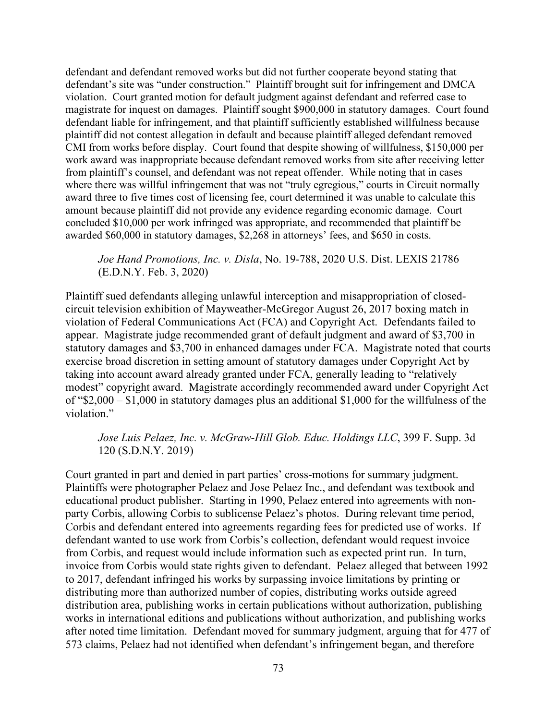defendant and defendant removed works but did not further cooperate beyond stating that defendant's site was "under construction." Plaintiff brought suit for infringement and DMCA violation. Court granted motion for default judgment against defendant and referred case to magistrate for inquest on damages. Plaintiff sought \$900,000 in statutory damages. Court found defendant liable for infringement, and that plaintiff sufficiently established willfulness because plaintiff did not contest allegation in default and because plaintiff alleged defendant removed CMI from works before display. Court found that despite showing of willfulness, \$150,000 per work award was inappropriate because defendant removed works from site after receiving letter from plaintiff's counsel, and defendant was not repeat offender. While noting that in cases where there was willful infringement that was not "truly egregious," courts in Circuit normally award three to five times cost of licensing fee, court determined it was unable to calculate this amount because plaintiff did not provide any evidence regarding economic damage. Court concluded \$10,000 per work infringed was appropriate, and recommended that plaintiff be awarded \$60,000 in statutory damages, \$2,268 in attorneys' fees, and \$650 in costs.

*Joe Hand Promotions, Inc. v. Disla*, No. 19-788, 2020 U.S. Dist. LEXIS 21786 (E.D.N.Y. Feb. 3, 2020)

Plaintiff sued defendants alleging unlawful interception and misappropriation of closedcircuit television exhibition of Mayweather-McGregor August 26, 2017 boxing match in violation of Federal Communications Act (FCA) and Copyright Act. Defendants failed to appear. Magistrate judge recommended grant of default judgment and award of \$3,700 in statutory damages and \$3,700 in enhanced damages under FCA. Magistrate noted that courts exercise broad discretion in setting amount of statutory damages under Copyright Act by taking into account award already granted under FCA, generally leading to "relatively modest" copyright award. Magistrate accordingly recommended award under Copyright Act of "\$2,000 – \$1,000 in statutory damages plus an additional \$1,000 for the willfulness of the violation."

*Jose Luis Pelaez, Inc. v. McGraw-Hill Glob. Educ. Holdings LLC*, 399 F. Supp. 3d 120 (S.D.N.Y. 2019)

Court granted in part and denied in part parties' cross-motions for summary judgment. Plaintiffs were photographer Pelaez and Jose Pelaez Inc., and defendant was textbook and educational product publisher. Starting in 1990, Pelaez entered into agreements with nonparty Corbis, allowing Corbis to sublicense Pelaez's photos. During relevant time period, Corbis and defendant entered into agreements regarding fees for predicted use of works. If defendant wanted to use work from Corbis's collection, defendant would request invoice from Corbis, and request would include information such as expected print run. In turn, invoice from Corbis would state rights given to defendant. Pelaez alleged that between 1992 to 2017, defendant infringed his works by surpassing invoice limitations by printing or distributing more than authorized number of copies, distributing works outside agreed distribution area, publishing works in certain publications without authorization, publishing works in international editions and publications without authorization, and publishing works after noted time limitation. Defendant moved for summary judgment, arguing that for 477 of 573 claims, Pelaez had not identified when defendant's infringement began, and therefore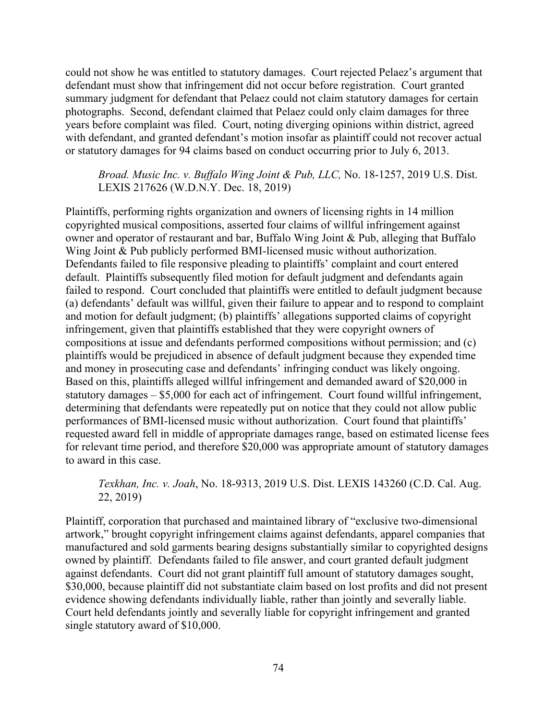could not show he was entitled to statutory damages. Court rejected Pelaez's argument that defendant must show that infringement did not occur before registration. Court granted summary judgment for defendant that Pelaez could not claim statutory damages for certain photographs. Second, defendant claimed that Pelaez could only claim damages for three years before complaint was filed. Court, noting diverging opinions within district, agreed with defendant, and granted defendant's motion insofar as plaintiff could not recover actual or statutory damages for 94 claims based on conduct occurring prior to July 6, 2013.

*Broad. Music Inc. v. Buffalo Wing Joint & Pub, LLC,* No. 18-1257, 2019 U.S. Dist. LEXIS 217626 (W.D.N.Y. Dec. 18, 2019)

Plaintiffs, performing rights organization and owners of licensing rights in 14 million copyrighted musical compositions, asserted four claims of willful infringement against owner and operator of restaurant and bar, Buffalo Wing Joint & Pub, alleging that Buffalo Wing Joint & Pub publicly performed BMI-licensed music without authorization. Defendants failed to file responsive pleading to plaintiffs' complaint and court entered default. Plaintiffs subsequently filed motion for default judgment and defendants again failed to respond. Court concluded that plaintiffs were entitled to default judgment because (a) defendants' default was willful, given their failure to appear and to respond to complaint and motion for default judgment; (b) plaintiffs' allegations supported claims of copyright infringement, given that plaintiffs established that they were copyright owners of compositions at issue and defendants performed compositions without permission; and (c) plaintiffs would be prejudiced in absence of default judgment because they expended time and money in prosecuting case and defendants' infringing conduct was likely ongoing. Based on this, plaintiffs alleged willful infringement and demanded award of \$20,000 in statutory damages – \$5,000 for each act of infringement. Court found willful infringement, determining that defendants were repeatedly put on notice that they could not allow public performances of BMI-licensed music without authorization. Court found that plaintiffs' requested award fell in middle of appropriate damages range, based on estimated license fees for relevant time period, and therefore \$20,000 was appropriate amount of statutory damages to award in this case.

*Texkhan, Inc. v. Joah*, No. 18-9313, 2019 U.S. Dist. LEXIS 143260 (C.D. Cal. Aug. 22, 2019)

Plaintiff, corporation that purchased and maintained library of "exclusive two-dimensional artwork," brought copyright infringement claims against defendants, apparel companies that manufactured and sold garments bearing designs substantially similar to copyrighted designs owned by plaintiff. Defendants failed to file answer, and court granted default judgment against defendants. Court did not grant plaintiff full amount of statutory damages sought, \$30,000, because plaintiff did not substantiate claim based on lost profits and did not present evidence showing defendants individually liable, rather than jointly and severally liable. Court held defendants jointly and severally liable for copyright infringement and granted single statutory award of \$10,000.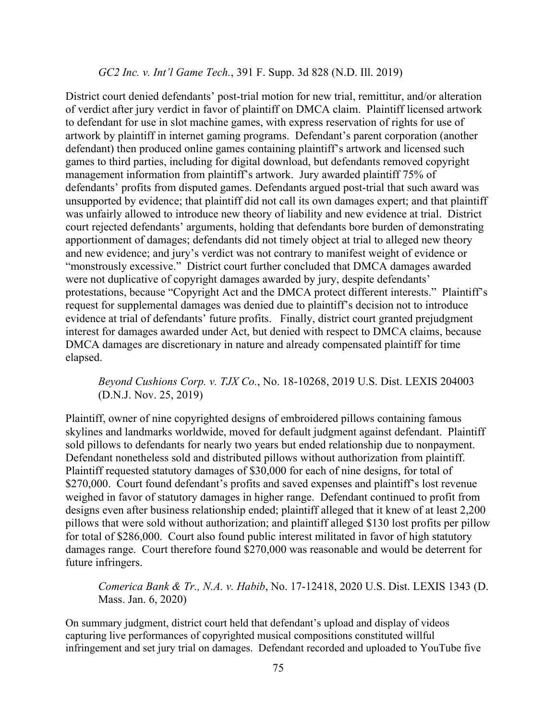#### *GC2 Inc. v. Int'l Game Tech.*, 391 F. Supp. 3d 828 (N.D. Ill. 2019)

District court denied defendants' post-trial motion for new trial, remittitur, and/or alteration of verdict after jury verdict in favor of plaintiff on DMCA claim. Plaintiff licensed artwork to defendant for use in slot machine games, with express reservation of rights for use of artwork by plaintiff in internet gaming programs. Defendant's parent corporation (another defendant) then produced online games containing plaintiff's artwork and licensed such games to third parties, including for digital download, but defendants removed copyright management information from plaintiff's artwork. Jury awarded plaintiff 75% of defendants' profits from disputed games. Defendants argued post-trial that such award was unsupported by evidence; that plaintiff did not call its own damages expert; and that plaintiff was unfairly allowed to introduce new theory of liability and new evidence at trial. District court rejected defendants' arguments, holding that defendants bore burden of demonstrating apportionment of damages; defendants did not timely object at trial to alleged new theory and new evidence; and jury's verdict was not contrary to manifest weight of evidence or "monstrously excessive." District court further concluded that DMCA damages awarded were not duplicative of copyright damages awarded by jury, despite defendants' protestations, because "Copyright Act and the DMCA protect different interests." Plaintiff's request for supplemental damages was denied due to plaintiff's decision not to introduce evidence at trial of defendants' future profits. Finally, district court granted prejudgment interest for damages awarded under Act, but denied with respect to DMCA claims, because DMCA damages are discretionary in nature and already compensated plaintiff for time elapsed.

# *Beyond Cushions Corp. v. TJX Co.*, No. 18-10268, 2019 U.S. Dist. LEXIS 204003 (D.N.J. Nov. 25, 2019)

Plaintiff, owner of nine copyrighted designs of embroidered pillows containing famous skylines and landmarks worldwide, moved for default judgment against defendant. Plaintiff sold pillows to defendants for nearly two years but ended relationship due to nonpayment. Defendant nonetheless sold and distributed pillows without authorization from plaintiff. Plaintiff requested statutory damages of \$30,000 for each of nine designs, for total of \$270,000. Court found defendant's profits and saved expenses and plaintiff's lost revenue weighed in favor of statutory damages in higher range. Defendant continued to profit from designs even after business relationship ended; plaintiff alleged that it knew of at least 2,200 pillows that were sold without authorization; and plaintiff alleged \$130 lost profits per pillow for total of \$286,000. Court also found public interest militated in favor of high statutory damages range. Court therefore found \$270,000 was reasonable and would be deterrent for future infringers.

*Comerica Bank & Tr., N.A. v. Habib*, No. 17-12418, 2020 U.S. Dist. LEXIS 1343 (D. Mass. Jan. 6, 2020)

On summary judgment, district court held that defendant's upload and display of videos capturing live performances of copyrighted musical compositions constituted willful infringement and set jury trial on damages. Defendant recorded and uploaded to YouTube five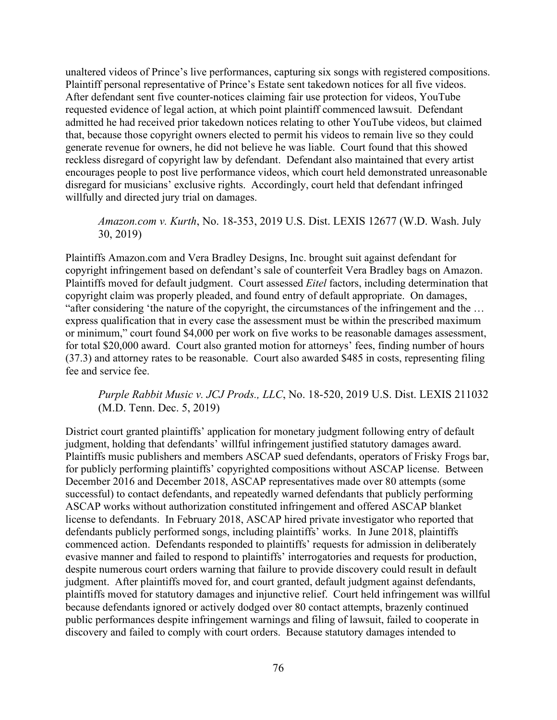unaltered videos of Prince's live performances, capturing six songs with registered compositions. Plaintiff personal representative of Prince's Estate sent takedown notices for all five videos. After defendant sent five counter-notices claiming fair use protection for videos, YouTube requested evidence of legal action, at which point plaintiff commenced lawsuit. Defendant admitted he had received prior takedown notices relating to other YouTube videos, but claimed that, because those copyright owners elected to permit his videos to remain live so they could generate revenue for owners, he did not believe he was liable. Court found that this showed reckless disregard of copyright law by defendant. Defendant also maintained that every artist encourages people to post live performance videos, which court held demonstrated unreasonable disregard for musicians' exclusive rights. Accordingly, court held that defendant infringed willfully and directed jury trial on damages.

### *Amazon.com v. Kurth*, No. 18-353, 2019 U.S. Dist. LEXIS 12677 (W.D. Wash. July 30, 2019)

Plaintiffs Amazon.com and Vera Bradley Designs, Inc. brought suit against defendant for copyright infringement based on defendant's sale of counterfeit Vera Bradley bags on Amazon. Plaintiffs moved for default judgment. Court assessed *Eitel* factors, including determination that copyright claim was properly pleaded, and found entry of default appropriate. On damages, "after considering 'the nature of the copyright, the circumstances of the infringement and the … express qualification that in every case the assessment must be within the prescribed maximum or minimum," court found \$4,000 per work on five works to be reasonable damages assessment, for total \$20,000 award. Court also granted motion for attorneys' fees, finding number of hours (37.3) and attorney rates to be reasonable. Court also awarded \$485 in costs, representing filing fee and service fee.

# *Purple Rabbit Music v. JCJ Prods., LLC*, No. 18-520, 2019 U.S. Dist. LEXIS 211032 (M.D. Tenn. Dec. 5, 2019)

District court granted plaintiffs' application for monetary judgment following entry of default judgment, holding that defendants' willful infringement justified statutory damages award. Plaintiffs music publishers and members ASCAP sued defendants, operators of Frisky Frogs bar, for publicly performing plaintiffs' copyrighted compositions without ASCAP license. Between December 2016 and December 2018, ASCAP representatives made over 80 attempts (some successful) to contact defendants, and repeatedly warned defendants that publicly performing ASCAP works without authorization constituted infringement and offered ASCAP blanket license to defendants. In February 2018, ASCAP hired private investigator who reported that defendants publicly performed songs, including plaintiffs' works. In June 2018, plaintiffs commenced action. Defendants responded to plaintiffs' requests for admission in deliberately evasive manner and failed to respond to plaintiffs' interrogatories and requests for production, despite numerous court orders warning that failure to provide discovery could result in default judgment. After plaintiffs moved for, and court granted, default judgment against defendants, plaintiffs moved for statutory damages and injunctive relief. Court held infringement was willful because defendants ignored or actively dodged over 80 contact attempts, brazenly continued public performances despite infringement warnings and filing of lawsuit, failed to cooperate in discovery and failed to comply with court orders. Because statutory damages intended to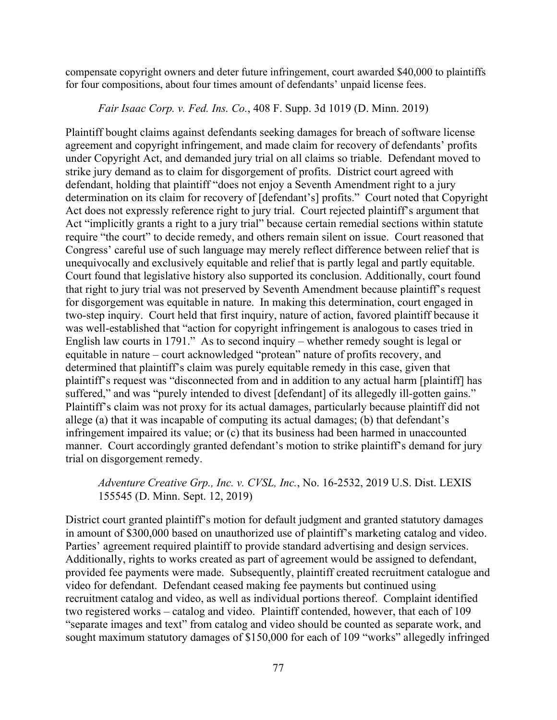compensate copyright owners and deter future infringement, court awarded \$40,000 to plaintiffs for four compositions, about four times amount of defendants' unpaid license fees.

*Fair Isaac Corp. v. Fed. Ins. Co.*, 408 F. Supp. 3d 1019 (D. Minn. 2019)

Plaintiff bought claims against defendants seeking damages for breach of software license agreement and copyright infringement, and made claim for recovery of defendants' profits under Copyright Act, and demanded jury trial on all claims so triable. Defendant moved to strike jury demand as to claim for disgorgement of profits. District court agreed with defendant, holding that plaintiff "does not enjoy a Seventh Amendment right to a jury determination on its claim for recovery of [defendant's] profits." Court noted that Copyright Act does not expressly reference right to jury trial. Court rejected plaintiff's argument that Act "implicitly grants a right to a jury trial" because certain remedial sections within statute require "the court" to decide remedy, and others remain silent on issue. Court reasoned that Congress' careful use of such language may merely reflect difference between relief that is unequivocally and exclusively equitable and relief that is partly legal and partly equitable. Court found that legislative history also supported its conclusion. Additionally, court found that right to jury trial was not preserved by Seventh Amendment because plaintiff's request for disgorgement was equitable in nature. In making this determination, court engaged in two-step inquiry. Court held that first inquiry, nature of action, favored plaintiff because it was well-established that "action for copyright infringement is analogous to cases tried in English law courts in 1791." As to second inquiry – whether remedy sought is legal or equitable in nature – court acknowledged "protean" nature of profits recovery, and determined that plaintiff's claim was purely equitable remedy in this case, given that plaintiff's request was "disconnected from and in addition to any actual harm [plaintiff] has suffered," and was "purely intended to divest [defendant] of its allegedly ill-gotten gains." Plaintiff's claim was not proxy for its actual damages, particularly because plaintiff did not allege (a) that it was incapable of computing its actual damages; (b) that defendant's infringement impaired its value; or (c) that its business had been harmed in unaccounted manner. Court accordingly granted defendant's motion to strike plaintiff's demand for jury trial on disgorgement remedy.

*Adventure Creative Grp., Inc. v. CVSL, Inc.*, No. 16-2532, 2019 U.S. Dist. LEXIS 155545 (D. Minn. Sept. 12, 2019)

District court granted plaintiff's motion for default judgment and granted statutory damages in amount of \$300,000 based on unauthorized use of plaintiff's marketing catalog and video. Parties' agreement required plaintiff to provide standard advertising and design services. Additionally, rights to works created as part of agreement would be assigned to defendant, provided fee payments were made. Subsequently, plaintiff created recruitment catalogue and video for defendant. Defendant ceased making fee payments but continued using recruitment catalog and video, as well as individual portions thereof. Complaint identified two registered works – catalog and video. Plaintiff contended, however, that each of 109 "separate images and text" from catalog and video should be counted as separate work, and sought maximum statutory damages of \$150,000 for each of 109 "works" allegedly infringed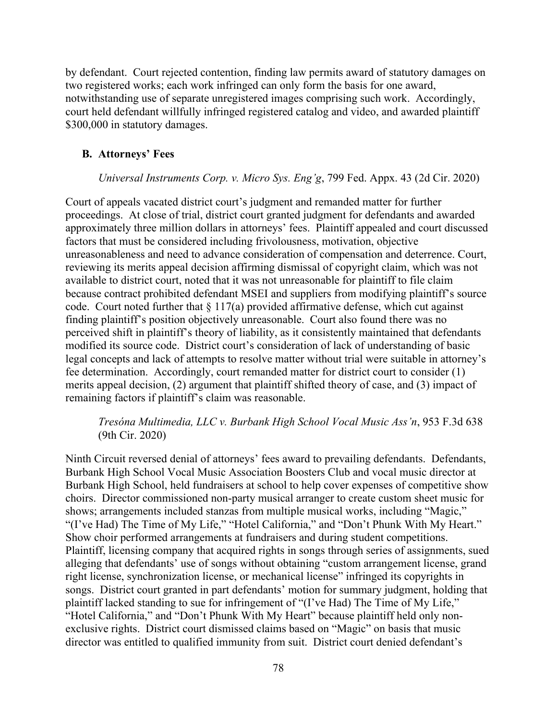by defendant. Court rejected contention, finding law permits award of statutory damages on two registered works; each work infringed can only form the basis for one award, notwithstanding use of separate unregistered images comprising such work. Accordingly, court held defendant willfully infringed registered catalog and video, and awarded plaintiff \$300,000 in statutory damages.

#### **B. Attorneys' Fees**

#### *Universal Instruments Corp. v. Micro Sys. Eng'g*, 799 Fed. Appx. 43 (2d Cir. 2020)

Court of appeals vacated district court's judgment and remanded matter for further proceedings. At close of trial, district court granted judgment for defendants and awarded approximately three million dollars in attorneys' fees. Plaintiff appealed and court discussed factors that must be considered including frivolousness, motivation, objective unreasonableness and need to advance consideration of compensation and deterrence. Court, reviewing its merits appeal decision affirming dismissal of copyright claim, which was not available to district court, noted that it was not unreasonable for plaintiff to file claim because contract prohibited defendant MSEI and suppliers from modifying plaintiff's source code. Court noted further that  $\S 117(a)$  provided affirmative defense, which cut against finding plaintiff's position objectively unreasonable. Court also found there was no perceived shift in plaintiff's theory of liability, as it consistently maintained that defendants modified its source code. District court's consideration of lack of understanding of basic legal concepts and lack of attempts to resolve matter without trial were suitable in attorney's fee determination. Accordingly, court remanded matter for district court to consider (1) merits appeal decision, (2) argument that plaintiff shifted theory of case, and (3) impact of remaining factors if plaintiff's claim was reasonable.

# *Tresóna Multimedia, LLC v. Burbank High School Vocal Music Ass'n*, 953 F.3d 638 (9th Cir. 2020)

Ninth Circuit reversed denial of attorneys' fees award to prevailing defendants. Defendants, Burbank High School Vocal Music Association Boosters Club and vocal music director at Burbank High School, held fundraisers at school to help cover expenses of competitive show choirs. Director commissioned non-party musical arranger to create custom sheet music for shows; arrangements included stanzas from multiple musical works, including "Magic," "(I've Had) The Time of My Life," "Hotel California," and "Don't Phunk With My Heart." Show choir performed arrangements at fundraisers and during student competitions. Plaintiff, licensing company that acquired rights in songs through series of assignments, sued alleging that defendants' use of songs without obtaining "custom arrangement license, grand right license, synchronization license, or mechanical license" infringed its copyrights in songs. District court granted in part defendants' motion for summary judgment, holding that plaintiff lacked standing to sue for infringement of "(I've Had) The Time of My Life," "Hotel California," and "Don't Phunk With My Heart" because plaintiff held only nonexclusive rights. District court dismissed claims based on "Magic" on basis that music director was entitled to qualified immunity from suit. District court denied defendant's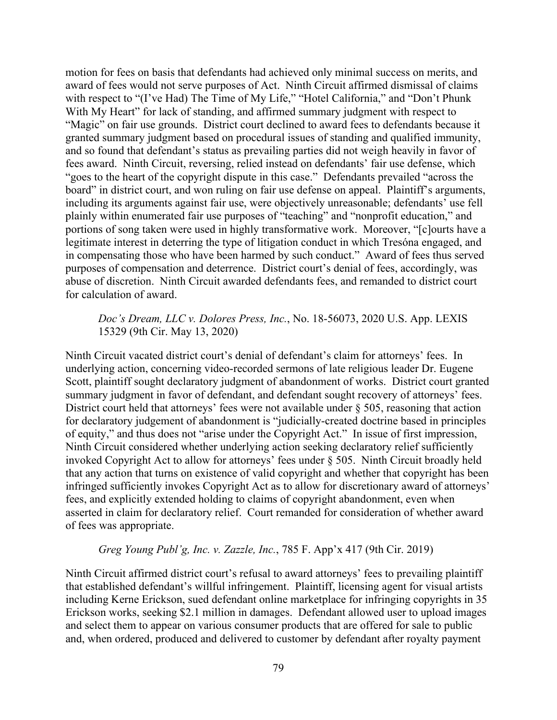motion for fees on basis that defendants had achieved only minimal success on merits, and award of fees would not serve purposes of Act. Ninth Circuit affirmed dismissal of claims with respect to "(I've Had) The Time of My Life," "Hotel California," and "Don't Phunk With My Heart" for lack of standing, and affirmed summary judgment with respect to "Magic" on fair use grounds. District court declined to award fees to defendants because it granted summary judgment based on procedural issues of standing and qualified immunity, and so found that defendant's status as prevailing parties did not weigh heavily in favor of fees award. Ninth Circuit, reversing, relied instead on defendants' fair use defense, which "goes to the heart of the copyright dispute in this case." Defendants prevailed "across the board" in district court, and won ruling on fair use defense on appeal. Plaintiff's arguments, including its arguments against fair use, were objectively unreasonable; defendants' use fell plainly within enumerated fair use purposes of "teaching" and "nonprofit education," and portions of song taken were used in highly transformative work. Moreover, "[c]ourts have a legitimate interest in deterring the type of litigation conduct in which Tresóna engaged, and in compensating those who have been harmed by such conduct." Award of fees thus served purposes of compensation and deterrence. District court's denial of fees, accordingly, was abuse of discretion. Ninth Circuit awarded defendants fees, and remanded to district court for calculation of award.

### *Doc's Dream, LLC v. Dolores Press, Inc.*, No. 18-56073, 2020 U.S. App. LEXIS 15329 (9th Cir. May 13, 2020)

Ninth Circuit vacated district court's denial of defendant's claim for attorneys' fees. In underlying action, concerning video-recorded sermons of late religious leader Dr. Eugene Scott, plaintiff sought declaratory judgment of abandonment of works. District court granted summary judgment in favor of defendant, and defendant sought recovery of attorneys' fees. District court held that attorneys' fees were not available under § 505, reasoning that action for declaratory judgement of abandonment is "judicially-created doctrine based in principles of equity," and thus does not "arise under the Copyright Act." In issue of first impression, Ninth Circuit considered whether underlying action seeking declaratory relief sufficiently invoked Copyright Act to allow for attorneys' fees under § 505. Ninth Circuit broadly held that any action that turns on existence of valid copyright and whether that copyright has been infringed sufficiently invokes Copyright Act as to allow for discretionary award of attorneys' fees, and explicitly extended holding to claims of copyright abandonment, even when asserted in claim for declaratory relief. Court remanded for consideration of whether award of fees was appropriate.

#### *Greg Young Publ'g, Inc. v. Zazzle, Inc.*, 785 F. App'x 417 (9th Cir. 2019)

Ninth Circuit affirmed district court's refusal to award attorneys' fees to prevailing plaintiff that established defendant's willful infringement. Plaintiff, licensing agent for visual artists including Kerne Erickson, sued defendant online marketplace for infringing copyrights in 35 Erickson works, seeking \$2.1 million in damages. Defendant allowed user to upload images and select them to appear on various consumer products that are offered for sale to public and, when ordered, produced and delivered to customer by defendant after royalty payment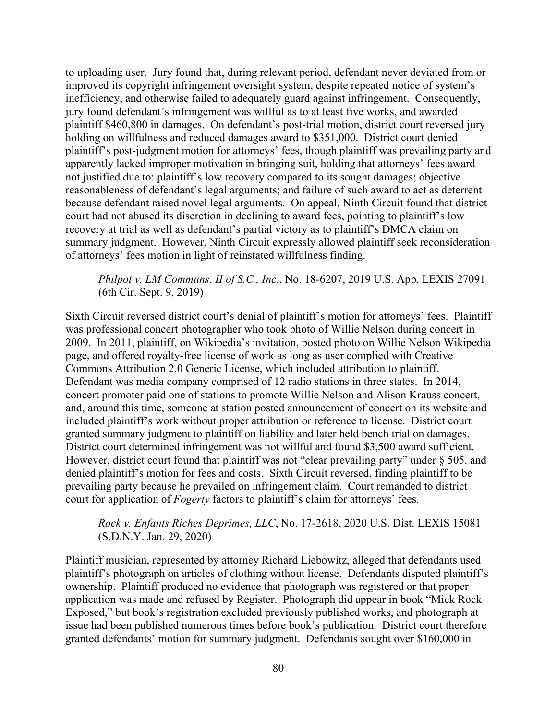to uploading user. Jury found that, during relevant period, defendant never deviated from or improved its copyright infringement oversight system, despite repeated notice of system's inefficiency, and otherwise failed to adequately guard against infringement. Consequently, jury found defendant's infringement was willful as to at least five works, and awarded plaintiff \$460,800 in damages. On defendant's post-trial motion, district court reversed jury holding on willfulness and reduced damages award to \$351,000. District court denied plaintiff's post-judgment motion for attorneys' fees, though plaintiff was prevailing party and apparently lacked improper motivation in bringing suit, holding that attorneys' fees award not justified due to: plaintiff's low recovery compared to its sought damages; objective reasonableness of defendant's legal arguments; and failure of such award to act as deterrent because defendant raised novel legal arguments. On appeal, Ninth Circuit found that district court had not abused its discretion in declining to award fees, pointing to plaintiff's low recovery at trial as well as defendant's partial victory as to plaintiff's DMCA claim on summary judgment. However, Ninth Circuit expressly allowed plaintiff seek reconsideration of attorneys' fees motion in light of reinstated willfulness finding.

### *Philpot v. LM Communs. II of S.C., Inc.*, No. 18-6207, 2019 U.S. App. LEXIS 27091 (6th Cir. Sept. 9, 2019)

Sixth Circuit reversed district court's denial of plaintiff's motion for attorneys' fees. Plaintiff was professional concert photographer who took photo of Willie Nelson during concert in 2009. In 2011, plaintiff, on Wikipedia's invitation, posted photo on Willie Nelson Wikipedia page, and offered royalty-free license of work as long as user complied with Creative Commons Attribution 2.0 Generic License, which included attribution to plaintiff. Defendant was media company comprised of 12 radio stations in three states. In 2014, concert promoter paid one of stations to promote Willie Nelson and Alison Krauss concert, and, around this time, someone at station posted announcement of concert on its website and included plaintiff's work without proper attribution or reference to license. District court granted summary judgment to plaintiff on liability and later held bench trial on damages. District court determined infringement was not willful and found \$3,500 award sufficient. However, district court found that plaintiff was not "clear prevailing party" under  $\S$  505. and denied plaintiff's motion for fees and costs. Sixth Circuit reversed, finding plaintiff to be prevailing party because he prevailed on infringement claim. Court remanded to district court for application of *Fogerty* factors to plaintiff's claim for attorneys' fees.

### *Rock v. Enfants Riches Deprimes, LLC*, No. 17-2618, 2020 U.S. Dist. LEXIS 15081 (S.D.N.Y. Jan. 29, 2020)

Plaintiff musician, represented by attorney Richard Liebowitz, alleged that defendants used plaintiff's photograph on articles of clothing without license. Defendants disputed plaintiff's ownership. Plaintiff produced no evidence that photograph was registered or that proper application was made and refused by Register. Photograph did appear in book "Mick Rock Exposed," but book's registration excluded previously published works, and photograph at issue had been published numerous times before book's publication. District court therefore granted defendants' motion for summary judgment. Defendants sought over \$160,000 in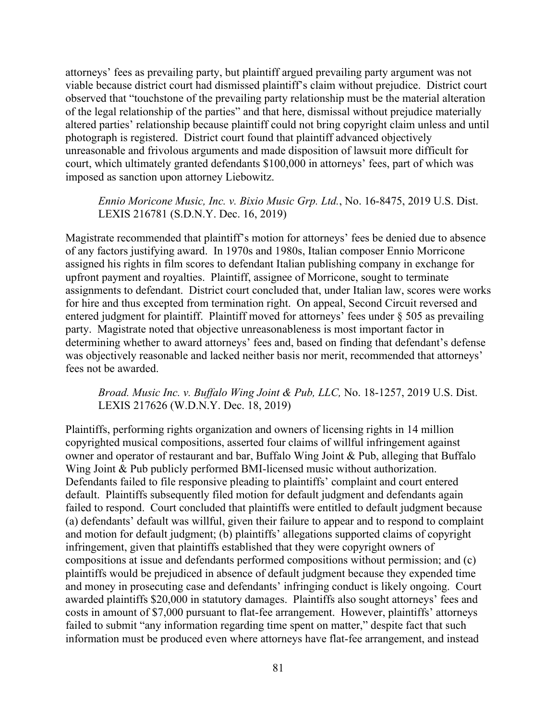attorneys' fees as prevailing party, but plaintiff argued prevailing party argument was not viable because district court had dismissed plaintiff's claim without prejudice. District court observed that "touchstone of the prevailing party relationship must be the material alteration of the legal relationship of the parties" and that here, dismissal without prejudice materially altered parties' relationship because plaintiff could not bring copyright claim unless and until photograph is registered. District court found that plaintiff advanced objectively unreasonable and frivolous arguments and made disposition of lawsuit more difficult for court, which ultimately granted defendants \$100,000 in attorneys' fees, part of which was imposed as sanction upon attorney Liebowitz.

*Ennio Moricone Music, Inc. v. Bixio Music Grp. Ltd.*, No. 16-8475, 2019 U.S. Dist. LEXIS 216781 (S.D.N.Y. Dec. 16, 2019)

Magistrate recommended that plaintiff's motion for attorneys' fees be denied due to absence of any factors justifying award. In 1970s and 1980s, Italian composer Ennio Morricone assigned his rights in film scores to defendant Italian publishing company in exchange for upfront payment and royalties. Plaintiff, assignee of Morricone, sought to terminate assignments to defendant. District court concluded that, under Italian law, scores were works for hire and thus excepted from termination right. On appeal, Second Circuit reversed and entered judgment for plaintiff. Plaintiff moved for attorneys' fees under § 505 as prevailing party. Magistrate noted that objective unreasonableness is most important factor in determining whether to award attorneys' fees and, based on finding that defendant's defense was objectively reasonable and lacked neither basis nor merit, recommended that attorneys' fees not be awarded.

*Broad. Music Inc. v. Buffalo Wing Joint & Pub, LLC,* No. 18-1257, 2019 U.S. Dist. LEXIS 217626 (W.D.N.Y. Dec. 18, 2019)

Plaintiffs, performing rights organization and owners of licensing rights in 14 million copyrighted musical compositions, asserted four claims of willful infringement against owner and operator of restaurant and bar, Buffalo Wing Joint & Pub, alleging that Buffalo Wing Joint & Pub publicly performed BMI-licensed music without authorization. Defendants failed to file responsive pleading to plaintiffs' complaint and court entered default. Plaintiffs subsequently filed motion for default judgment and defendants again failed to respond. Court concluded that plaintiffs were entitled to default judgment because (a) defendants' default was willful, given their failure to appear and to respond to complaint and motion for default judgment; (b) plaintiffs' allegations supported claims of copyright infringement, given that plaintiffs established that they were copyright owners of compositions at issue and defendants performed compositions without permission; and (c) plaintiffs would be prejudiced in absence of default judgment because they expended time and money in prosecuting case and defendants' infringing conduct is likely ongoing. Court awarded plaintiffs \$20,000 in statutory damages. Plaintiffs also sought attorneys' fees and costs in amount of \$7,000 pursuant to flat-fee arrangement. However, plaintiffs' attorneys failed to submit "any information regarding time spent on matter," despite fact that such information must be produced even where attorneys have flat-fee arrangement, and instead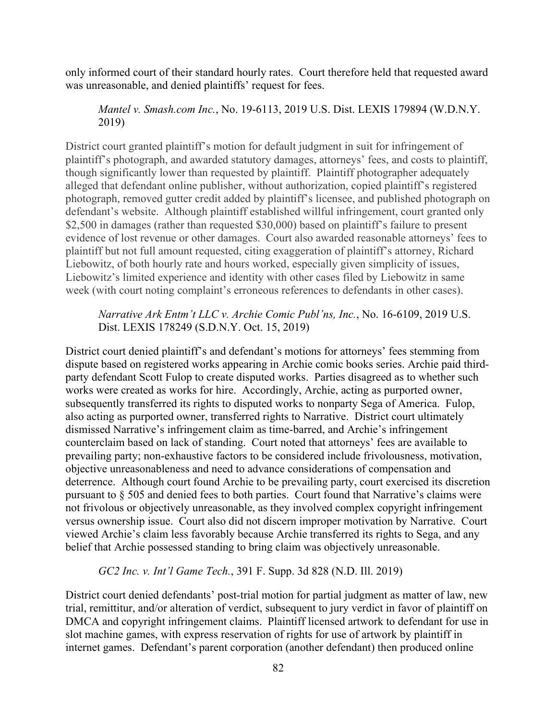only informed court of their standard hourly rates. Court therefore held that requested award was unreasonable, and denied plaintiffs' request for fees.

## *Mantel v. Smash.com Inc.*, No. 19-6113, 2019 U.S. Dist. LEXIS 179894 (W.D.N.Y. 2019)

District court granted plaintiff's motion for default judgment in suit for infringement of plaintiff's photograph, and awarded statutory damages, attorneys' fees, and costs to plaintiff, though significantly lower than requested by plaintiff. Plaintiff photographer adequately alleged that defendant online publisher, without authorization, copied plaintiff's registered photograph, removed gutter credit added by plaintiff's licensee, and published photograph on defendant's website. Although plaintiff established willful infringement, court granted only \$2,500 in damages (rather than requested \$30,000) based on plaintiff's failure to present evidence of lost revenue or other damages. Court also awarded reasonable attorneys' fees to plaintiff but not full amount requested, citing exaggeration of plaintiff's attorney, Richard Liebowitz, of both hourly rate and hours worked, especially given simplicity of issues, Liebowitz's limited experience and identity with other cases filed by Liebowitz in same week (with court noting complaint's erroneous references to defendants in other cases).

*Narrative Ark Entm't LLC v. Archie Comic Publ'ns, Inc.*, No. 16-6109, 2019 U.S. Dist. LEXIS 178249 (S.D.N.Y. Oct. 15, 2019)

District court denied plaintiff's and defendant's motions for attorneys' fees stemming from dispute based on registered works appearing in Archie comic books series. Archie paid thirdparty defendant Scott Fulop to create disputed works. Parties disagreed as to whether such works were created as works for hire. Accordingly, Archie, acting as purported owner, subsequently transferred its rights to disputed works to nonparty Sega of America. Fulop, also acting as purported owner, transferred rights to Narrative. District court ultimately dismissed Narrative's infringement claim as time-barred, and Archie's infringement counterclaim based on lack of standing. Court noted that attorneys' fees are available to prevailing party; non-exhaustive factors to be considered include frivolousness, motivation, objective unreasonableness and need to advance considerations of compensation and deterrence. Although court found Archie to be prevailing party, court exercised its discretion pursuant to § 505 and denied fees to both parties. Court found that Narrative's claims were not frivolous or objectively unreasonable, as they involved complex copyright infringement versus ownership issue. Court also did not discern improper motivation by Narrative. Court viewed Archie's claim less favorably because Archie transferred its rights to Sega, and any belief that Archie possessed standing to bring claim was objectively unreasonable.

*GC2 Inc. v. Int'l Game Tech.*, 391 F. Supp. 3d 828 (N.D. Ill. 2019)

District court denied defendants' post-trial motion for partial judgment as matter of law, new trial, remittitur, and/or alteration of verdict, subsequent to jury verdict in favor of plaintiff on DMCA and copyright infringement claims. Plaintiff licensed artwork to defendant for use in slot machine games, with express reservation of rights for use of artwork by plaintiff in internet games. Defendant's parent corporation (another defendant) then produced online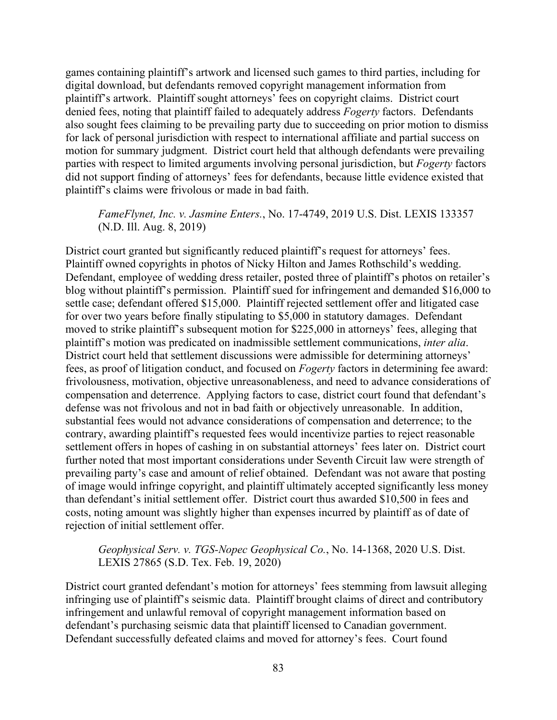games containing plaintiff's artwork and licensed such games to third parties, including for digital download, but defendants removed copyright management information from plaintiff's artwork. Plaintiff sought attorneys' fees on copyright claims. District court denied fees, noting that plaintiff failed to adequately address *Fogerty* factors. Defendants also sought fees claiming to be prevailing party due to succeeding on prior motion to dismiss for lack of personal jurisdiction with respect to international affiliate and partial success on motion for summary judgment. District court held that although defendants were prevailing parties with respect to limited arguments involving personal jurisdiction, but *Fogerty* factors did not support finding of attorneys' fees for defendants, because little evidence existed that plaintiff's claims were frivolous or made in bad faith.

#### *FameFlynet, Inc. v. Jasmine Enters.*, No. 17-4749, 2019 U.S. Dist. LEXIS 133357 (N.D. Ill. Aug. 8, 2019)

District court granted but significantly reduced plaintiff's request for attorneys' fees. Plaintiff owned copyrights in photos of Nicky Hilton and James Rothschild's wedding. Defendant, employee of wedding dress retailer, posted three of plaintiff's photos on retailer's blog without plaintiff's permission. Plaintiff sued for infringement and demanded \$16,000 to settle case; defendant offered \$15,000. Plaintiff rejected settlement offer and litigated case for over two years before finally stipulating to \$5,000 in statutory damages. Defendant moved to strike plaintiff's subsequent motion for \$225,000 in attorneys' fees, alleging that plaintiff's motion was predicated on inadmissible settlement communications, *inter alia*. District court held that settlement discussions were admissible for determining attorneys' fees, as proof of litigation conduct, and focused on *Fogerty* factors in determining fee award: frivolousness, motivation, objective unreasonableness, and need to advance considerations of compensation and deterrence. Applying factors to case, district court found that defendant's defense was not frivolous and not in bad faith or objectively unreasonable. In addition, substantial fees would not advance considerations of compensation and deterrence; to the contrary, awarding plaintiff's requested fees would incentivize parties to reject reasonable settlement offers in hopes of cashing in on substantial attorneys' fees later on. District court further noted that most important considerations under Seventh Circuit law were strength of prevailing party's case and amount of relief obtained. Defendant was not aware that posting of image would infringe copyright, and plaintiff ultimately accepted significantly less money than defendant's initial settlement offer. District court thus awarded \$10,500 in fees and costs, noting amount was slightly higher than expenses incurred by plaintiff as of date of rejection of initial settlement offer.

#### *Geophysical Serv. v. TGS-Nopec Geophysical Co.*, No. 14-1368, 2020 U.S. Dist. LEXIS 27865 (S.D. Tex. Feb. 19, 2020)

District court granted defendant's motion for attorneys' fees stemming from lawsuit alleging infringing use of plaintiff's seismic data. Plaintiff brought claims of direct and contributory infringement and unlawful removal of copyright management information based on defendant's purchasing seismic data that plaintiff licensed to Canadian government. Defendant successfully defeated claims and moved for attorney's fees. Court found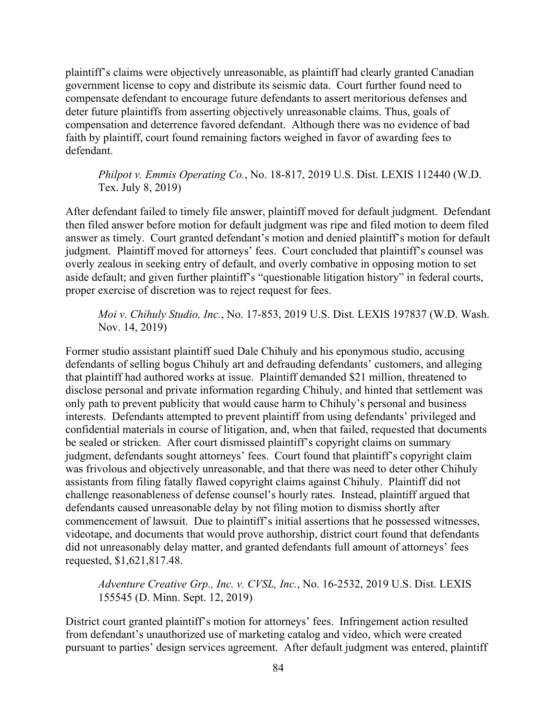plaintiff's claims were objectively unreasonable, as plaintiff had clearly granted Canadian government license to copy and distribute its seismic data. Court further found need to compensate defendant to encourage future defendants to assert meritorious defenses and deter future plaintiffs from asserting objectively unreasonable claims. Thus, goals of compensation and deterrence favored defendant. Although there was no evidence of bad faith by plaintiff, court found remaining factors weighed in favor of awarding fees to defendant.

*Philpot v. Emmis Operating Co.*, No. 18-817, 2019 U.S. Dist. LEXIS 112440 (W.D. Tex. July 8, 2019)

After defendant failed to timely file answer, plaintiff moved for default judgment. Defendant then filed answer before motion for default judgment was ripe and filed motion to deem filed answer as timely. Court granted defendant's motion and denied plaintiff's motion for default judgment. Plaintiff moved for attorneys' fees. Court concluded that plaintiff's counsel was overly zealous in seeking entry of default, and overly combative in opposing motion to set aside default; and given further plaintiff's "questionable litigation history" in federal courts, proper exercise of discretion was to reject request for fees.

*Moi v. Chihuly Studio, Inc.*, No. 17-853, 2019 U.S. Dist. LEXIS 197837 (W.D. Wash. Nov. 14, 2019)

Former studio assistant plaintiff sued Dale Chihuly and his eponymous studio, accusing defendants of selling bogus Chihuly art and defrauding defendants' customers, and alleging that plaintiff had authored works at issue. Plaintiff demanded \$21 million, threatened to disclose personal and private information regarding Chihuly, and hinted that settlement was only path to prevent publicity that would cause harm to Chihuly's personal and business interests. Defendants attempted to prevent plaintiff from using defendants' privileged and confidential materials in course of litigation, and, when that failed, requested that documents be sealed or stricken. After court dismissed plaintiff's copyright claims on summary judgment, defendants sought attorneys' fees. Court found that plaintiff's copyright claim was frivolous and objectively unreasonable, and that there was need to deter other Chihuly assistants from filing fatally flawed copyright claims against Chihuly. Plaintiff did not challenge reasonableness of defense counsel's hourly rates. Instead, plaintiff argued that defendants caused unreasonable delay by not filing motion to dismiss shortly after commencement of lawsuit. Due to plaintiff's initial assertions that he possessed witnesses, videotape, and documents that would prove authorship, district court found that defendants did not unreasonably delay matter, and granted defendants full amount of attorneys' fees requested, \$1,621,817.48.

*Adventure Creative Grp., Inc. v. CVSL, Inc.*, No. 16-2532, 2019 U.S. Dist. LEXIS 155545 (D. Minn. Sept. 12, 2019)

District court granted plaintiff's motion for attorneys' fees. Infringement action resulted from defendant's unauthorized use of marketing catalog and video, which were created pursuant to parties' design services agreement. After default judgment was entered, plaintiff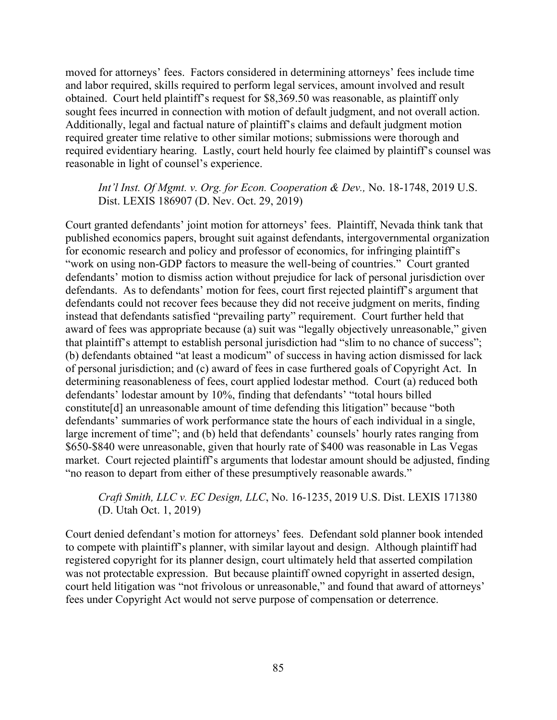moved for attorneys' fees. Factors considered in determining attorneys' fees include time and labor required, skills required to perform legal services, amount involved and result obtained. Court held plaintiff's request for \$8,369.50 was reasonable, as plaintiff only sought fees incurred in connection with motion of default judgment, and not overall action. Additionally, legal and factual nature of plaintiff's claims and default judgment motion required greater time relative to other similar motions; submissions were thorough and required evidentiary hearing. Lastly, court held hourly fee claimed by plaintiff's counsel was reasonable in light of counsel's experience.

## *Int'l Inst. Of Mgmt. v. Org. for Econ. Cooperation & Dev.,* No. 18-1748, 2019 U.S. Dist. LEXIS 186907 (D. Nev. Oct. 29, 2019)

Court granted defendants' joint motion for attorneys' fees. Plaintiff, Nevada think tank that published economics papers, brought suit against defendants, intergovernmental organization for economic research and policy and professor of economics, for infringing plaintiff's "work on using non-GDP factors to measure the well-being of countries." Court granted defendants' motion to dismiss action without prejudice for lack of personal jurisdiction over defendants. As to defendants' motion for fees, court first rejected plaintiff's argument that defendants could not recover fees because they did not receive judgment on merits, finding instead that defendants satisfied "prevailing party" requirement. Court further held that award of fees was appropriate because (a) suit was "legally objectively unreasonable," given that plaintiff's attempt to establish personal jurisdiction had "slim to no chance of success"; (b) defendants obtained "at least a modicum" of success in having action dismissed for lack of personal jurisdiction; and (c) award of fees in case furthered goals of Copyright Act. In determining reasonableness of fees, court applied lodestar method. Court (a) reduced both defendants' lodestar amount by 10%, finding that defendants' "total hours billed constitute[d] an unreasonable amount of time defending this litigation" because "both defendants' summaries of work performance state the hours of each individual in a single, large increment of time"; and (b) held that defendants' counsels' hourly rates ranging from \$650-\$840 were unreasonable, given that hourly rate of \$400 was reasonable in Las Vegas market. Court rejected plaintiff's arguments that lodestar amount should be adjusted, finding "no reason to depart from either of these presumptively reasonable awards."

# *Craft Smith, LLC v. EC Design, LLC*, No. 16-1235, 2019 U.S. Dist. LEXIS 171380 (D. Utah Oct. 1, 2019)

Court denied defendant's motion for attorneys' fees. Defendant sold planner book intended to compete with plaintiff's planner, with similar layout and design. Although plaintiff had registered copyright for its planner design, court ultimately held that asserted compilation was not protectable expression. But because plaintiff owned copyright in asserted design, court held litigation was "not frivolous or unreasonable," and found that award of attorneys' fees under Copyright Act would not serve purpose of compensation or deterrence.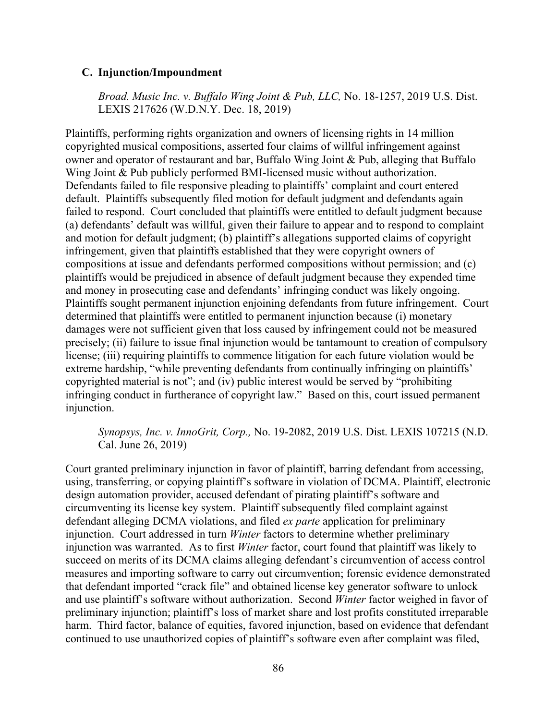#### **C. Injunction/Impoundment**

*Broad. Music Inc. v. Buffalo Wing Joint & Pub, LLC,* No. 18-1257, 2019 U.S. Dist. LEXIS 217626 (W.D.N.Y. Dec. 18, 2019)

Plaintiffs, performing rights organization and owners of licensing rights in 14 million copyrighted musical compositions, asserted four claims of willful infringement against owner and operator of restaurant and bar, Buffalo Wing Joint & Pub, alleging that Buffalo Wing Joint & Pub publicly performed BMI-licensed music without authorization. Defendants failed to file responsive pleading to plaintiffs' complaint and court entered default. Plaintiffs subsequently filed motion for default judgment and defendants again failed to respond. Court concluded that plaintiffs were entitled to default judgment because (a) defendants' default was willful, given their failure to appear and to respond to complaint and motion for default judgment; (b) plaintiff's allegations supported claims of copyright infringement, given that plaintiffs established that they were copyright owners of compositions at issue and defendants performed compositions without permission; and (c) plaintiffs would be prejudiced in absence of default judgment because they expended time and money in prosecuting case and defendants' infringing conduct was likely ongoing. Plaintiffs sought permanent injunction enjoining defendants from future infringement. Court determined that plaintiffs were entitled to permanent injunction because (i) monetary damages were not sufficient given that loss caused by infringement could not be measured precisely; (ii) failure to issue final injunction would be tantamount to creation of compulsory license; (iii) requiring plaintiffs to commence litigation for each future violation would be extreme hardship, "while preventing defendants from continually infringing on plaintiffs' copyrighted material is not"; and (iv) public interest would be served by "prohibiting infringing conduct in furtherance of copyright law." Based on this, court issued permanent injunction.

## *Synopsys, Inc. v. InnoGrit, Corp.,* No. 19-2082, 2019 U.S. Dist. LEXIS 107215 (N.D. Cal. June 26, 2019)

Court granted preliminary injunction in favor of plaintiff, barring defendant from accessing, using, transferring, or copying plaintiff's software in violation of DCMA. Plaintiff, electronic design automation provider, accused defendant of pirating plaintiff's software and circumventing its license key system. Plaintiff subsequently filed complaint against defendant alleging DCMA violations, and filed *ex parte* application for preliminary injunction. Court addressed in turn *Winter* factors to determine whether preliminary injunction was warranted. As to first *Winter* factor, court found that plaintiff was likely to succeed on merits of its DCMA claims alleging defendant's circumvention of access control measures and importing software to carry out circumvention; forensic evidence demonstrated that defendant imported "crack file" and obtained license key generator software to unlock and use plaintiff's software without authorization. Second *Winter* factor weighed in favor of preliminary injunction; plaintiff's loss of market share and lost profits constituted irreparable harm. Third factor, balance of equities, favored injunction, based on evidence that defendant continued to use unauthorized copies of plaintiff's software even after complaint was filed,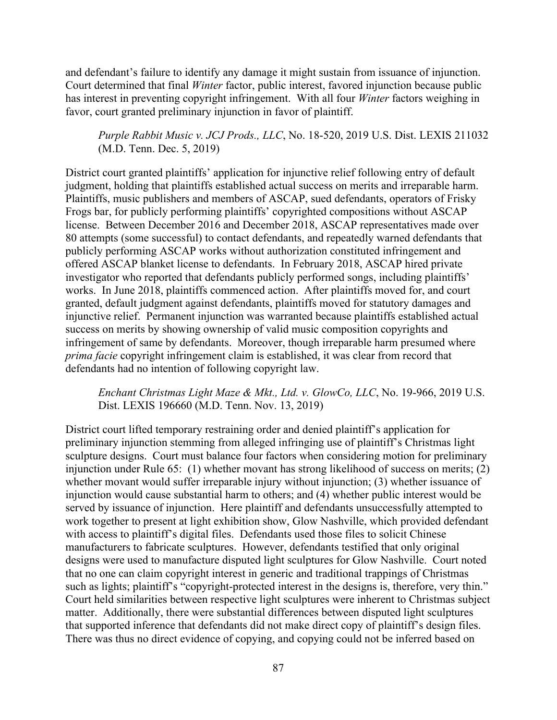and defendant's failure to identify any damage it might sustain from issuance of injunction. Court determined that final *Winter* factor, public interest, favored injunction because public has interest in preventing copyright infringement. With all four *Winter* factors weighing in favor, court granted preliminary injunction in favor of plaintiff.

# *Purple Rabbit Music v. JCJ Prods., LLC*, No. 18-520, 2019 U.S. Dist. LEXIS 211032 (M.D. Tenn. Dec. 5, 2019)

District court granted plaintiffs' application for injunctive relief following entry of default judgment, holding that plaintiffs established actual success on merits and irreparable harm. Plaintiffs, music publishers and members of ASCAP, sued defendants, operators of Frisky Frogs bar, for publicly performing plaintiffs' copyrighted compositions without ASCAP license. Between December 2016 and December 2018, ASCAP representatives made over 80 attempts (some successful) to contact defendants, and repeatedly warned defendants that publicly performing ASCAP works without authorization constituted infringement and offered ASCAP blanket license to defendants. In February 2018, ASCAP hired private investigator who reported that defendants publicly performed songs, including plaintiffs' works. In June 2018, plaintiffs commenced action. After plaintiffs moved for, and court granted, default judgment against defendants, plaintiffs moved for statutory damages and injunctive relief. Permanent injunction was warranted because plaintiffs established actual success on merits by showing ownership of valid music composition copyrights and infringement of same by defendants. Moreover, though irreparable harm presumed where *prima facie* copyright infringement claim is established, it was clear from record that defendants had no intention of following copyright law.

## *Enchant Christmas Light Maze & Mkt., Ltd. v. GlowCo, LLC*, No. 19-966, 2019 U.S. Dist. LEXIS 196660 (M.D. Tenn. Nov. 13, 2019)

District court lifted temporary restraining order and denied plaintiff's application for preliminary injunction stemming from alleged infringing use of plaintiff's Christmas light sculpture designs. Court must balance four factors when considering motion for preliminary injunction under Rule 65: (1) whether movant has strong likelihood of success on merits; (2) whether movant would suffer irreparable injury without injunction; (3) whether issuance of injunction would cause substantial harm to others; and (4) whether public interest would be served by issuance of injunction. Here plaintiff and defendants unsuccessfully attempted to work together to present at light exhibition show, Glow Nashville, which provided defendant with access to plaintiff's digital files. Defendants used those files to solicit Chinese manufacturers to fabricate sculptures. However, defendants testified that only original designs were used to manufacture disputed light sculptures for Glow Nashville. Court noted that no one can claim copyright interest in generic and traditional trappings of Christmas such as lights; plaintiff's "copyright-protected interest in the designs is, therefore, very thin." Court held similarities between respective light sculptures were inherent to Christmas subject matter. Additionally, there were substantial differences between disputed light sculptures that supported inference that defendants did not make direct copy of plaintiff's design files. There was thus no direct evidence of copying, and copying could not be inferred based on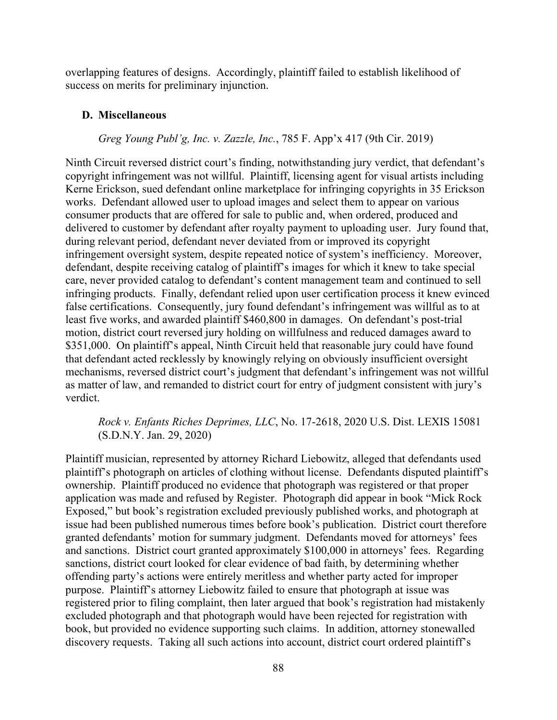overlapping features of designs. Accordingly, plaintiff failed to establish likelihood of success on merits for preliminary injunction.

#### **D. Miscellaneous**

#### *Greg Young Publ'g, Inc. v. Zazzle, Inc.*, 785 F. App'x 417 (9th Cir. 2019)

Ninth Circuit reversed district court's finding, notwithstanding jury verdict, that defendant's copyright infringement was not willful. Plaintiff, licensing agent for visual artists including Kerne Erickson, sued defendant online marketplace for infringing copyrights in 35 Erickson works. Defendant allowed user to upload images and select them to appear on various consumer products that are offered for sale to public and, when ordered, produced and delivered to customer by defendant after royalty payment to uploading user. Jury found that, during relevant period, defendant never deviated from or improved its copyright infringement oversight system, despite repeated notice of system's inefficiency. Moreover, defendant, despite receiving catalog of plaintiff's images for which it knew to take special care, never provided catalog to defendant's content management team and continued to sell infringing products. Finally, defendant relied upon user certification process it knew evinced false certifications. Consequently, jury found defendant's infringement was willful as to at least five works, and awarded plaintiff \$460,800 in damages. On defendant's post-trial motion, district court reversed jury holding on willfulness and reduced damages award to \$351,000. On plaintiff's appeal, Ninth Circuit held that reasonable jury could have found that defendant acted recklessly by knowingly relying on obviously insufficient oversight mechanisms, reversed district court's judgment that defendant's infringement was not willful as matter of law, and remanded to district court for entry of judgment consistent with jury's verdict.

# *Rock v. Enfants Riches Deprimes, LLC*, No. 17-2618, 2020 U.S. Dist. LEXIS 15081 (S.D.N.Y. Jan. 29, 2020)

Plaintiff musician, represented by attorney Richard Liebowitz, alleged that defendants used plaintiff's photograph on articles of clothing without license. Defendants disputed plaintiff's ownership. Plaintiff produced no evidence that photograph was registered or that proper application was made and refused by Register. Photograph did appear in book "Mick Rock Exposed," but book's registration excluded previously published works, and photograph at issue had been published numerous times before book's publication. District court therefore granted defendants' motion for summary judgment. Defendants moved for attorneys' fees and sanctions. District court granted approximately \$100,000 in attorneys' fees. Regarding sanctions, district court looked for clear evidence of bad faith, by determining whether offending party's actions were entirely meritless and whether party acted for improper purpose. Plaintiff's attorney Liebowitz failed to ensure that photograph at issue was registered prior to filing complaint, then later argued that book's registration had mistakenly excluded photograph and that photograph would have been rejected for registration with book, but provided no evidence supporting such claims. In addition, attorney stonewalled discovery requests. Taking all such actions into account, district court ordered plaintiff's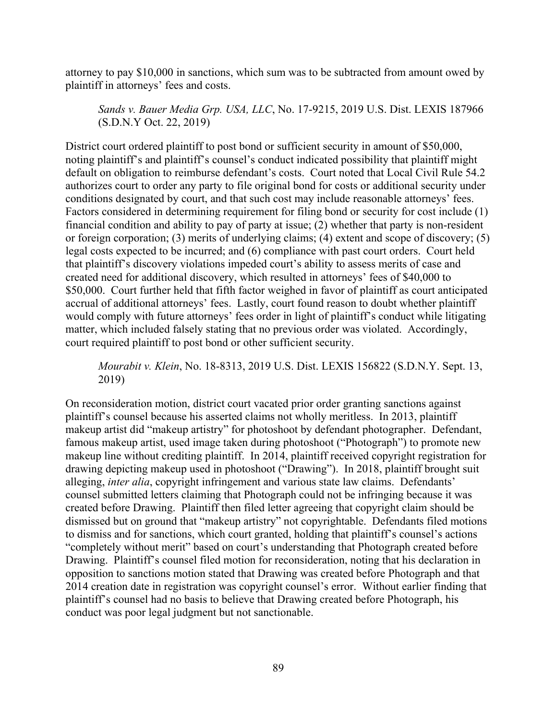attorney to pay \$10,000 in sanctions, which sum was to be subtracted from amount owed by plaintiff in attorneys' fees and costs.

*Sands v. Bauer Media Grp. USA, LLC*, No. 17-9215, 2019 U.S. Dist. LEXIS 187966 (S.D.N.Y Oct. 22, 2019)

District court ordered plaintiff to post bond or sufficient security in amount of \$50,000, noting plaintiff's and plaintiff's counsel's conduct indicated possibility that plaintiff might default on obligation to reimburse defendant's costs. Court noted that Local Civil Rule 54.2 authorizes court to order any party to file original bond for costs or additional security under conditions designated by court, and that such cost may include reasonable attorneys' fees. Factors considered in determining requirement for filing bond or security for cost include (1) financial condition and ability to pay of party at issue; (2) whether that party is non-resident or foreign corporation; (3) merits of underlying claims; (4) extent and scope of discovery; (5) legal costs expected to be incurred; and (6) compliance with past court orders. Court held that plaintiff's discovery violations impeded court's ability to assess merits of case and created need for additional discovery, which resulted in attorneys' fees of \$40,000 to \$50,000. Court further held that fifth factor weighed in favor of plaintiff as court anticipated accrual of additional attorneys' fees. Lastly, court found reason to doubt whether plaintiff would comply with future attorneys' fees order in light of plaintiff's conduct while litigating matter, which included falsely stating that no previous order was violated. Accordingly, court required plaintiff to post bond or other sufficient security.

*Mourabit v. Klein*, No. 18-8313, 2019 U.S. Dist. LEXIS 156822 (S.D.N.Y. Sept. 13, 2019)

On reconsideration motion, district court vacated prior order granting sanctions against plaintiff's counsel because his asserted claims not wholly meritless. In 2013, plaintiff makeup artist did "makeup artistry" for photoshoot by defendant photographer. Defendant, famous makeup artist, used image taken during photoshoot ("Photograph") to promote new makeup line without crediting plaintiff. In 2014, plaintiff received copyright registration for drawing depicting makeup used in photoshoot ("Drawing"). In 2018, plaintiff brought suit alleging, *inter alia*, copyright infringement and various state law claims. Defendants' counsel submitted letters claiming that Photograph could not be infringing because it was created before Drawing. Plaintiff then filed letter agreeing that copyright claim should be dismissed but on ground that "makeup artistry" not copyrightable. Defendants filed motions to dismiss and for sanctions, which court granted, holding that plaintiff's counsel's actions "completely without merit" based on court's understanding that Photograph created before Drawing. Plaintiff's counsel filed motion for reconsideration, noting that his declaration in opposition to sanctions motion stated that Drawing was created before Photograph and that 2014 creation date in registration was copyright counsel's error. Without earlier finding that plaintiff's counsel had no basis to believe that Drawing created before Photograph, his conduct was poor legal judgment but not sanctionable.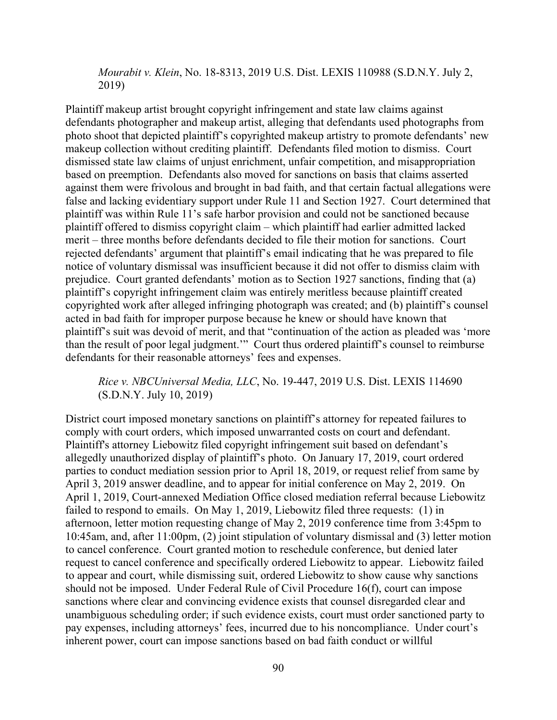*Mourabit v. Klein*, No. 18-8313, 2019 U.S. Dist. LEXIS 110988 (S.D.N.Y. July 2, 2019)

Plaintiff makeup artist brought copyright infringement and state law claims against defendants photographer and makeup artist, alleging that defendants used photographs from photo shoot that depicted plaintiff's copyrighted makeup artistry to promote defendants' new makeup collection without crediting plaintiff. Defendants filed motion to dismiss. Court dismissed state law claims of unjust enrichment, unfair competition, and misappropriation based on preemption. Defendants also moved for sanctions on basis that claims asserted against them were frivolous and brought in bad faith, and that certain factual allegations were false and lacking evidentiary support under Rule 11 and Section 1927. Court determined that plaintiff was within Rule 11's safe harbor provision and could not be sanctioned because plaintiff offered to dismiss copyright claim – which plaintiff had earlier admitted lacked merit – three months before defendants decided to file their motion for sanctions. Court rejected defendants' argument that plaintiff's email indicating that he was prepared to file notice of voluntary dismissal was insufficient because it did not offer to dismiss claim with prejudice. Court granted defendants' motion as to Section 1927 sanctions, finding that (a) plaintiff's copyright infringement claim was entirely meritless because plaintiff created copyrighted work after alleged infringing photograph was created; and (b) plaintiff's counsel acted in bad faith for improper purpose because he knew or should have known that plaintiff's suit was devoid of merit, and that "continuation of the action as pleaded was 'more than the result of poor legal judgment.'" Court thus ordered plaintiff's counsel to reimburse defendants for their reasonable attorneys' fees and expenses.

## *Rice v. NBCUniversal Media, LLC*, No. 19-447, 2019 U.S. Dist. LEXIS 114690 (S.D.N.Y. July 10, 2019)

District court imposed monetary sanctions on plaintiff's attorney for repeated failures to comply with court orders, which imposed unwarranted costs on court and defendant. Plaintiff's attorney Liebowitz filed copyright infringement suit based on defendant's allegedly unauthorized display of plaintiff's photo. On January 17, 2019, court ordered parties to conduct mediation session prior to April 18, 2019, or request relief from same by April 3, 2019 answer deadline, and to appear for initial conference on May 2, 2019. On April 1, 2019, Court-annexed Mediation Office closed mediation referral because Liebowitz failed to respond to emails. On May 1, 2019, Liebowitz filed three requests: (1) in afternoon, letter motion requesting change of May 2, 2019 conference time from 3:45pm to 10:45am, and, after 11:00pm, (2) joint stipulation of voluntary dismissal and (3) letter motion to cancel conference. Court granted motion to reschedule conference, but denied later request to cancel conference and specifically ordered Liebowitz to appear. Liebowitz failed to appear and court, while dismissing suit, ordered Liebowitz to show cause why sanctions should not be imposed. Under Federal Rule of Civil Procedure 16(f), court can impose sanctions where clear and convincing evidence exists that counsel disregarded clear and unambiguous scheduling order; if such evidence exists, court must order sanctioned party to pay expenses, including attorneys' fees, incurred due to his noncompliance. Under court's inherent power, court can impose sanctions based on bad faith conduct or willful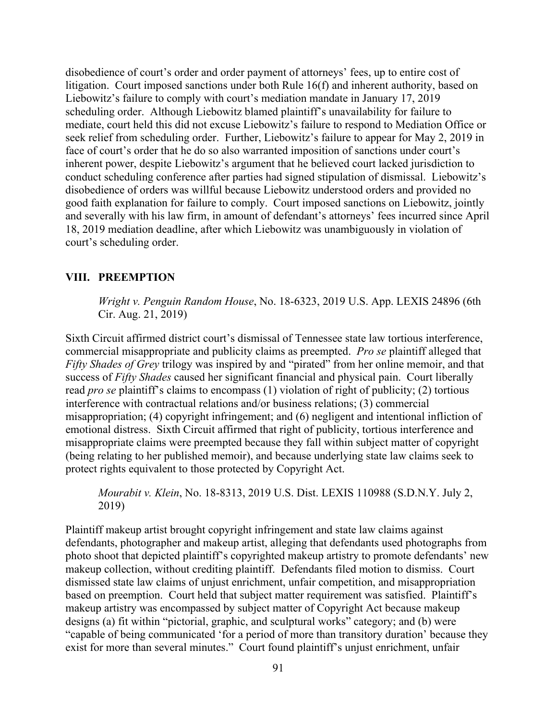disobedience of court's order and order payment of attorneys' fees, up to entire cost of litigation. Court imposed sanctions under both Rule 16(f) and inherent authority, based on Liebowitz's failure to comply with court's mediation mandate in January 17, 2019 scheduling order. Although Liebowitz blamed plaintiff's unavailability for failure to mediate, court held this did not excuse Liebowitz's failure to respond to Mediation Office or seek relief from scheduling order. Further, Liebowitz's failure to appear for May 2, 2019 in face of court's order that he do so also warranted imposition of sanctions under court's inherent power, despite Liebowitz's argument that he believed court lacked jurisdiction to conduct scheduling conference after parties had signed stipulation of dismissal. Liebowitz's disobedience of orders was willful because Liebowitz understood orders and provided no good faith explanation for failure to comply. Court imposed sanctions on Liebowitz, jointly and severally with his law firm, in amount of defendant's attorneys' fees incurred since April 18, 2019 mediation deadline, after which Liebowitz was unambiguously in violation of court's scheduling order.

#### **VIII. PREEMPTION**

*Wright v. Penguin Random House*, No. 18-6323, 2019 U.S. App. LEXIS 24896 (6th Cir. Aug. 21, 2019)

Sixth Circuit affirmed district court's dismissal of Tennessee state law tortious interference, commercial misappropriate and publicity claims as preempted. *Pro se* plaintiff alleged that *Fifty Shades of Grey* trilogy was inspired by and "pirated" from her online memoir, and that success of *Fifty Shades* caused her significant financial and physical pain. Court liberally read *pro se* plaintiff's claims to encompass (1) violation of right of publicity; (2) tortious interference with contractual relations and/or business relations; (3) commercial misappropriation; (4) copyright infringement; and (6) negligent and intentional infliction of emotional distress. Sixth Circuit affirmed that right of publicity, tortious interference and misappropriate claims were preempted because they fall within subject matter of copyright (being relating to her published memoir), and because underlying state law claims seek to protect rights equivalent to those protected by Copyright Act.

*Mourabit v. Klein*, No. 18-8313, 2019 U.S. Dist. LEXIS 110988 (S.D.N.Y. July 2, 2019)

Plaintiff makeup artist brought copyright infringement and state law claims against defendants, photographer and makeup artist, alleging that defendants used photographs from photo shoot that depicted plaintiff's copyrighted makeup artistry to promote defendants' new makeup collection, without crediting plaintiff. Defendants filed motion to dismiss. Court dismissed state law claims of unjust enrichment, unfair competition, and misappropriation based on preemption. Court held that subject matter requirement was satisfied. Plaintiff's makeup artistry was encompassed by subject matter of Copyright Act because makeup designs (a) fit within "pictorial, graphic, and sculptural works" category; and (b) were "capable of being communicated 'for a period of more than transitory duration' because they exist for more than several minutes." Court found plaintiff's unjust enrichment, unfair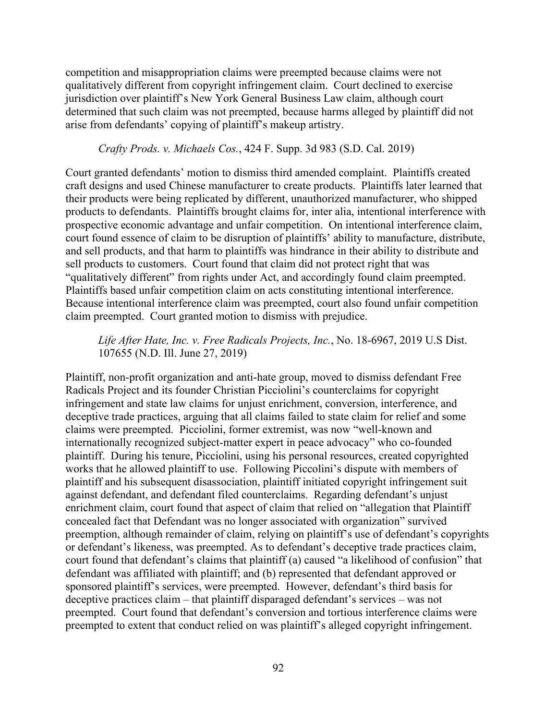competition and misappropriation claims were preempted because claims were not qualitatively different from copyright infringement claim. Court declined to exercise jurisdiction over plaintiff's New York General Business Law claim, although court determined that such claim was not preempted, because harms alleged by plaintiff did not arise from defendants' copying of plaintiff's makeup artistry.

#### *Crafty Prods. v. Michaels Cos.*, 424 F. Supp. 3d 983 (S.D. Cal. 2019)

Court granted defendants' motion to dismiss third amended complaint. Plaintiffs created craft designs and used Chinese manufacturer to create products. Plaintiffs later learned that their products were being replicated by different, unauthorized manufacturer, who shipped products to defendants. Plaintiffs brought claims for, inter alia, intentional interference with prospective economic advantage and unfair competition. On intentional interference claim, court found essence of claim to be disruption of plaintiffs' ability to manufacture, distribute, and sell products, and that harm to plaintiffs was hindrance in their ability to distribute and sell products to customers. Court found that claim did not protect right that was "qualitatively different" from rights under Act, and accordingly found claim preempted. Plaintiffs based unfair competition claim on acts constituting intentional interference. Because intentional interference claim was preempted, court also found unfair competition claim preempted. Court granted motion to dismiss with prejudice.

*Life After Hate, Inc. v. Free Radicals Projects, Inc.*, No. 18-6967, 2019 U.S Dist. 107655 (N.D. Ill. June 27, 2019)

Plaintiff, non-profit organization and anti-hate group, moved to dismiss defendant Free Radicals Project and its founder Christian Picciolini's counterclaims for copyright infringement and state law claims for unjust enrichment, conversion, interference, and deceptive trade practices, arguing that all claims failed to state claim for relief and some claims were preempted. Picciolini, former extremist, was now "well-known and internationally recognized subject-matter expert in peace advocacy" who co-founded plaintiff. During his tenure, Picciolini, using his personal resources, created copyrighted works that he allowed plaintiff to use. Following Piccolini's dispute with members of plaintiff and his subsequent disassociation, plaintiff initiated copyright infringement suit against defendant, and defendant filed counterclaims. Regarding defendant's unjust enrichment claim, court found that aspect of claim that relied on "allegation that Plaintiff concealed fact that Defendant was no longer associated with organization" survived preemption, although remainder of claim, relying on plaintiff's use of defendant's copyrights or defendant's likeness, was preempted. As to defendant's deceptive trade practices claim, court found that defendant's claims that plaintiff (a) caused "a likelihood of confusion" that defendant was affiliated with plaintiff; and (b) represented that defendant approved or sponsored plaintiff's services, were preempted. However, defendant's third basis for deceptive practices claim – that plaintiff disparaged defendant's services – was not preempted. Court found that defendant's conversion and tortious interference claims were preempted to extent that conduct relied on was plaintiff's alleged copyright infringement.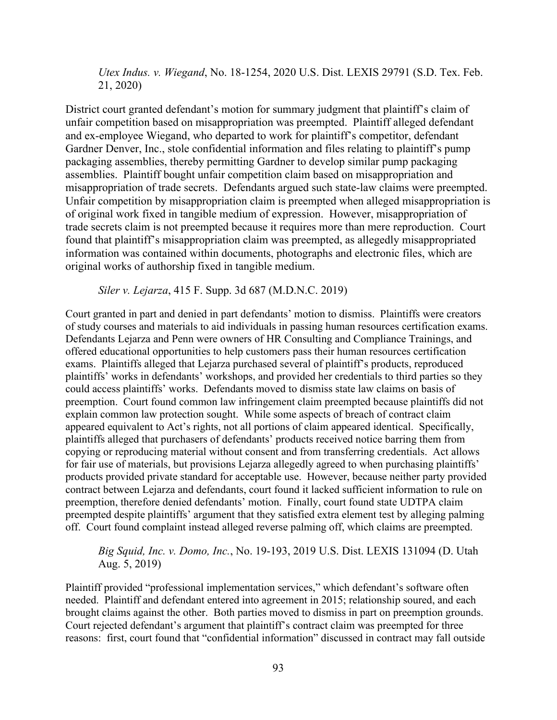*Utex Indus. v. Wiegand*, No. 18-1254, 2020 U.S. Dist. LEXIS 29791 (S.D. Tex. Feb. 21, 2020)

District court granted defendant's motion for summary judgment that plaintiff's claim of unfair competition based on misappropriation was preempted. Plaintiff alleged defendant and ex-employee Wiegand, who departed to work for plaintiff's competitor, defendant Gardner Denver, Inc., stole confidential information and files relating to plaintiff's pump packaging assemblies, thereby permitting Gardner to develop similar pump packaging assemblies. Plaintiff bought unfair competition claim based on misappropriation and misappropriation of trade secrets. Defendants argued such state-law claims were preempted. Unfair competition by misappropriation claim is preempted when alleged misappropriation is of original work fixed in tangible medium of expression. However, misappropriation of trade secrets claim is not preempted because it requires more than mere reproduction. Court found that plaintiff's misappropriation claim was preempted, as allegedly misappropriated information was contained within documents, photographs and electronic files, which are original works of authorship fixed in tangible medium.

*Siler v. Lejarza*, 415 F. Supp. 3d 687 (M.D.N.C. 2019)

Court granted in part and denied in part defendants' motion to dismiss. Plaintiffs were creators of study courses and materials to aid individuals in passing human resources certification exams. Defendants Lejarza and Penn were owners of HR Consulting and Compliance Trainings, and offered educational opportunities to help customers pass their human resources certification exams. Plaintiffs alleged that Lejarza purchased several of plaintiff's products, reproduced plaintiffs' works in defendants' workshops, and provided her credentials to third parties so they could access plaintiffs' works. Defendants moved to dismiss state law claims on basis of preemption. Court found common law infringement claim preempted because plaintiffs did not explain common law protection sought. While some aspects of breach of contract claim appeared equivalent to Act's rights, not all portions of claim appeared identical. Specifically, plaintiffs alleged that purchasers of defendants' products received notice barring them from copying or reproducing material without consent and from transferring credentials. Act allows for fair use of materials, but provisions Lejarza allegedly agreed to when purchasing plaintiffs' products provided private standard for acceptable use. However, because neither party provided contract between Lejarza and defendants, court found it lacked sufficient information to rule on preemption, therefore denied defendants' motion. Finally, court found state UDTPA claim preempted despite plaintiffs' argument that they satisfied extra element test by alleging palming off. Court found complaint instead alleged reverse palming off, which claims are preempted.

## *Big Squid, Inc. v. Domo, Inc.*, No. 19-193, 2019 U.S. Dist. LEXIS 131094 (D. Utah Aug. 5, 2019)

Plaintiff provided "professional implementation services," which defendant's software often needed. Plaintiff and defendant entered into agreement in 2015; relationship soured, and each brought claims against the other. Both parties moved to dismiss in part on preemption grounds. Court rejected defendant's argument that plaintiff's contract claim was preempted for three reasons: first, court found that "confidential information" discussed in contract may fall outside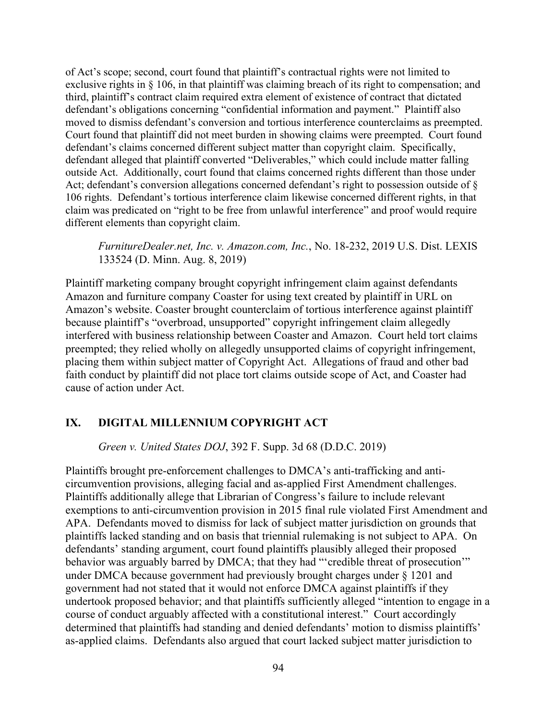of Act's scope; second, court found that plaintiff's contractual rights were not limited to exclusive rights in § 106, in that plaintiff was claiming breach of its right to compensation; and third, plaintiff's contract claim required extra element of existence of contract that dictated defendant's obligations concerning "confidential information and payment." Plaintiff also moved to dismiss defendant's conversion and tortious interference counterclaims as preempted. Court found that plaintiff did not meet burden in showing claims were preempted. Court found defendant's claims concerned different subject matter than copyright claim. Specifically, defendant alleged that plaintiff converted "Deliverables," which could include matter falling outside Act. Additionally, court found that claims concerned rights different than those under Act; defendant's conversion allegations concerned defendant's right to possession outside of § 106 rights. Defendant's tortious interference claim likewise concerned different rights, in that claim was predicated on "right to be free from unlawful interference" and proof would require different elements than copyright claim.

*FurnitureDealer.net, Inc. v. Amazon.com, Inc.*, No. 18-232, 2019 U.S. Dist. LEXIS 133524 (D. Minn. Aug. 8, 2019)

Plaintiff marketing company brought copyright infringement claim against defendants Amazon and furniture company Coaster for using text created by plaintiff in URL on Amazon's website. Coaster brought counterclaim of tortious interference against plaintiff because plaintiff's "overbroad, unsupported" copyright infringement claim allegedly interfered with business relationship between Coaster and Amazon. Court held tort claims preempted; they relied wholly on allegedly unsupported claims of copyright infringement, placing them within subject matter of Copyright Act. Allegations of fraud and other bad faith conduct by plaintiff did not place tort claims outside scope of Act, and Coaster had cause of action under Act.

### **IX. DIGITAL MILLENNIUM COPYRIGHT ACT**

*Green v. United States DOJ*, 392 F. Supp. 3d 68 (D.D.C. 2019)

Plaintiffs brought pre-enforcement challenges to DMCA's anti-trafficking and anticircumvention provisions, alleging facial and as-applied First Amendment challenges. Plaintiffs additionally allege that Librarian of Congress's failure to include relevant exemptions to anti-circumvention provision in 2015 final rule violated First Amendment and APA. Defendants moved to dismiss for lack of subject matter jurisdiction on grounds that plaintiffs lacked standing and on basis that triennial rulemaking is not subject to APA. On defendants' standing argument, court found plaintiffs plausibly alleged their proposed behavior was arguably barred by DMCA; that they had "'credible threat of prosecution" under DMCA because government had previously brought charges under § 1201 and government had not stated that it would not enforce DMCA against plaintiffs if they undertook proposed behavior; and that plaintiffs sufficiently alleged "intention to engage in a course of conduct arguably affected with a constitutional interest." Court accordingly determined that plaintiffs had standing and denied defendants' motion to dismiss plaintiffs' as-applied claims. Defendants also argued that court lacked subject matter jurisdiction to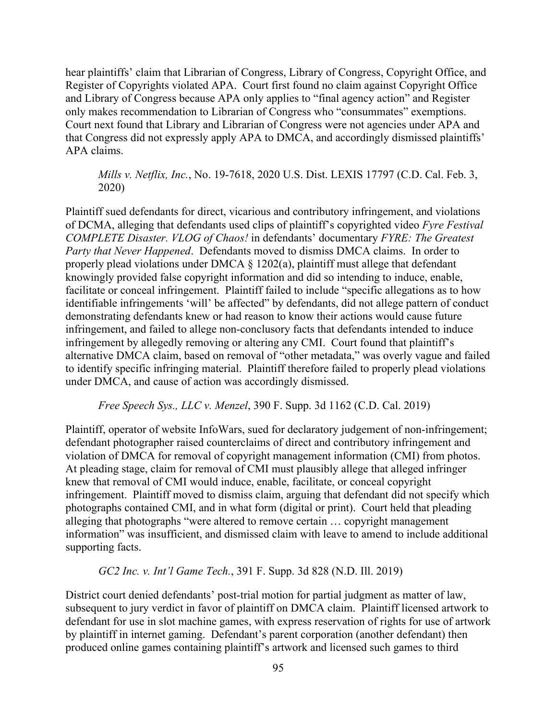hear plaintiffs' claim that Librarian of Congress, Library of Congress, Copyright Office, and Register of Copyrights violated APA. Court first found no claim against Copyright Office and Library of Congress because APA only applies to "final agency action" and Register only makes recommendation to Librarian of Congress who "consummates" exemptions. Court next found that Library and Librarian of Congress were not agencies under APA and that Congress did not expressly apply APA to DMCA, and accordingly dismissed plaintiffs' APA claims.

*Mills v. Netflix, Inc.*, No. 19-7618, 2020 U.S. Dist. LEXIS 17797 (C.D. Cal. Feb. 3, 2020)

Plaintiff sued defendants for direct, vicarious and contributory infringement, and violations of DCMA, alleging that defendants used clips of plaintiff's copyrighted video *Fyre Festival COMPLETE Disaster. VLOG of Chaos!* in defendants' documentary *FYRE: The Greatest Party that Never Happened*. Defendants moved to dismiss DMCA claims. In order to properly plead violations under DMCA § 1202(a), plaintiff must allege that defendant knowingly provided false copyright information and did so intending to induce, enable, facilitate or conceal infringement. Plaintiff failed to include "specific allegations as to how identifiable infringements 'will' be affected" by defendants, did not allege pattern of conduct demonstrating defendants knew or had reason to know their actions would cause future infringement, and failed to allege non-conclusory facts that defendants intended to induce infringement by allegedly removing or altering any CMI. Court found that plaintiff's alternative DMCA claim, based on removal of "other metadata," was overly vague and failed to identify specific infringing material. Plaintiff therefore failed to properly plead violations under DMCA, and cause of action was accordingly dismissed.

*Free Speech Sys., LLC v. Menzel*, 390 F. Supp. 3d 1162 (C.D. Cal. 2019)

Plaintiff, operator of website InfoWars, sued for declaratory judgement of non-infringement; defendant photographer raised counterclaims of direct and contributory infringement and violation of DMCA for removal of copyright management information (CMI) from photos. At pleading stage, claim for removal of CMI must plausibly allege that alleged infringer knew that removal of CMI would induce, enable, facilitate, or conceal copyright infringement. Plaintiff moved to dismiss claim, arguing that defendant did not specify which photographs contained CMI, and in what form (digital or print). Court held that pleading alleging that photographs "were altered to remove certain … copyright management information" was insufficient, and dismissed claim with leave to amend to include additional supporting facts.

*GC2 Inc. v. Int'l Game Tech.*, 391 F. Supp. 3d 828 (N.D. Ill. 2019)

District court denied defendants' post-trial motion for partial judgment as matter of law, subsequent to jury verdict in favor of plaintiff on DMCA claim. Plaintiff licensed artwork to defendant for use in slot machine games, with express reservation of rights for use of artwork by plaintiff in internet gaming. Defendant's parent corporation (another defendant) then produced online games containing plaintiff's artwork and licensed such games to third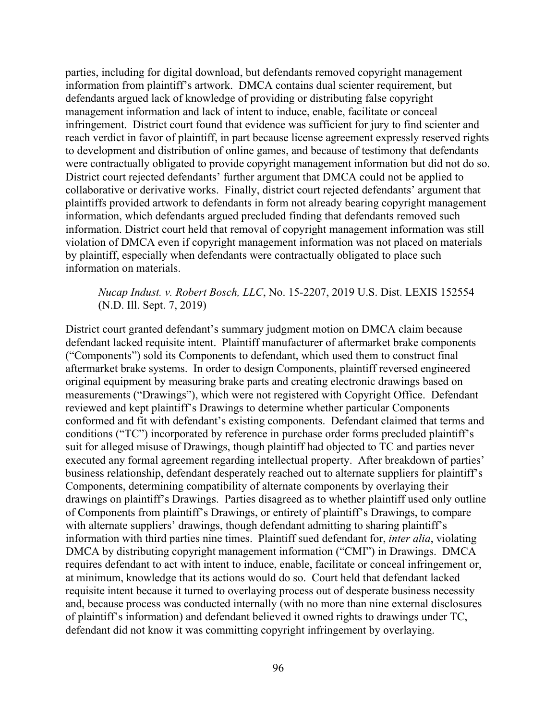parties, including for digital download, but defendants removed copyright management information from plaintiff's artwork. DMCA contains dual scienter requirement, but defendants argued lack of knowledge of providing or distributing false copyright management information and lack of intent to induce, enable, facilitate or conceal infringement. District court found that evidence was sufficient for jury to find scienter and reach verdict in favor of plaintiff, in part because license agreement expressly reserved rights to development and distribution of online games, and because of testimony that defendants were contractually obligated to provide copyright management information but did not do so. District court rejected defendants' further argument that DMCA could not be applied to collaborative or derivative works. Finally, district court rejected defendants' argument that plaintiffs provided artwork to defendants in form not already bearing copyright management information, which defendants argued precluded finding that defendants removed such information. District court held that removal of copyright management information was still violation of DMCA even if copyright management information was not placed on materials by plaintiff, especially when defendants were contractually obligated to place such information on materials.

## *Nucap Indust. v. Robert Bosch, LLC*, No. 15-2207, 2019 U.S. Dist. LEXIS 152554 (N.D. Ill. Sept. 7, 2019)

District court granted defendant's summary judgment motion on DMCA claim because defendant lacked requisite intent. Plaintiff manufacturer of aftermarket brake components ("Components") sold its Components to defendant, which used them to construct final aftermarket brake systems. In order to design Components, plaintiff reversed engineered original equipment by measuring brake parts and creating electronic drawings based on measurements ("Drawings"), which were not registered with Copyright Office. Defendant reviewed and kept plaintiff's Drawings to determine whether particular Components conformed and fit with defendant's existing components. Defendant claimed that terms and conditions ("TC") incorporated by reference in purchase order forms precluded plaintiff's suit for alleged misuse of Drawings, though plaintiff had objected to TC and parties never executed any formal agreement regarding intellectual property. After breakdown of parties' business relationship, defendant desperately reached out to alternate suppliers for plaintiff's Components, determining compatibility of alternate components by overlaying their drawings on plaintiff's Drawings. Parties disagreed as to whether plaintiff used only outline of Components from plaintiff's Drawings, or entirety of plaintiff's Drawings, to compare with alternate suppliers' drawings, though defendant admitting to sharing plaintiff's information with third parties nine times. Plaintiff sued defendant for, *inter alia*, violating DMCA by distributing copyright management information ("CMI") in Drawings. DMCA requires defendant to act with intent to induce, enable, facilitate or conceal infringement or, at minimum, knowledge that its actions would do so. Court held that defendant lacked requisite intent because it turned to overlaying process out of desperate business necessity and, because process was conducted internally (with no more than nine external disclosures of plaintiff's information) and defendant believed it owned rights to drawings under TC, defendant did not know it was committing copyright infringement by overlaying.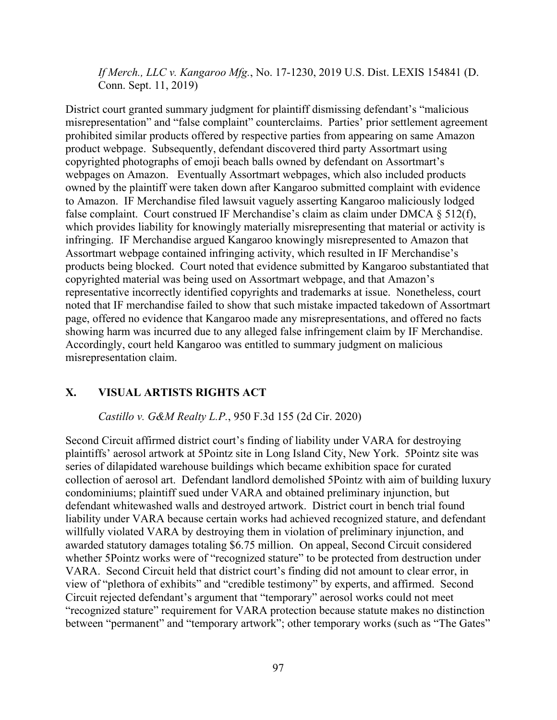*If Merch., LLC v. Kangaroo Mfg.*, No. 17-1230, 2019 U.S. Dist. LEXIS 154841 (D. Conn. Sept. 11, 2019)

District court granted summary judgment for plaintiff dismissing defendant's "malicious misrepresentation" and "false complaint" counterclaims. Parties' prior settlement agreement prohibited similar products offered by respective parties from appearing on same Amazon product webpage. Subsequently, defendant discovered third party Assortmart using copyrighted photographs of emoji beach balls owned by defendant on Assortmart's webpages on Amazon. Eventually Assortmart webpages, which also included products owned by the plaintiff were taken down after Kangaroo submitted complaint with evidence to Amazon. IF Merchandise filed lawsuit vaguely asserting Kangaroo maliciously lodged false complaint. Court construed IF Merchandise's claim as claim under DMCA § 512(f), which provides liability for knowingly materially misrepresenting that material or activity is infringing. IF Merchandise argued Kangaroo knowingly misrepresented to Amazon that Assortmart webpage contained infringing activity, which resulted in IF Merchandise's products being blocked. Court noted that evidence submitted by Kangaroo substantiated that copyrighted material was being used on Assortmart webpage, and that Amazon's representative incorrectly identified copyrights and trademarks at issue. Nonetheless, court noted that IF merchandise failed to show that such mistake impacted takedown of Assortmart page, offered no evidence that Kangaroo made any misrepresentations, and offered no facts showing harm was incurred due to any alleged false infringement claim by IF Merchandise. Accordingly, court held Kangaroo was entitled to summary judgment on malicious misrepresentation claim.

## **X. VISUAL ARTISTS RIGHTS ACT**

## *Castillo v. G&M Realty L.P.*, 950 F.3d 155 (2d Cir. 2020)

Second Circuit affirmed district court's finding of liability under VARA for destroying plaintiffs' aerosol artwork at 5Pointz site in Long Island City, New York. 5Pointz site was series of dilapidated warehouse buildings which became exhibition space for curated collection of aerosol art. Defendant landlord demolished 5Pointz with aim of building luxury condominiums; plaintiff sued under VARA and obtained preliminary injunction, but defendant whitewashed walls and destroyed artwork. District court in bench trial found liability under VARA because certain works had achieved recognized stature, and defendant willfully violated VARA by destroying them in violation of preliminary injunction, and awarded statutory damages totaling \$6.75 million. On appeal, Second Circuit considered whether 5Pointz works were of "recognized stature" to be protected from destruction under VARA. Second Circuit held that district court's finding did not amount to clear error, in view of "plethora of exhibits" and "credible testimony" by experts, and affirmed. Second Circuit rejected defendant's argument that "temporary" aerosol works could not meet "recognized stature" requirement for VARA protection because statute makes no distinction between "permanent" and "temporary artwork"; other temporary works (such as "The Gates"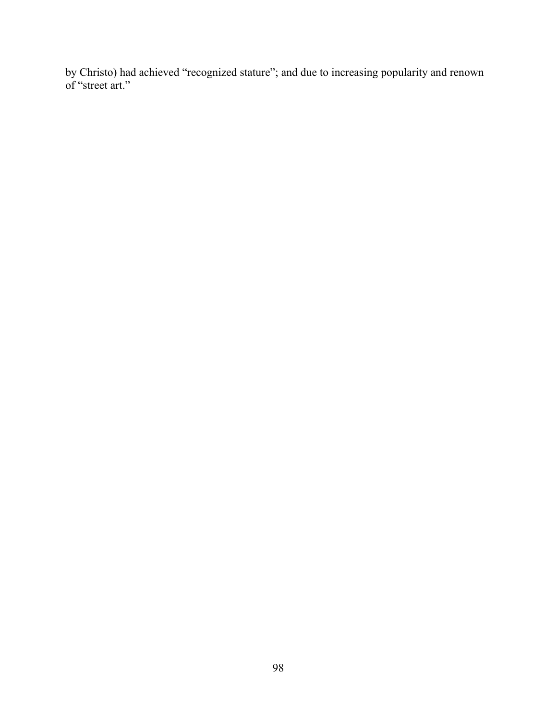by Christo) had achieved "recognized stature"; and due to increasing popularity and renown of "street art."